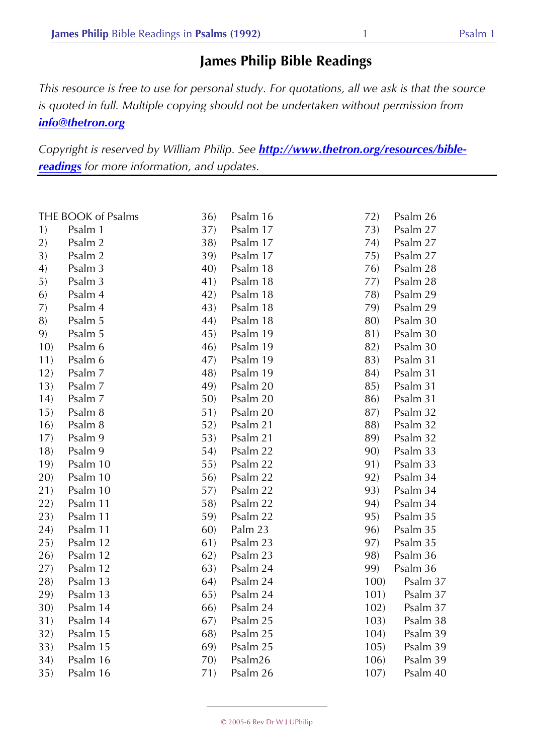## **James Philip Bible Readings**

*This resource is free to use for personal study. For quotations, all we ask is that the source is quoted in full. Multiple copying should not be undertaken without permission from info@thetron.org*

*Copyright is reserved by William Philip. See http://www.thetron.org/resources/biblereadings for more information, and updates.*

| THE BOOK of Psalms |          | 36) | Psalm 16 | 72)  | Psalm 26 |
|--------------------|----------|-----|----------|------|----------|
| 1)                 | Psalm 1  | 37) | Psalm 17 | 73)  | Psalm 27 |
| 2)                 | Psalm 2  | 38) | Psalm 17 | 74)  | Psalm 27 |
| 3)                 | Psalm 2  | 39) | Psalm 17 | 75)  | Psalm 27 |
| 4)                 | Psalm 3  | 40) | Psalm 18 | 76)  | Psalm 28 |
| 5)                 | Psalm 3  | 41) | Psalm 18 | 77)  | Psalm 28 |
| 6)                 | Psalm 4  | 42) | Psalm 18 | 78)  | Psalm 29 |
| 7)                 | Psalm 4  | 43) | Psalm 18 | 79)  | Psalm 29 |
| 8)                 | Psalm 5  | 44) | Psalm 18 | 80)  | Psalm 30 |
| 9)                 | Psalm 5  | 45) | Psalm 19 | 81)  | Psalm 30 |
| 10)                | Psalm 6  | 46) | Psalm 19 | 82)  | Psalm 30 |
| 11)                | Psalm 6  | 47) | Psalm 19 | 83)  | Psalm 31 |
| 12)                | Psalm 7  | 48) | Psalm 19 | 84)  | Psalm 31 |
| 13)                | Psalm 7  | 49) | Psalm 20 | 85)  | Psalm 31 |
| 14)                | Psalm 7  | 50) | Psalm 20 | 86)  | Psalm 31 |
| 15)                | Psalm 8  | 51) | Psalm 20 | 87)  | Psalm 32 |
| 16)                | Psalm 8  | 52) | Psalm 21 | 88)  | Psalm 32 |
| 17)                | Psalm 9  | 53) | Psalm 21 | 89)  | Psalm 32 |
| 18)                | Psalm 9  | 54) | Psalm 22 | 90)  | Psalm 33 |
| 19)                | Psalm 10 | 55) | Psalm 22 | 91)  | Psalm 33 |
| 20)                | Psalm 10 | 56) | Psalm 22 | 92)  | Psalm 34 |
| 21)                | Psalm 10 | 57) | Psalm 22 | 93)  | Psalm 34 |
| 22)                | Psalm 11 | 58) | Psalm 22 | 94)  | Psalm 34 |
| 23)                | Psalm 11 | 59) | Psalm 22 | 95)  | Psalm 35 |
| 24)                | Psalm 11 | 60) | Palm 23  | 96)  | Psalm 35 |
| 25)                | Psalm 12 | 61) | Psalm 23 | 97)  | Psalm 35 |
| 26)                | Psalm 12 | 62) | Psalm 23 | 98)  | Psalm 36 |
| 27)                | Psalm 12 | 63) | Psalm 24 | 99)  | Psalm 36 |
| 28)                | Psalm 13 | 64) | Psalm 24 | 100) | Psalm 37 |
| 29)                | Psalm 13 | 65) | Psalm 24 | 101) | Psalm 37 |
| 30)                | Psalm 14 | 66) | Psalm 24 | 102) | Psalm 37 |
| 31)                | Psalm 14 | 67) | Psalm 25 | 103) | Psalm 38 |
| 32)                | Psalm 15 | 68) | Psalm 25 | 104) | Psalm 39 |
| 33)                | Psalm 15 | 69) | Psalm 25 | 105) | Psalm 39 |
| 34)                | Psalm 16 | 70) | Psalm26  | 106) | Psalm 39 |
| 35)                | Psalm 16 | 71) | Psalm 26 | 107) | Psalm 40 |
|                    |          |     |          |      |          |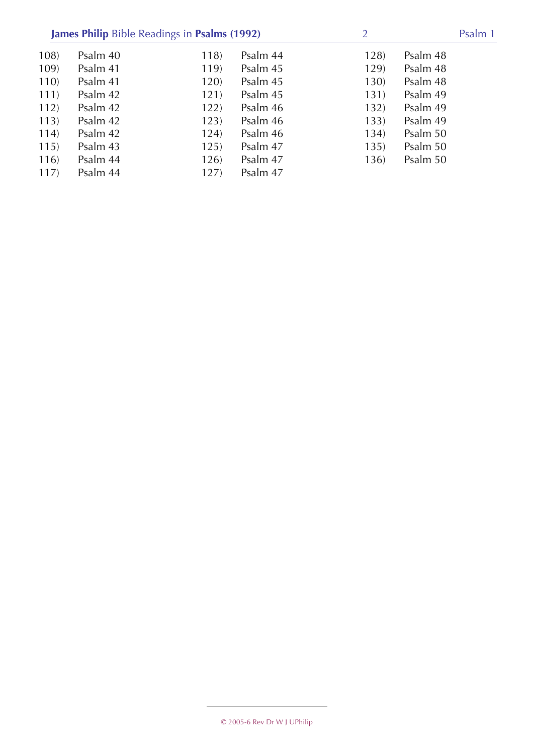|      | James Philip Bible Readings in Psalms (1992) |      | 2        |      | Psalm 1  |  |
|------|----------------------------------------------|------|----------|------|----------|--|
| 108) | Psalm 40                                     | 118) | Psalm 44 | 128) | Psalm 48 |  |
| 109) | Psalm 41                                     | 119) | Psalm 45 | 129) | Psalm 48 |  |
| 110  | Psalm 41                                     | 120) | Psalm 45 | 130) | Psalm 48 |  |
| 111) | Psalm 42                                     | 121) | Psalm 45 | 131) | Psalm 49 |  |
| 112) | Psalm 42                                     | 122) | Psalm 46 | 132) | Psalm 49 |  |
| 113) | Psalm 42                                     | 123) | Psalm 46 | 133) | Psalm 49 |  |
| 114) | Psalm 42                                     | 124) | Psalm 46 | 134) | Psalm 50 |  |
| 115) | Psalm 43                                     | 125) | Psalm 47 | 135) | Psalm 50 |  |
| 116) | Psalm 44                                     | 126) | Psalm 47 | 136) | Psalm 50 |  |
| 117) | Psalm 44                                     | 127) | Psalm 47 |      |          |  |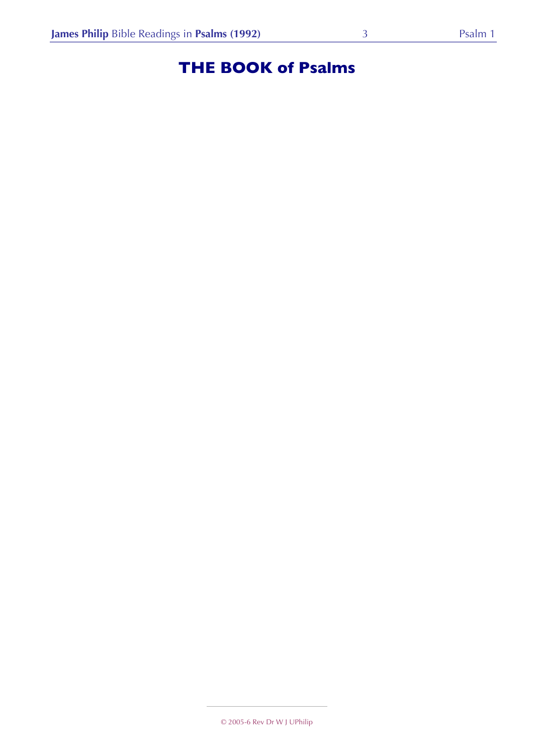# **THE BOOK of Psalms**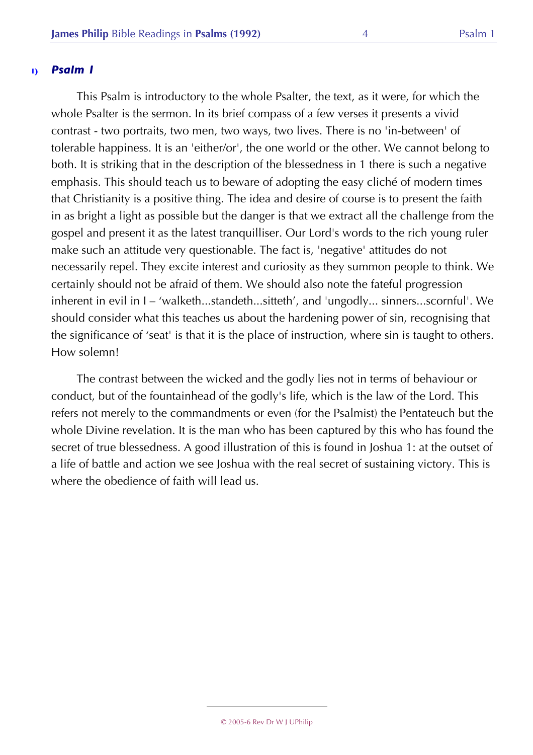This Psalm is introductory to the whole Psalter, the text, as it were, for which the whole Psalter is the sermon. In its brief compass of a few verses it presents a vivid contrast - two portraits, two men, two ways, two lives. There is no 'in-between' of tolerable happiness. It is an 'either/or', the one world or the other. We cannot belong to both. It is striking that in the description of the blessedness in 1 there is such a negative emphasis. This should teach us to beware of adopting the easy cliché of modern times that Christianity is a positive thing. The idea and desire of course is to present the faith in as bright a light as possible but the danger is that we extract all the challenge from the gospel and present it as the latest tranquilliser. Our Lord's words to the rich young ruler make such an attitude very questionable. The fact is, 'negative' attitudes do not necessarily repel. They excite interest and curiosity as they summon people to think. We certainly should not be afraid of them. We should also note the fateful progression inherent in evil in I – 'walketh...standeth...sitteth', and 'ungodly... sinners...scornful'. We should consider what this teaches us about the hardening power of sin, recognising that the significance of 'seat' is that it is the place of instruction, where sin is taught to others. How solemn!

The contrast between the wicked and the godly lies not in terms of behaviour or conduct, but of the fountainhead of the godly's life, which is the law of the Lord. This refers not merely to the commandments or even (for the Psalmist) the Pentateuch but the whole Divine revelation. It is the man who has been captured by this who has found the secret of true blessedness. A good illustration of this is found in Joshua 1: at the outset of a life of battle and action we see Joshua with the real secret of sustaining victory. This is where the obedience of faith will lead us.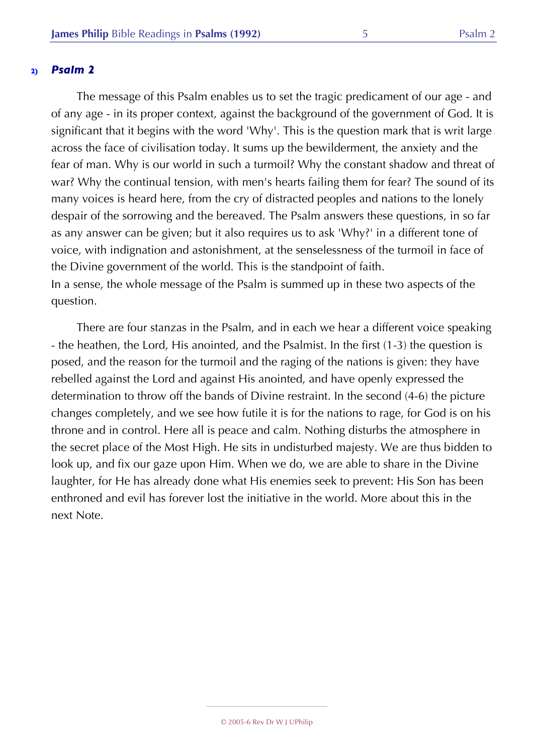The message of this Psalm enables us to set the tragic predicament of our age - and of any age - in its proper context, against the background of the government of God. It is significant that it begins with the word 'Why'. This is the question mark that is writ large across the face of civilisation today. It sums up the bewilderment, the anxiety and the fear of man. Why is our world in such a turmoil? Why the constant shadow and threat of war? Why the continual tension, with men's hearts failing them for fear? The sound of its many voices is heard here, from the cry of distracted peoples and nations to the lonely despair of the sorrowing and the bereaved. The Psalm answers these questions, in so far as any answer can be given; but it also requires us to ask 'Why?' in a different tone of voice, with indignation and astonishment, at the senselessness of the turmoil in face of the Divine government of the world. This is the standpoint of faith. In a sense, the whole message of the Psalm is summed up in these two aspects of the question.

There are four stanzas in the Psalm, and in each we hear a different voice speaking - the heathen, the Lord, His anointed, and the Psalmist. In the first (1-3) the question is posed, and the reason for the turmoil and the raging of the nations is given: they have rebelled against the Lord and against His anointed, and have openly expressed the determination to throw off the bands of Divine restraint. In the second (4-6) the picture changes completely, and we see how futile it is for the nations to rage, for God is on his throne and in control. Here all is peace and calm. Nothing disturbs the atmosphere in the secret place of the Most High. He sits in undisturbed majesty. We are thus bidden to look up, and fix our gaze upon Him. When we do, we are able to share in the Divine laughter, for He has already done what His enemies seek to prevent: His Son has been enthroned and evil has forever lost the initiative in the world. More about this in the next Note.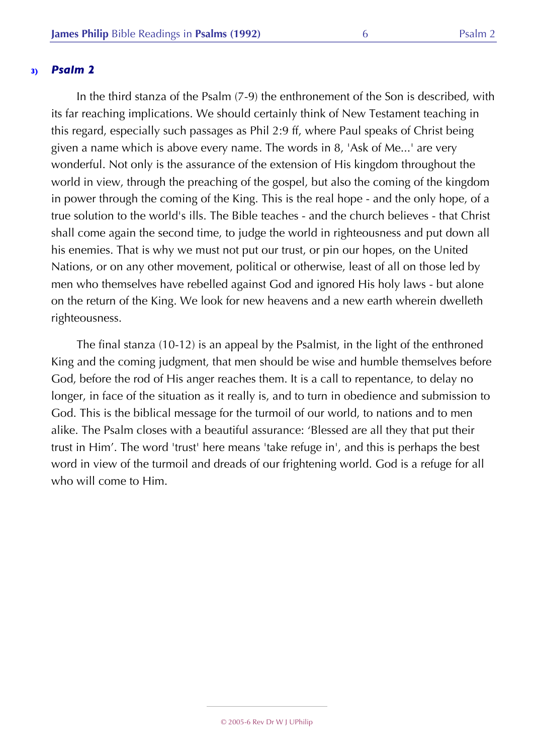In the third stanza of the Psalm (7-9) the enthronement of the Son is described, with its far reaching implications. We should certainly think of New Testament teaching in this regard, especially such passages as Phil 2:9 ff, where Paul speaks of Christ being given a name which is above every name. The words in 8, 'Ask of Me...' are very wonderful. Not only is the assurance of the extension of His kingdom throughout the world in view, through the preaching of the gospel, but also the coming of the kingdom in power through the coming of the King. This is the real hope - and the only hope, of a true solution to the world's ills. The Bible teaches - and the church believes - that Christ shall come again the second time, to judge the world in righteousness and put down all his enemies. That is why we must not put our trust, or pin our hopes, on the United Nations, or on any other movement, political or otherwise, least of all on those led by men who themselves have rebelled against God and ignored His holy laws - but alone on the return of the King. We look for new heavens and a new earth wherein dwelleth righteousness.

The final stanza (10-12) is an appeal by the Psalmist, in the light of the enthroned King and the coming judgment, that men should be wise and humble themselves before God, before the rod of His anger reaches them. It is a call to repentance, to delay no longer, in face of the situation as it really is, and to turn in obedience and submission to God. This is the biblical message for the turmoil of our world, to nations and to men alike. The Psalm closes with a beautiful assurance: 'Blessed are all they that put their trust in Him'. The word 'trust' here means 'take refuge in', and this is perhaps the best word in view of the turmoil and dreads of our frightening world. God is a refuge for all who will come to Him.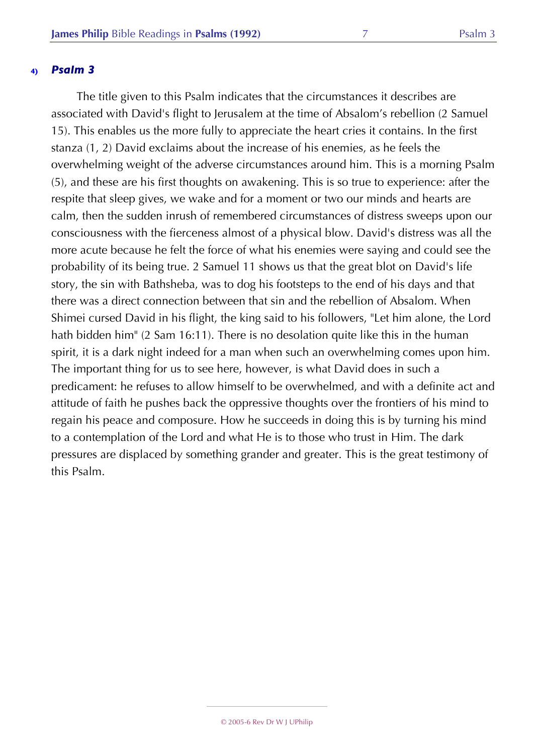The title given to this Psalm indicates that the circumstances it describes are associated with David's flight to Jerusalem at the time of Absalom's rebellion (2 Samuel 15). This enables us the more fully to appreciate the heart cries it contains. In the first stanza (1, 2) David exclaims about the increase of his enemies, as he feels the overwhelming weight of the adverse circumstances around him. This is a morning Psalm (5), and these are his first thoughts on awakening. This is so true to experience: after the respite that sleep gives, we wake and for a moment or two our minds and hearts are calm, then the sudden inrush of remembered circumstances of distress sweeps upon our consciousness with the fierceness almost of a physical blow. David's distress was all the more acute because he felt the force of what his enemies were saying and could see the probability of its being true. 2 Samuel 11 shows us that the great blot on David's life story, the sin with Bathsheba, was to dog his footsteps to the end of his days and that there was a direct connection between that sin and the rebellion of Absalom. When Shimei cursed David in his flight, the king said to his followers, "Let him alone, the Lord hath bidden him" (2 Sam 16:11). There is no desolation quite like this in the human spirit, it is a dark night indeed for a man when such an overwhelming comes upon him. The important thing for us to see here, however, is what David does in such a predicament: he refuses to allow himself to be overwhelmed, and with a definite act and attitude of faith he pushes back the oppressive thoughts over the frontiers of his mind to regain his peace and composure. How he succeeds in doing this is by turning his mind to a contemplation of the Lord and what He is to those who trust in Him. The dark pressures are displaced by something grander and greater. This is the great testimony of this Psalm.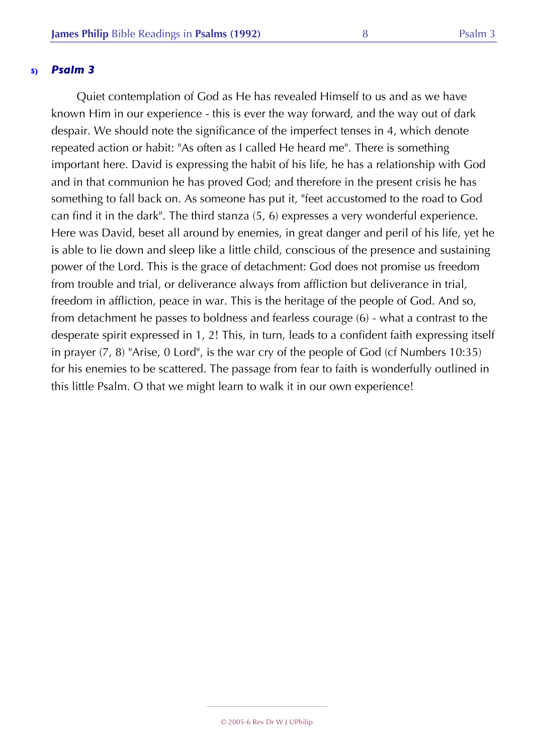Quiet contemplation of God as He has revealed Himself to us and as we have known Him in our experience - this is ever the way forward, and the way out of dark despair. We should note the significance of the imperfect tenses in 4, which denote repeated action or habit: "As often as I called He heard me". There is something important here. David is expressing the habit of his life, he has a relationship with God and in that communion he has proved God; and therefore in the present crisis he has something to fall back on. As someone has put it, "feet accustomed to the road to God can find it in the dark". The third stanza (5, 6) expresses a very wonderful experience. Here was David, beset all around by enemies, in great danger and peril of his life, yet he is able to lie down and sleep like a little child, conscious of the presence and sustaining power of the Lord. This is the grace of detachment: God does not promise us freedom from trouble and trial, or deliverance always from affliction but deliverance in trial, freedom in affliction, peace in war. This is the heritage of the people of God. And so, from detachment he passes to boldness and fearless courage (6) - what a contrast to the desperate spirit expressed in 1, 2! This, in turn, leads to a confident faith expressing itself in prayer (7, 8) "Arise, 0 Lord", is the war cry of the people of God (cf Numbers 10:35) for his enemies to be scattered. The passage from fear to faith is wonderfully outlined in this little Psalm. O that we might learn to walk it in our own experience!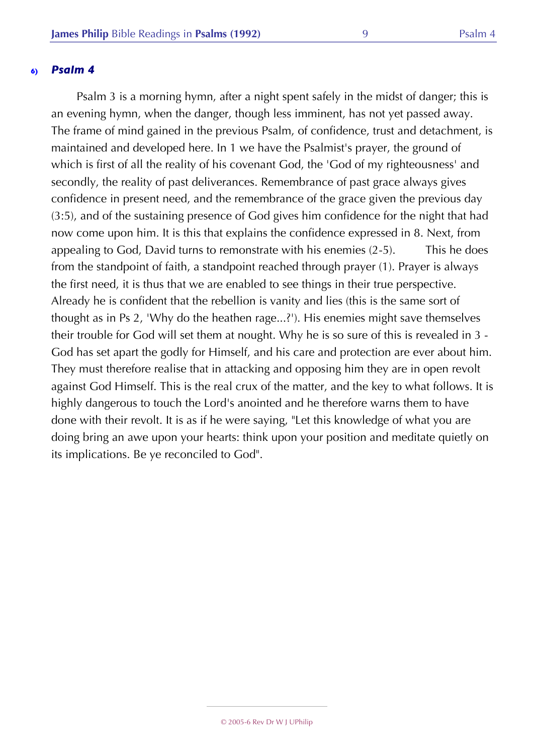Psalm 3 is a morning hymn, after a night spent safely in the midst of danger; this is an evening hymn, when the danger, though less imminent, has not yet passed away. The frame of mind gained in the previous Psalm, of confidence, trust and detachment, is maintained and developed here. In 1 we have the Psalmist's prayer, the ground of which is first of all the reality of his covenant God, the 'God of my righteousness' and secondly, the reality of past deliverances. Remembrance of past grace always gives confidence in present need, and the remembrance of the grace given the previous day (3:5), and of the sustaining presence of God gives him confidence for the night that had now come upon him. It is this that explains the confidence expressed in 8. Next, from appealing to God, David turns to remonstrate with his enemies (2-5). This he does from the standpoint of faith, a standpoint reached through prayer (1). Prayer is always the first need, it is thus that we are enabled to see things in their true perspective. Already he is confident that the rebellion is vanity and lies (this is the same sort of thought as in Ps 2, 'Why do the heathen rage...?'). His enemies might save themselves their trouble for God will set them at nought. Why he is so sure of this is revealed in 3 - God has set apart the godly for Himself, and his care and protection are ever about him. They must therefore realise that in attacking and opposing him they are in open revolt against God Himself. This is the real crux of the matter, and the key to what follows. It is highly dangerous to touch the Lord's anointed and he therefore warns them to have done with their revolt. It is as if he were saying, "Let this knowledge of what you are doing bring an awe upon your hearts: think upon your position and meditate quietly on its implications. Be ye reconciled to God".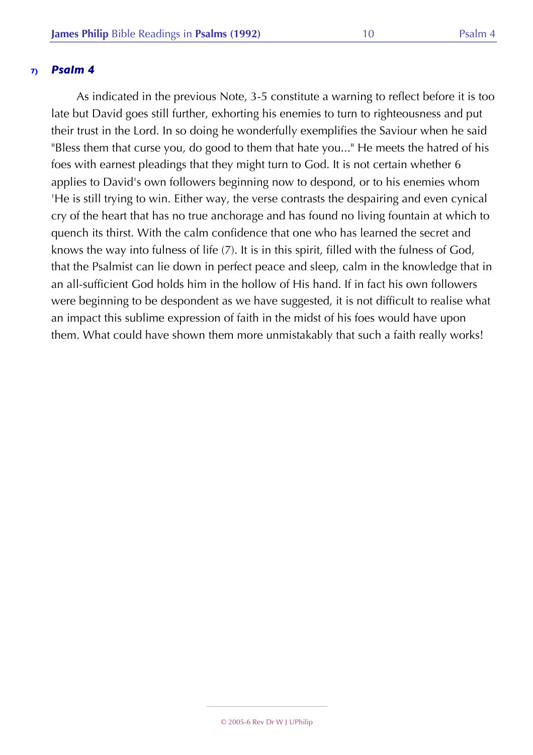As indicated in the previous Note, 3-5 constitute a warning to reflect before it is too late but David goes still further, exhorting his enemies to turn to righteousness and put their trust in the Lord. In so doing he wonderfully exemplifies the Saviour when he said "Bless them that curse you, do good to them that hate you..." He meets the hatred of his foes with earnest pleadings that they might turn to God. It is not certain whether 6 applies to David's own followers beginning now to despond, or to his enemies whom 'He is still trying to win. Either way, the verse contrasts the despairing and even cynical cry of the heart that has no true anchorage and has found no living fountain at which to quench its thirst. With the calm confidence that one who has learned the secret and knows the way into fulness of life (7). It is in this spirit, filled with the fulness of God, that the Psalmist can lie down in perfect peace and sleep, calm in the knowledge that in an all-sufficient God holds him in the hollow of His hand. If in fact his own followers were beginning to be despondent as we have suggested, it is not difficult to realise what an impact this sublime expression of faith in the midst of his foes would have upon them. What could have shown them more unmistakably that such a faith really works!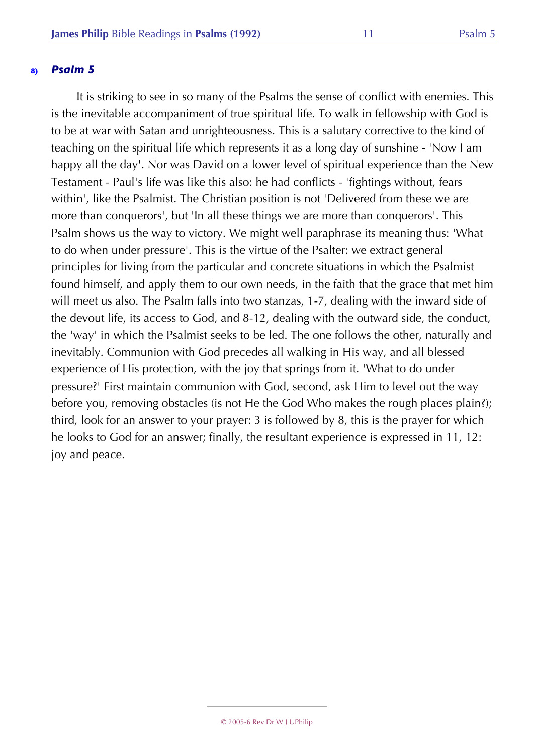It is striking to see in so many of the Psalms the sense of conflict with enemies. This is the inevitable accompaniment of true spiritual life. To walk in fellowship with God is to be at war with Satan and unrighteousness. This is a salutary corrective to the kind of teaching on the spiritual life which represents it as a long day of sunshine - 'Now I am happy all the day'. Nor was David on a lower level of spiritual experience than the New Testament - Paul's life was like this also: he had conflicts - 'fightings without, fears within', like the Psalmist. The Christian position is not 'Delivered from these we are more than conquerors', but 'In all these things we are more than conquerors'. This Psalm shows us the way to victory. We might well paraphrase its meaning thus: 'What to do when under pressure'. This is the virtue of the Psalter: we extract general principles for living from the particular and concrete situations in which the Psalmist found himself, and apply them to our own needs, in the faith that the grace that met him will meet us also. The Psalm falls into two stanzas, 1-7, dealing with the inward side of the devout life, its access to God, and 8-12, dealing with the outward side, the conduct, the 'way' in which the Psalmist seeks to be led. The one follows the other, naturally and inevitably. Communion with God precedes all walking in His way, and all blessed experience of His protection, with the joy that springs from it. 'What to do under pressure?' First maintain communion with God, second, ask Him to level out the way before you, removing obstacles (is not He the God Who makes the rough places plain?); third, look for an answer to your prayer: 3 is followed by 8, this is the prayer for which he looks to God for an answer; finally, the resultant experience is expressed in 11, 12: joy and peace.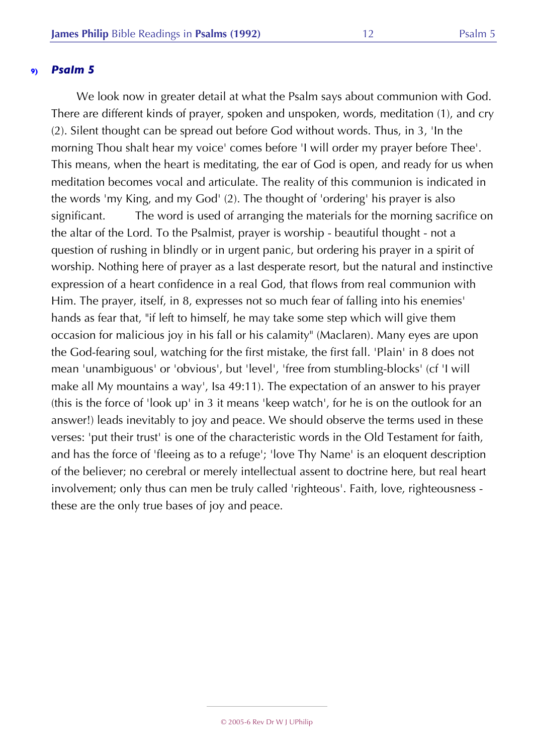We look now in greater detail at what the Psalm says about communion with God. There are different kinds of prayer, spoken and unspoken, words, meditation (1), and cry (2). Silent thought can be spread out before God without words. Thus, in 3, 'In the morning Thou shalt hear my voice' comes before 'I will order my prayer before Thee'. This means, when the heart is meditating, the ear of God is open, and ready for us when meditation becomes vocal and articulate. The reality of this communion is indicated in the words 'my King, and my God' (2). The thought of 'ordering' his prayer is also significant. The word is used of arranging the materials for the morning sacrifice on the altar of the Lord. To the Psalmist, prayer is worship - beautiful thought - not a question of rushing in blindly or in urgent panic, but ordering his prayer in a spirit of worship. Nothing here of prayer as a last desperate resort, but the natural and instinctive expression of a heart confidence in a real God, that flows from real communion with Him. The prayer, itself, in 8, expresses not so much fear of falling into his enemies' hands as fear that, "if left to himself, he may take some step which will give them occasion for malicious joy in his fall or his calamity" (Maclaren). Many eyes are upon the God-fearing soul, watching for the first mistake, the first fall. 'Plain' in 8 does not mean 'unambiguous' or 'obvious', but 'level', 'free from stumbling-blocks' (cf 'I will make all My mountains a way', Isa 49:11). The expectation of an answer to his prayer (this is the force of 'look up' in 3 it means 'keep watch', for he is on the outlook for an answer!) leads inevitably to joy and peace. We should observe the terms used in these verses: 'put their trust' is one of the characteristic words in the Old Testament for faith, and has the force of 'fleeing as to a refuge'; 'love Thy Name' is an eloquent description of the believer; no cerebral or merely intellectual assent to doctrine here, but real heart involvement; only thus can men be truly called 'righteous'. Faith, love, righteousness these are the only true bases of joy and peace.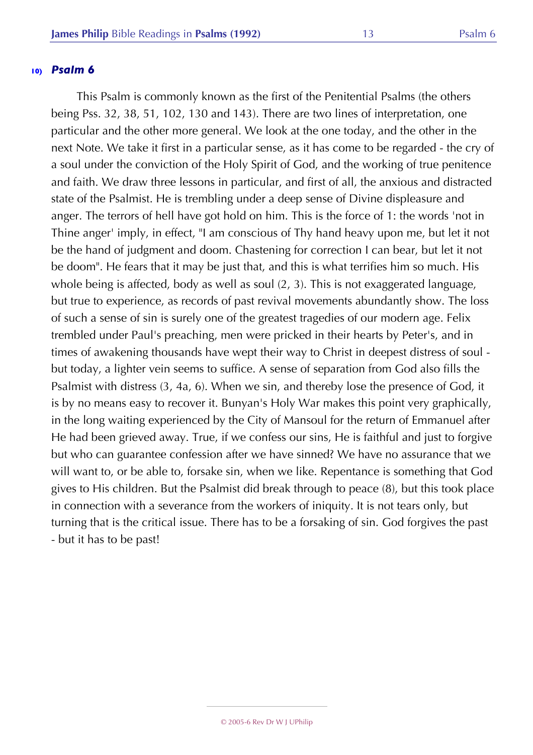This Psalm is commonly known as the first of the Penitential Psalms (the others being Pss. 32, 38, 51, 102, 130 and 143). There are two lines of interpretation, one particular and the other more general. We look at the one today, and the other in the next Note. We take it first in a particular sense, as it has come to be regarded - the cry of a soul under the conviction of the Holy Spirit of God, and the working of true penitence and faith. We draw three lessons in particular, and first of all, the anxious and distracted state of the Psalmist. He is trembling under a deep sense of Divine displeasure and anger. The terrors of hell have got hold on him. This is the force of 1: the words 'not in Thine anger' imply, in effect, "I am conscious of Thy hand heavy upon me, but let it not be the hand of judgment and doom. Chastening for correction I can bear, but let it not be doom". He fears that it may be just that, and this is what terrifies him so much. His whole being is affected, body as well as soul (2, 3). This is not exaggerated language, but true to experience, as records of past revival movements abundantly show. The loss of such a sense of sin is surely one of the greatest tragedies of our modern age. Felix trembled under Paul's preaching, men were pricked in their hearts by Peter's, and in times of awakening thousands have wept their way to Christ in deepest distress of soul but today, a lighter vein seems to suffice. A sense of separation from God also fills the Psalmist with distress (3, 4a, 6). When we sin, and thereby lose the presence of God, it is by no means easy to recover it. Bunyan's Holy War makes this point very graphically, in the long waiting experienced by the City of Mansoul for the return of Emmanuel after He had been grieved away. True, if we confess our sins, He is faithful and just to forgive but who can guarantee confession after we have sinned? We have no assurance that we will want to, or be able to, forsake sin, when we like. Repentance is something that God gives to His children. But the Psalmist did break through to peace (8), but this took place in connection with a severance from the workers of iniquity. It is not tears only, but turning that is the critical issue. There has to be a forsaking of sin. God forgives the past - but it has to be past!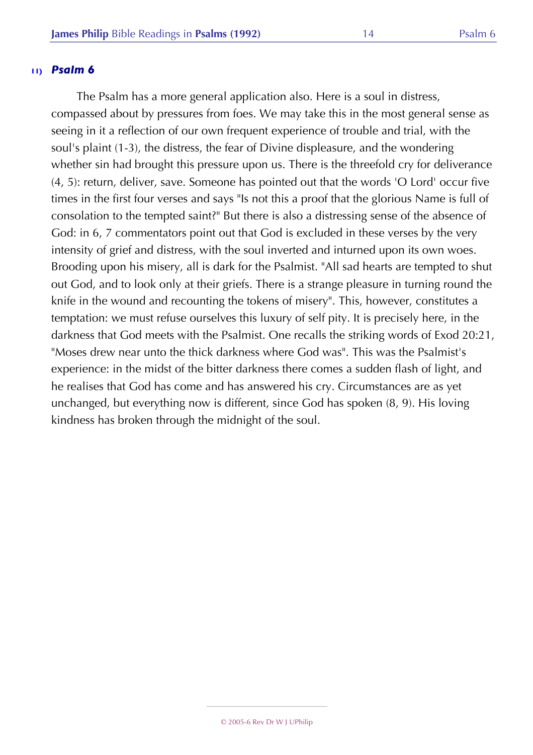The Psalm has a more general application also. Here is a soul in distress, compassed about by pressures from foes. We may take this in the most general sense as seeing in it a reflection of our own frequent experience of trouble and trial, with the soul's plaint (1-3), the distress, the fear of Divine displeasure, and the wondering whether sin had brought this pressure upon us. There is the threefold cry for deliverance (4, 5): return, deliver, save. Someone has pointed out that the words 'O Lord' occur five times in the first four verses and says "Is not this a proof that the glorious Name is full of consolation to the tempted saint?" But there is also a distressing sense of the absence of God: in 6, 7 commentators point out that God is excluded in these verses by the very intensity of grief and distress, with the soul inverted and inturned upon its own woes. Brooding upon his misery, all is dark for the Psalmist. "All sad hearts are tempted to shut out God, and to look only at their griefs. There is a strange pleasure in turning round the knife in the wound and recounting the tokens of misery". This, however, constitutes a temptation: we must refuse ourselves this luxury of self pity. It is precisely here, in the darkness that God meets with the Psalmist. One recalls the striking words of Exod 20:21, "Moses drew near unto the thick darkness where God was". This was the Psalmist's experience: in the midst of the bitter darkness there comes a sudden flash of light, and he realises that God has come and has answered his cry. Circumstances are as yet unchanged, but everything now is different, since God has spoken (8, 9). His loving kindness has broken through the midnight of the soul.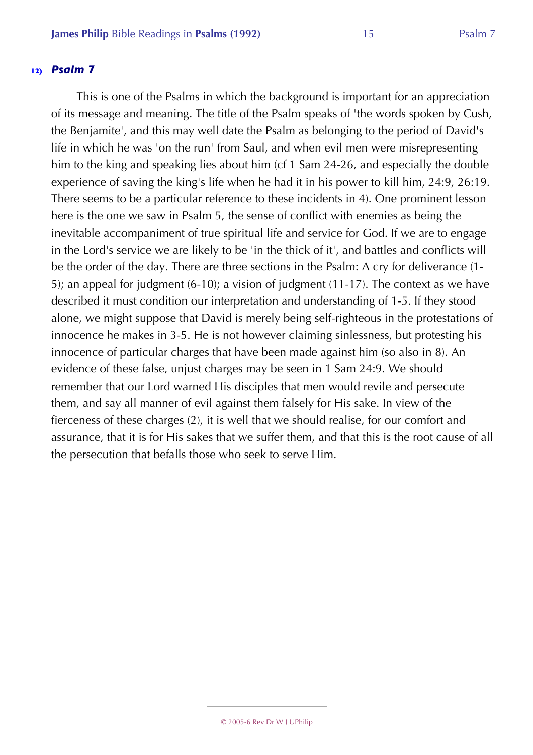This is one of the Psalms in which the background is important for an appreciation of its message and meaning. The title of the Psalm speaks of 'the words spoken by Cush, the Benjamite', and this may well date the Psalm as belonging to the period of David's life in which he was 'on the run' from Saul, and when evil men were misrepresenting him to the king and speaking lies about him (cf 1 Sam 24-26, and especially the double experience of saving the king's life when he had it in his power to kill him, 24:9, 26:19. There seems to be a particular reference to these incidents in 4). One prominent lesson here is the one we saw in Psalm 5, the sense of conflict with enemies as being the inevitable accompaniment of true spiritual life and service for God. If we are to engage in the Lord's service we are likely to be 'in the thick of it', and battles and conflicts will be the order of the day. There are three sections in the Psalm: A cry for deliverance (1- 5); an appeal for judgment (6-10); a vision of judgment (11-17). The context as we have described it must condition our interpretation and understanding of 1-5. If they stood alone, we might suppose that David is merely being self-righteous in the protestations of innocence he makes in 3-5. He is not however claiming sinlessness, but protesting his innocence of particular charges that have been made against him (so also in 8). An evidence of these false, unjust charges may be seen in 1 Sam 24:9. We should remember that our Lord warned His disciples that men would revile and persecute them, and say all manner of evil against them falsely for His sake. In view of the fierceness of these charges (2), it is well that we should realise, for our comfort and assurance, that it is for His sakes that we suffer them, and that this is the root cause of all the persecution that befalls those who seek to serve Him.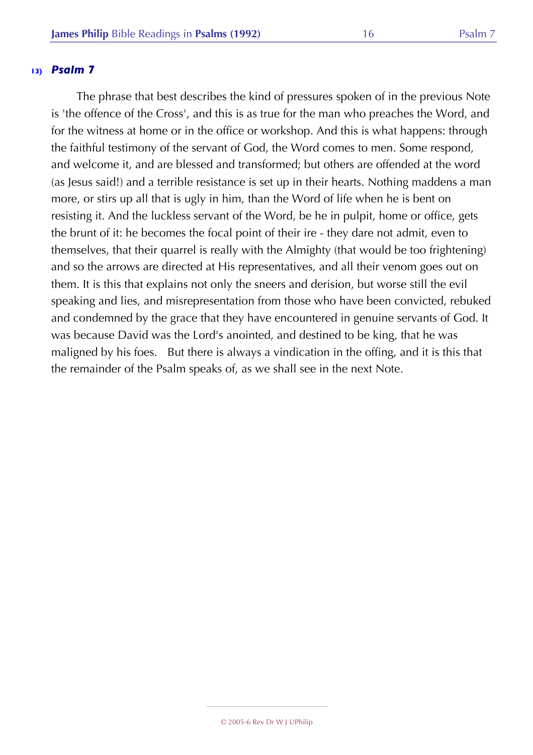The phrase that best describes the kind of pressures spoken of in the previous Note is 'the offence of the Cross', and this is as true for the man who preaches the Word, and for the witness at home or in the office or workshop. And this is what happens: through the faithful testimony of the servant of God, the Word comes to men. Some respond, and welcome it, and are blessed and transformed; but others are offended at the word (as Jesus said!) and a terrible resistance is set up in their hearts. Nothing maddens a man more, or stirs up all that is ugly in him, than the Word of life when he is bent on resisting it. And the luckless servant of the Word, be he in pulpit, home or office, gets the brunt of it: he becomes the focal point of their ire - they dare not admit, even to themselves, that their quarrel is really with the Almighty (that would be too frightening) and so the arrows are directed at His representatives, and all their venom goes out on them. It is this that explains not only the sneers and derision, but worse still the evil speaking and lies, and misrepresentation from those who have been convicted, rebuked and condemned by the grace that they have encountered in genuine servants of God. It was because David was the Lord's anointed, and destined to be king, that he was maligned by his foes. But there is always a vindication in the offing, and it is this that the remainder of the Psalm speaks of, as we shall see in the next Note.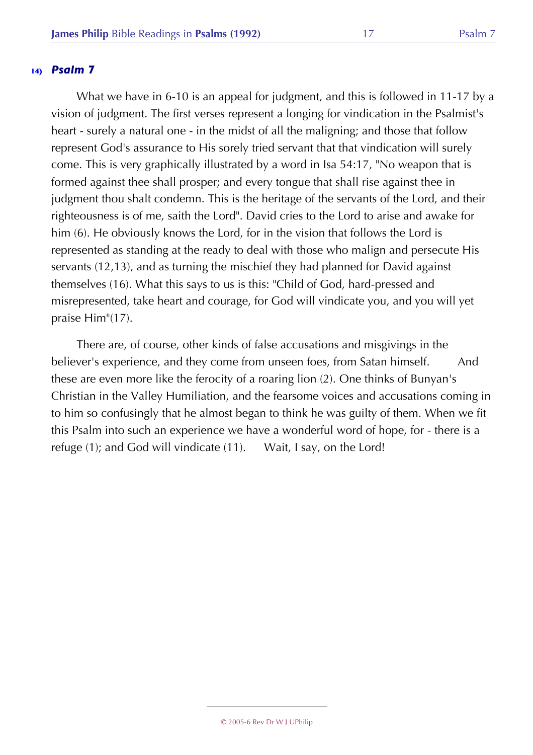What we have in 6-10 is an appeal for judgment, and this is followed in 11-17 by a vision of judgment. The first verses represent a longing for vindication in the Psalmist's heart - surely a natural one - in the midst of all the maligning; and those that follow represent God's assurance to His sorely tried servant that that vindication will surely come. This is very graphically illustrated by a word in Isa 54:17, "No weapon that is formed against thee shall prosper; and every tongue that shall rise against thee in judgment thou shalt condemn. This is the heritage of the servants of the Lord, and their righteousness is of me, saith the Lord". David cries to the Lord to arise and awake for him (6). He obviously knows the Lord, for in the vision that follows the Lord is represented as standing at the ready to deal with those who malign and persecute His servants (12,13), and as turning the mischief they had planned for David against themselves (16). What this says to us is this: "Child of God, hard-pressed and misrepresented, take heart and courage, for God will vindicate you, and you will yet praise Him"(17).

There are, of course, other kinds of false accusations and misgivings in the believer's experience, and they come from unseen foes, from Satan himself. And these are even more like the ferocity of a roaring lion (2). One thinks of Bunyan's Christian in the Valley Humiliation, and the fearsome voices and accusations coming in to him so confusingly that he almost began to think he was guilty of them. When we fit this Psalm into such an experience we have a wonderful word of hope, for - there is a refuge (1); and God will vindicate (11). Wait, I say, on the Lord!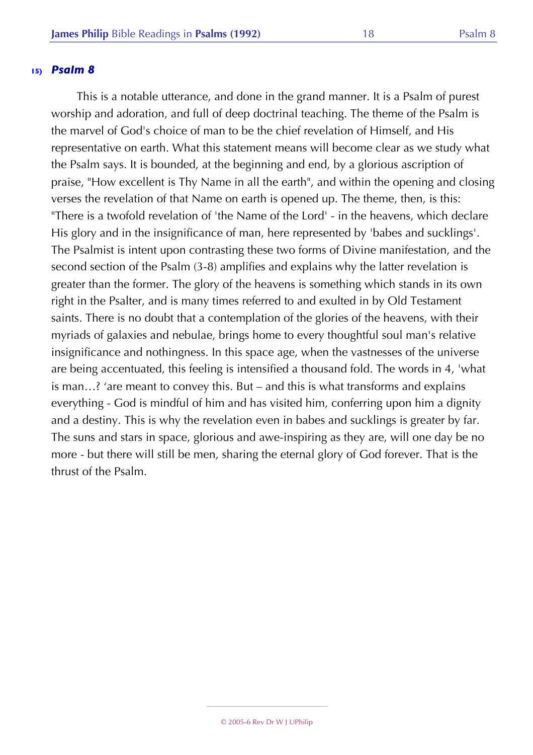This is a notable utterance, and done in the grand manner. It is a Psalm of purest worship and adoration, and full of deep doctrinal teaching. The theme of the Psalm is the marvel of God's choice of man to be the chief revelation of Himself, and His representative on earth. What this statement means will become clear as we study what the Psalm says. It is bounded, at the beginning and end, by a glorious ascription of praise, "How excellent is Thy Name in all the earth", and within the opening and closing verses the revelation of that Name on earth is opened up. The theme, then, is this: "There is a twofold revelation of 'the Name of the Lord' - in the heavens, which declare His glory and in the insignificance of man, here represented by 'babes and sucklings'. The Psalmist is intent upon contrasting these two forms of Divine manifestation, and the second section of the Psalm (3-8) amplifies and explains why the latter revelation is greater than the former. The glory of the heavens is something which stands in its own right in the Psalter, and is many times referred to and exulted in by Old Testament saints. There is no doubt that a contemplation of the glories of the heavens, with their myriads of galaxies and nebulae, brings home to every thoughtful soul man's relative insignificance and nothingness. In this space age, when the vastnesses of the universe are being accentuated, this feeling is intensified a thousand fold. The words in 4, 'what is man…? 'are meant to convey this. But – and this is what transforms and explains everything - God is mindful of him and has visited him, conferring upon him a dignity and a destiny. This is why the revelation even in babes and sucklings is greater by far. The suns and stars in space, glorious and awe-inspiring as they are, will one day be no more - but there will still be men, sharing the eternal glory of God forever. That is the thrust of the Psalm.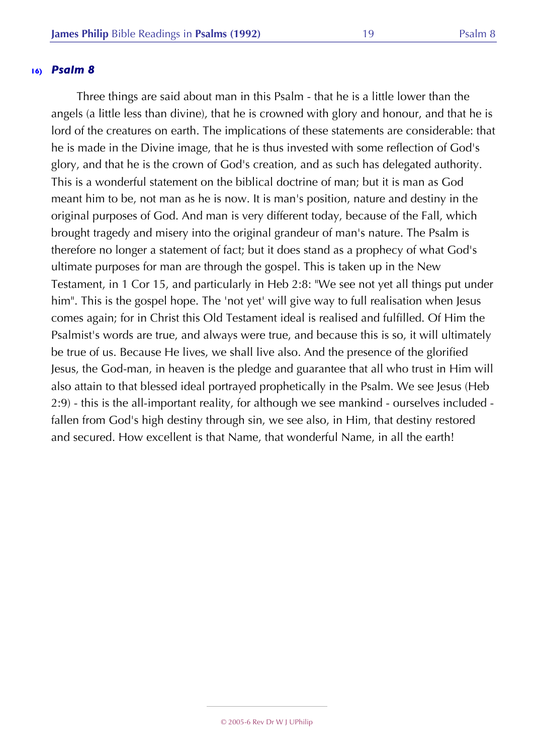Three things are said about man in this Psalm - that he is a little lower than the angels (a little less than divine), that he is crowned with glory and honour, and that he is lord of the creatures on earth. The implications of these statements are considerable: that he is made in the Divine image, that he is thus invested with some reflection of God's glory, and that he is the crown of God's creation, and as such has delegated authority. This is a wonderful statement on the biblical doctrine of man; but it is man as God meant him to be, not man as he is now. It is man's position, nature and destiny in the original purposes of God. And man is very different today, because of the Fall, which brought tragedy and misery into the original grandeur of man's nature. The Psalm is therefore no longer a statement of fact; but it does stand as a prophecy of what God's ultimate purposes for man are through the gospel. This is taken up in the New Testament, in 1 Cor 15, and particularly in Heb 2:8: "We see not yet all things put under him". This is the gospel hope. The 'not yet' will give way to full realisation when Jesus comes again; for in Christ this Old Testament ideal is realised and fulfilled. Of Him the Psalmist's words are true, and always were true, and because this is so, it will ultimately be true of us. Because He lives, we shall live also. And the presence of the glorified Jesus, the God-man, in heaven is the pledge and guarantee that all who trust in Him will also attain to that blessed ideal portrayed prophetically in the Psalm. We see Jesus (Heb 2:9) - this is the all-important reality, for although we see mankind - ourselves included fallen from God's high destiny through sin, we see also, in Him, that destiny restored and secured. How excellent is that Name, that wonderful Name, in all the earth!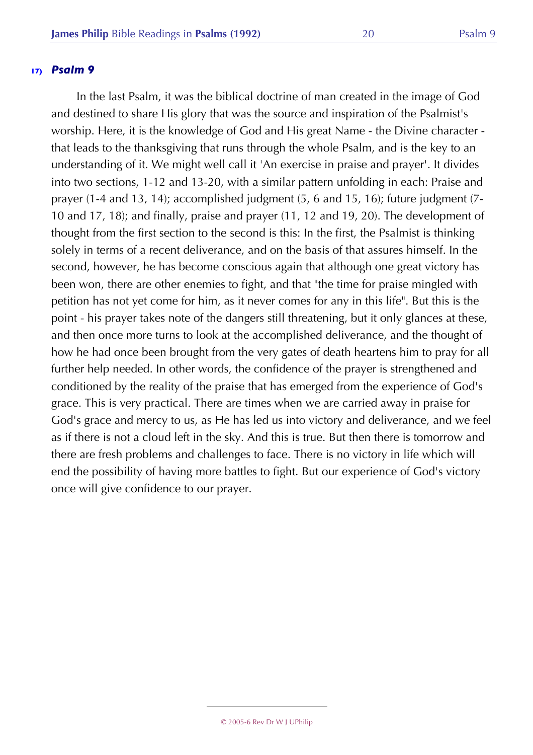In the last Psalm, it was the biblical doctrine of man created in the image of God and destined to share His glory that was the source and inspiration of the Psalmist's worship. Here, it is the knowledge of God and His great Name - the Divine character that leads to the thanksgiving that runs through the whole Psalm, and is the key to an understanding of it. We might well call it 'An exercise in praise and prayer'. It divides into two sections, 1-12 and 13-20, with a similar pattern unfolding in each: Praise and prayer (1-4 and 13, 14); accomplished judgment (5, 6 and 15, 16); future judgment (7- 10 and 17, 18); and finally, praise and prayer (11, 12 and 19, 20). The development of thought from the first section to the second is this: In the first, the Psalmist is thinking solely in terms of a recent deliverance, and on the basis of that assures himself. In the second, however, he has become conscious again that although one great victory has been won, there are other enemies to fight, and that "the time for praise mingled with petition has not yet come for him, as it never comes for any in this life". But this is the point - his prayer takes note of the dangers still threatening, but it only glances at these, and then once more turns to look at the accomplished deliverance, and the thought of how he had once been brought from the very gates of death heartens him to pray for all further help needed. In other words, the confidence of the prayer is strengthened and conditioned by the reality of the praise that has emerged from the experience of God's grace. This is very practical. There are times when we are carried away in praise for God's grace and mercy to us, as He has led us into victory and deliverance, and we feel as if there is not a cloud left in the sky. And this is true. But then there is tomorrow and there are fresh problems and challenges to face. There is no victory in life which will end the possibility of having more battles to fight. But our experience of God's victory once will give confidence to our prayer.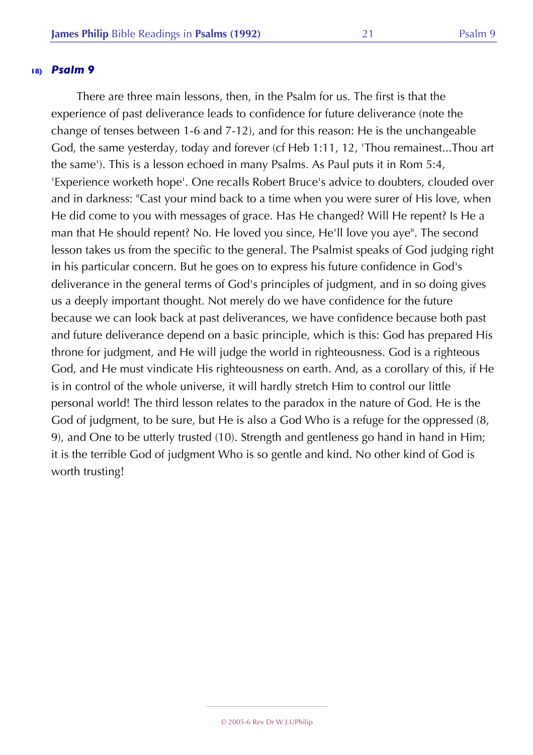There are three main lessons, then, in the Psalm for us. The first is that the experience of past deliverance leads to confidence for future deliverance (note the change of tenses between 1-6 and 7-12), and for this reason: He is the unchangeable God, the same yesterday, today and forever (cf Heb 1:11, 12, 'Thou remainest...Thou art the same'). This is a lesson echoed in many Psalms. As Paul puts it in Rom 5:4, 'Experience worketh hope'. One recalls Robert Bruce's advice to doubters, clouded over and in darkness: "Cast your mind back to a time when you were surer of His love, when He did come to you with messages of grace. Has He changed? Will He repent? Is He a man that He should repent? No. He loved you since, He'll love you aye". The second lesson takes us from the specific to the general. The Psalmist speaks of God judging right in his particular concern. But he goes on to express his future confidence in God's deliverance in the general terms of God's principles of judgment, and in so doing gives us a deeply important thought. Not merely do we have confidence for the future because we can look back at past deliverances, we have confidence because both past and future deliverance depend on a basic principle, which is this: God has prepared His throne for judgment, and He will judge the world in righteousness. God is a righteous God, and He must vindicate His righteousness on earth. And, as a corollary of this, if He is in control of the whole universe, it will hardly stretch Him to control our little personal world! The third lesson relates to the paradox in the nature of God. He is the God of judgment, to be sure, but He is also a God Who is a refuge for the oppressed (8, 9), and One to be utterly trusted (10). Strength and gentleness go hand in hand in Him; it is the terrible God of judgment Who is so gentle and kind. No other kind of God is worth trusting!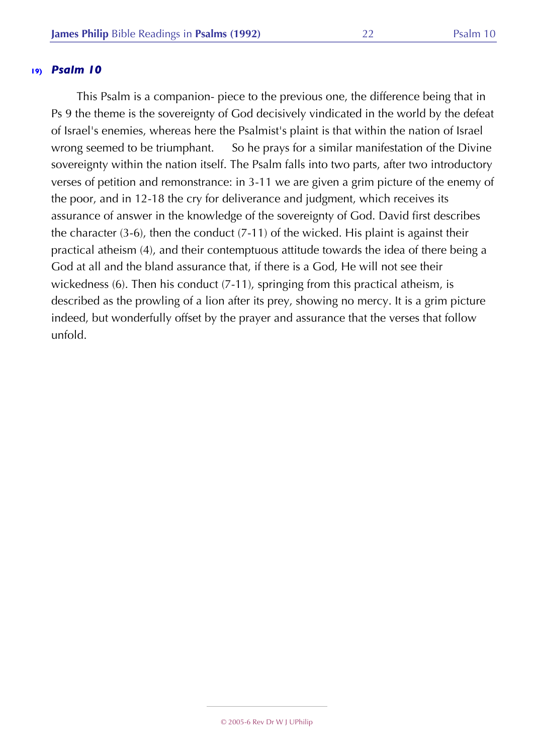This Psalm is a companion- piece to the previous one, the difference being that in Ps 9 the theme is the sovereignty of God decisively vindicated in the world by the defeat of Israel's enemies, whereas here the Psalmist's plaint is that within the nation of Israel wrong seemed to be triumphant. So he prays for a similar manifestation of the Divine sovereignty within the nation itself. The Psalm falls into two parts, after two introductory verses of petition and remonstrance: in 3-11 we are given a grim picture of the enemy of the poor, and in 12-18 the cry for deliverance and judgment, which receives its assurance of answer in the knowledge of the sovereignty of God. David first describes the character (3-6), then the conduct (7-11) of the wicked. His plaint is against their practical atheism (4), and their contemptuous attitude towards the idea of there being a God at all and the bland assurance that, if there is a God, He will not see their wickedness (6). Then his conduct (7-11), springing from this practical atheism, is described as the prowling of a lion after its prey, showing no mercy. It is a grim picture indeed, but wonderfully offset by the prayer and assurance that the verses that follow unfold.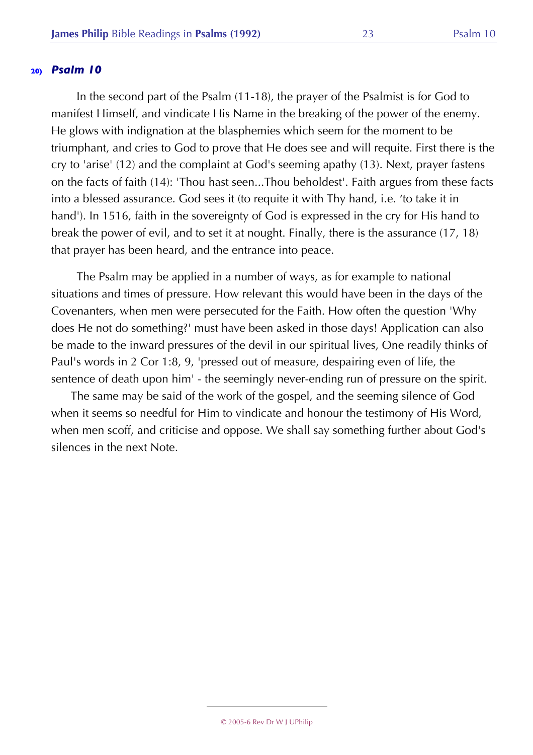In the second part of the Psalm (11-18), the prayer of the Psalmist is for God to manifest Himself, and vindicate His Name in the breaking of the power of the enemy. He glows with indignation at the blasphemies which seem for the moment to be triumphant, and cries to God to prove that He does see and will requite. First there is the cry to 'arise' (12) and the complaint at God's seeming apathy (13). Next, prayer fastens on the facts of faith (14): 'Thou hast seen...Thou beholdest'. Faith argues from these facts into a blessed assurance. God sees it (to requite it with Thy hand, i.e. 'to take it in hand'). In 1516, faith in the sovereignty of God is expressed in the cry for His hand to break the power of evil, and to set it at nought. Finally, there is the assurance (17, 18) that prayer has been heard, and the entrance into peace.

The Psalm may be applied in a number of ways, as for example to national situations and times of pressure. How relevant this would have been in the days of the Covenanters, when men were persecuted for the Faith. How often the question 'Why does He not do something?' must have been asked in those days! Application can also be made to the inward pressures of the devil in our spiritual lives, One readily thinks of Paul's words in 2 Cor 1:8, 9, 'pressed out of measure, despairing even of life, the sentence of death upon him' - the seemingly never-ending run of pressure on the spirit.

The same may be said of the work of the gospel, and the seeming silence of God when it seems so needful for Him to vindicate and honour the testimony of His Word, when men scoff, and criticise and oppose. We shall say something further about God's silences in the next Note.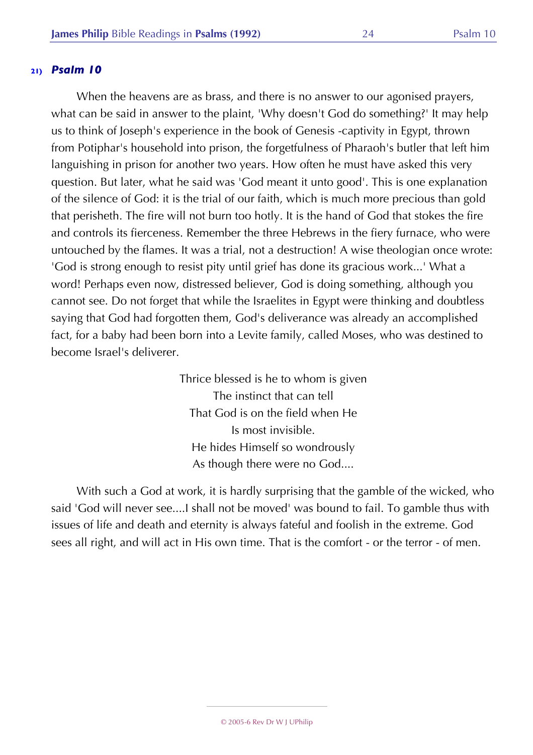When the heavens are as brass, and there is no answer to our agonised prayers, what can be said in answer to the plaint, 'Why doesn't God do something?' It may help us to think of Joseph's experience in the book of Genesis -captivity in Egypt, thrown from Potiphar's household into prison, the forgetfulness of Pharaoh's butler that left him languishing in prison for another two years. How often he must have asked this very question. But later, what he said was 'God meant it unto good'. This is one explanation of the silence of God: it is the trial of our faith, which is much more precious than gold that perisheth. The fire will not burn too hotly. It is the hand of God that stokes the fire and controls its fierceness. Remember the three Hebrews in the fiery furnace, who were untouched by the flames. It was a trial, not a destruction! A wise theologian once wrote: 'God is strong enough to resist pity until grief has done its gracious work...' What a word! Perhaps even now, distressed believer, God is doing something, although you cannot see. Do not forget that while the Israelites in Egypt were thinking and doubtless saying that God had forgotten them, God's deliverance was already an accomplished fact, for a baby had been born into a Levite family, called Moses, who was destined to become Israel's deliverer.

> Thrice blessed is he to whom is given The instinct that can tell That God is on the field when He Is most invisible. He hides Himself so wondrously As though there were no God....

With such a God at work, it is hardly surprising that the gamble of the wicked, who said 'God will never see....I shall not be moved' was bound to fail. To gamble thus with issues of life and death and eternity is always fateful and foolish in the extreme. God sees all right, and will act in His own time. That is the comfort - or the terror - of men.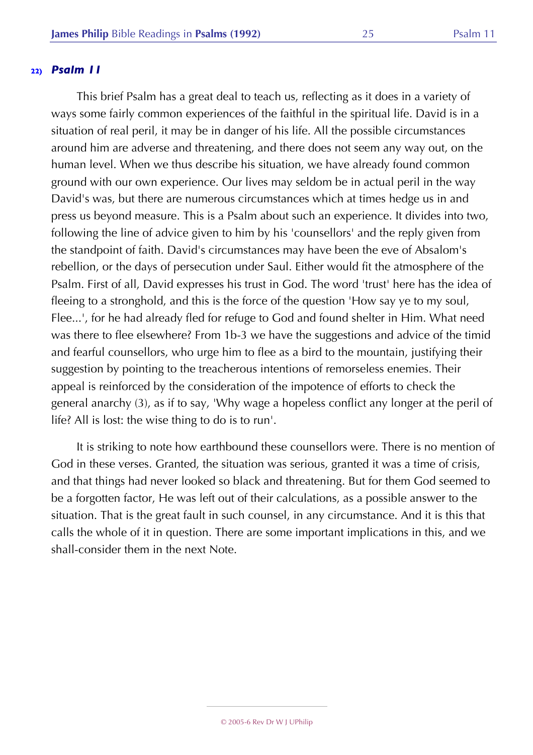This brief Psalm has a great deal to teach us, reflecting as it does in a variety of ways some fairly common experiences of the faithful in the spiritual life. David is in a situation of real peril, it may be in danger of his life. All the possible circumstances around him are adverse and threatening, and there does not seem any way out, on the human level. When we thus describe his situation, we have already found common ground with our own experience. Our lives may seldom be in actual peril in the way David's was, but there are numerous circumstances which at times hedge us in and press us beyond measure. This is a Psalm about such an experience. It divides into two, following the line of advice given to him by his 'counsellors' and the reply given from the standpoint of faith. David's circumstances may have been the eve of Absalom's rebellion, or the days of persecution under Saul. Either would fit the atmosphere of the Psalm. First of all, David expresses his trust in God. The word 'trust' here has the idea of fleeing to a stronghold, and this is the force of the question 'How say ye to my soul, Flee...', for he had already fled for refuge to God and found shelter in Him. What need was there to flee elsewhere? From 1b-3 we have the suggestions and advice of the timid and fearful counsellors, who urge him to flee as a bird to the mountain, justifying their suggestion by pointing to the treacherous intentions of remorseless enemies. Their appeal is reinforced by the consideration of the impotence of efforts to check the general anarchy (3), as if to say, 'Why wage a hopeless conflict any longer at the peril of life? All is lost: the wise thing to do is to run'.

It is striking to note how earthbound these counsellors were. There is no mention of God in these verses. Granted, the situation was serious, granted it was a time of crisis, and that things had never looked so black and threatening. But for them God seemed to be a forgotten factor, He was left out of their calculations, as a possible answer to the situation. That is the great fault in such counsel, in any circumstance. And it is this that calls the whole of it in question. There are some important implications in this, and we shall-consider them in the next Note.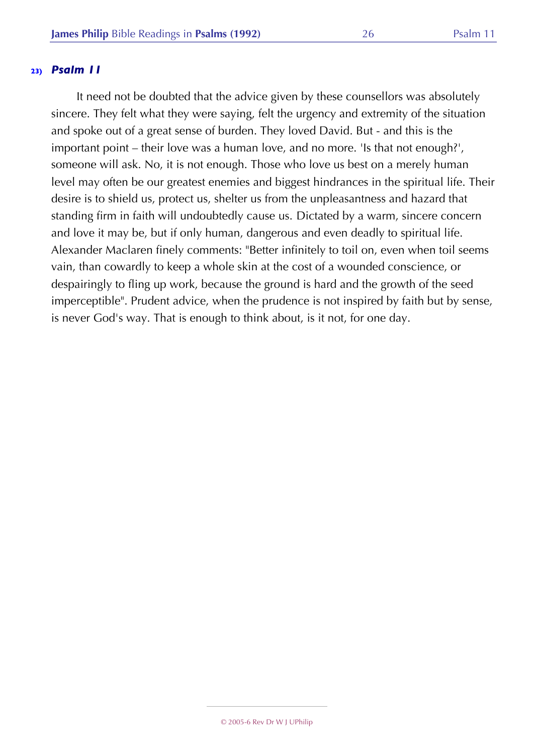It need not be doubted that the advice given by these counsellors was absolutely sincere. They felt what they were saying, felt the urgency and extremity of the situation and spoke out of a great sense of burden. They loved David. But - and this is the important point – their love was a human love, and no more. 'Is that not enough?', someone will ask. No, it is not enough. Those who love us best on a merely human level may often be our greatest enemies and biggest hindrances in the spiritual life. Their desire is to shield us, protect us, shelter us from the unpleasantness and hazard that standing firm in faith will undoubtedly cause us. Dictated by a warm, sincere concern and love it may be, but if only human, dangerous and even deadly to spiritual life. Alexander Maclaren finely comments: "Better infinitely to toil on, even when toil seems vain, than cowardly to keep a whole skin at the cost of a wounded conscience, or despairingly to fling up work, because the ground is hard and the growth of the seed imperceptible". Prudent advice, when the prudence is not inspired by faith but by sense, is never God's way. That is enough to think about, is it not, for one day.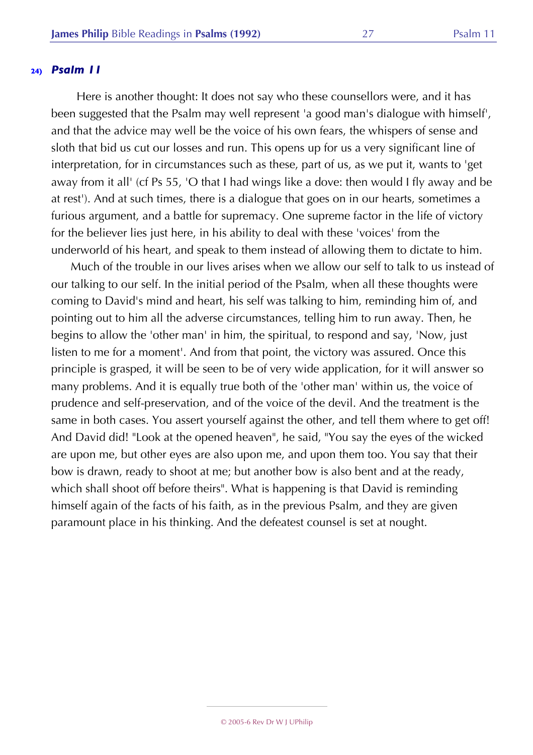Here is another thought: It does not say who these counsellors were, and it has been suggested that the Psalm may well represent 'a good man's dialogue with himself', and that the advice may well be the voice of his own fears, the whispers of sense and sloth that bid us cut our losses and run. This opens up for us a very significant line of interpretation, for in circumstances such as these, part of us, as we put it, wants to 'get away from it all' (cf Ps 55, 'O that I had wings like a dove: then would I fly away and be at rest'). And at such times, there is a dialogue that goes on in our hearts, sometimes a furious argument, and a battle for supremacy. One supreme factor in the life of victory for the believer lies just here, in his ability to deal with these 'voices' from the underworld of his heart, and speak to them instead of allowing them to dictate to him.

Much of the trouble in our lives arises when we allow our self to talk to us instead of our talking to our self. In the initial period of the Psalm, when all these thoughts were coming to David's mind and heart, his self was talking to him, reminding him of, and pointing out to him all the adverse circumstances, telling him to run away. Then, he begins to allow the 'other man' in him, the spiritual, to respond and say, 'Now, just listen to me for a moment'. And from that point, the victory was assured. Once this principle is grasped, it will be seen to be of very wide application, for it will answer so many problems. And it is equally true both of the 'other man' within us, the voice of prudence and self-preservation, and of the voice of the devil. And the treatment is the same in both cases. You assert yourself against the other, and tell them where to get off! And David did! "Look at the opened heaven", he said, "You say the eyes of the wicked are upon me, but other eyes are also upon me, and upon them too. You say that their bow is drawn, ready to shoot at me; but another bow is also bent and at the ready, which shall shoot off before theirs". What is happening is that David is reminding himself again of the facts of his faith, as in the previous Psalm, and they are given paramount place in his thinking. And the defeatest counsel is set at nought.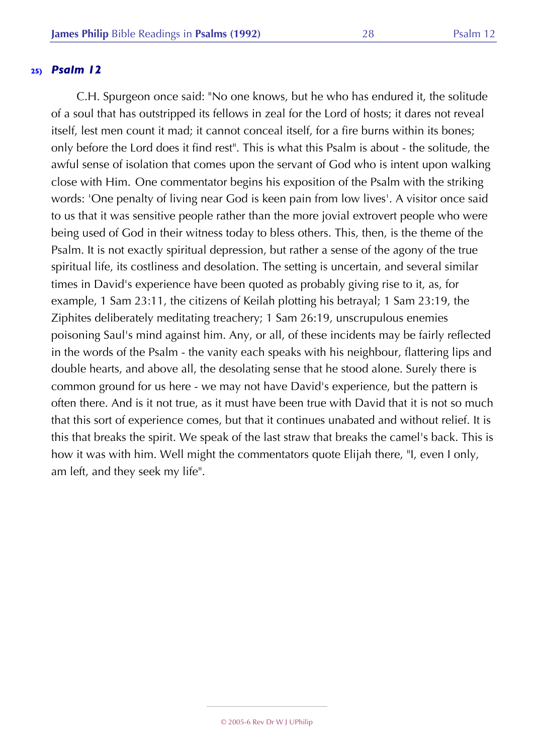C.H. Spurgeon once said: "No one knows, but he who has endured it, the solitude of a soul that has outstripped its fellows in zeal for the Lord of hosts; it dares not reveal itself, lest men count it mad; it cannot conceal itself, for a fire burns within its bones; only before the Lord does it find rest". This is what this Psalm is about - the solitude, the awful sense of isolation that comes upon the servant of God who is intent upon walking close with Him. One commentator begins his exposition of the Psalm with the striking words: 'One penalty of living near God is keen pain from low lives'. A visitor once said to us that it was sensitive people rather than the more jovial extrovert people who were being used of God in their witness today to bless others. This, then, is the theme of the Psalm. It is not exactly spiritual depression, but rather a sense of the agony of the true spiritual life, its costliness and desolation. The setting is uncertain, and several similar times in David's experience have been quoted as probably giving rise to it, as, for example, 1 Sam 23:11, the citizens of Keilah plotting his betrayal; 1 Sam 23:19, the Ziphites deliberately meditating treachery; 1 Sam 26:19, unscrupulous enemies poisoning Saul's mind against him. Any, or all, of these incidents may be fairly reflected in the words of the Psalm - the vanity each speaks with his neighbour, flattering lips and double hearts, and above all, the desolating sense that he stood alone. Surely there is common ground for us here - we may not have David's experience, but the pattern is often there. And is it not true, as it must have been true with David that it is not so much that this sort of experience comes, but that it continues unabated and without relief. It is this that breaks the spirit. We speak of the last straw that breaks the camel's back. This is how it was with him. Well might the commentators quote Elijah there, "I, even I only, am left, and they seek my life".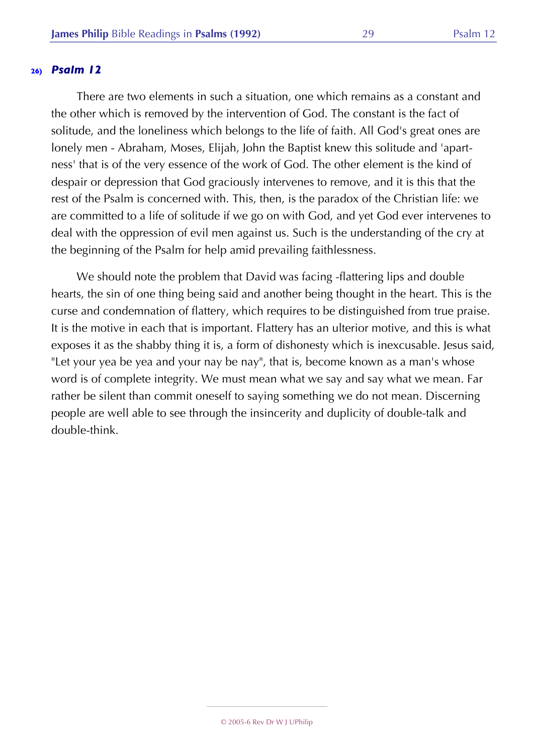There are two elements in such a situation, one which remains as a constant and the other which is removed by the intervention of God. The constant is the fact of solitude, and the loneliness which belongs to the life of faith. All God's great ones are lonely men - Abraham, Moses, Elijah, John the Baptist knew this solitude and 'apartness' that is of the very essence of the work of God. The other element is the kind of despair or depression that God graciously intervenes to remove, and it is this that the rest of the Psalm is concerned with. This, then, is the paradox of the Christian life: we are committed to a life of solitude if we go on with God, and yet God ever intervenes to deal with the oppression of evil men against us. Such is the understanding of the cry at the beginning of the Psalm for help amid prevailing faithlessness.

We should note the problem that David was facing -flattering lips and double hearts, the sin of one thing being said and another being thought in the heart. This is the curse and condemnation of flattery, which requires to be distinguished from true praise. It is the motive in each that is important. Flattery has an ulterior motive, and this is what exposes it as the shabby thing it is, a form of dishonesty which is inexcusable. Jesus said, "Let your yea be yea and your nay be nay", that is, become known as a man's whose word is of complete integrity. We must mean what we say and say what we mean. Far rather be silent than commit oneself to saying something we do not mean. Discerning people are well able to see through the insincerity and duplicity of double-talk and double-think.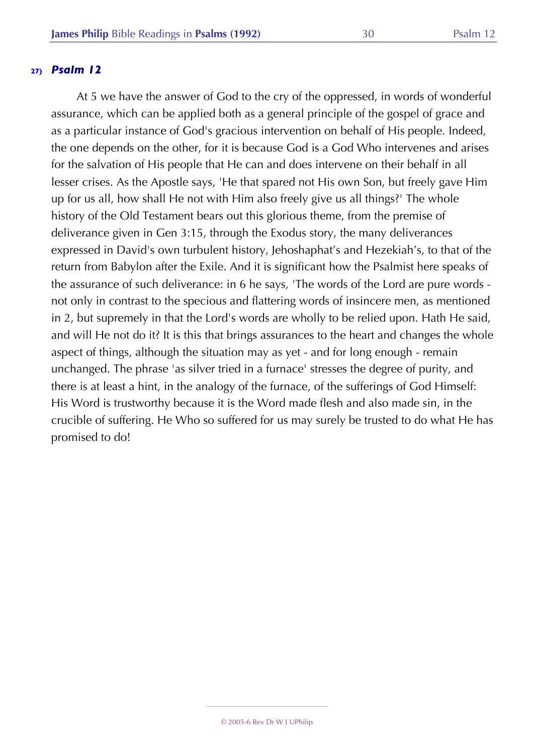At 5 we have the answer of God to the cry of the oppressed, in words of wonderful assurance, which can be applied both as a general principle of the gospel of grace and as a particular instance of God's gracious intervention on behalf of His people. Indeed, the one depends on the other, for it is because God is a God Who intervenes and arises for the salvation of His people that He can and does intervene on their behalf in all lesser crises. As the Apostle says, 'He that spared not His own Son, but freely gave Him up for us all, how shall He not with Him also freely give us all things?' The whole history of the Old Testament bears out this glorious theme, from the premise of deliverance given in Gen 3:15, through the Exodus story, the many deliverances expressed in David's own turbulent history, Jehoshaphat's and Hezekiah's, to that of the return from Babylon after the Exile. And it is significant how the Psalmist here speaks of the assurance of such deliverance: in 6 he says, 'The words of the Lord are pure words not only in contrast to the specious and flattering words of insincere men, as mentioned in 2, but supremely in that the Lord's words are wholly to be relied upon. Hath He said, and will He not do it? It is this that brings assurances to the heart and changes the whole aspect of things, although the situation may as yet - and for long enough - remain unchanged. The phrase 'as silver tried in a furnace' stresses the degree of purity, and there is at least a hint, in the analogy of the furnace, of the sufferings of God Himself: His Word is trustworthy because it is the Word made flesh and also made sin, in the crucible of suffering. He Who so suffered for us may surely be trusted to do what He has promised to do!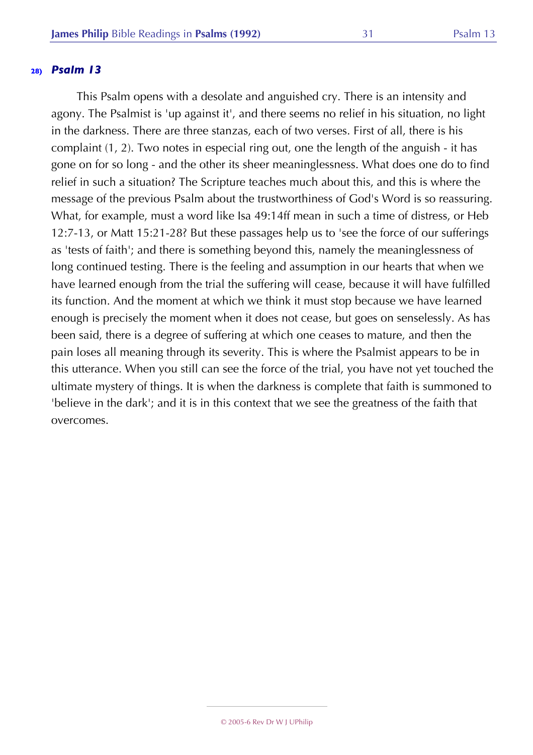This Psalm opens with a desolate and anguished cry. There is an intensity and agony. The Psalmist is 'up against it', and there seems no relief in his situation, no light in the darkness. There are three stanzas, each of two verses. First of all, there is his complaint (1, 2). Two notes in especial ring out, one the length of the anguish - it has gone on for so long - and the other its sheer meaninglessness. What does one do to find relief in such a situation? The Scripture teaches much about this, and this is where the message of the previous Psalm about the trustworthiness of God's Word is so reassuring. What, for example, must a word like Isa 49:14ff mean in such a time of distress, or Heb 12:7-13, or Matt 15:21-28? But these passages help us to 'see the force of our sufferings as 'tests of faith'; and there is something beyond this, namely the meaninglessness of long continued testing. There is the feeling and assumption in our hearts that when we have learned enough from the trial the suffering will cease, because it will have fulfilled its function. And the moment at which we think it must stop because we have learned enough is precisely the moment when it does not cease, but goes on senselessly. As has been said, there is a degree of suffering at which one ceases to mature, and then the pain loses all meaning through its severity. This is where the Psalmist appears to be in this utterance. When you still can see the force of the trial, you have not yet touched the ultimate mystery of things. It is when the darkness is complete that faith is summoned to 'believe in the dark'; and it is in this context that we see the greatness of the faith that overcomes.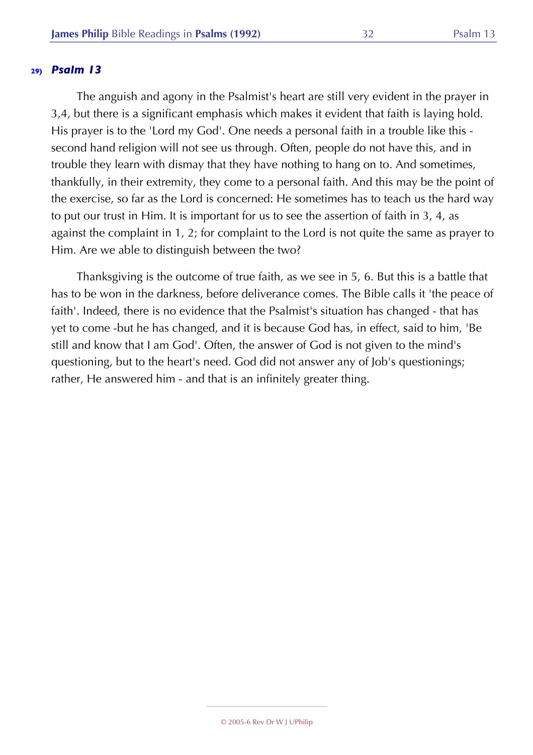The anguish and agony in the Psalmist's heart are still very evident in the prayer in 3,4, but there is a significant emphasis which makes it evident that faith is laying hold. His prayer is to the 'Lord my God'. One needs a personal faith in a trouble like this second hand religion will not see us through. Often, people do not have this, and in trouble they learn with dismay that they have nothing to hang on to. And sometimes, thankfully, in their extremity, they come to a personal faith. And this may be the point of the exercise, so far as the Lord is concerned: He sometimes has to teach us the hard way to put our trust in Him. It is important for us to see the assertion of faith in 3, 4, as against the complaint in 1, 2; for complaint to the Lord is not quite the same as prayer to Him. Are we able to distinguish between the two?

Thanksgiving is the outcome of true faith, as we see in 5, 6. But this is a battle that has to be won in the darkness, before deliverance comes. The Bible calls it 'the peace of faith'. Indeed, there is no evidence that the Psalmist's situation has changed - that has yet to come -but he has changed, and it is because God has, in effect, said to him, 'Be still and know that I am God'. Often, the answer of God is not given to the mind's questioning, but to the heart's need. God did not answer any of Job's questionings; rather, He answered him - and that is an infinitely greater thing.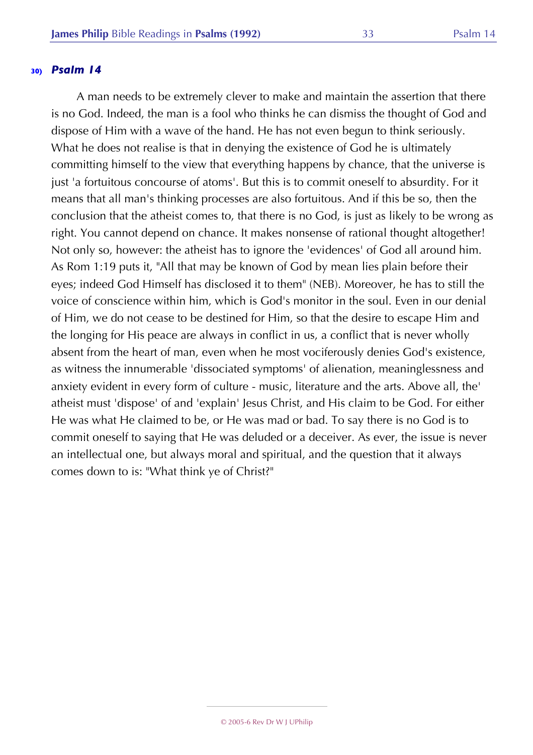A man needs to be extremely clever to make and maintain the assertion that there is no God. Indeed, the man is a fool who thinks he can dismiss the thought of God and dispose of Him with a wave of the hand. He has not even begun to think seriously. What he does not realise is that in denying the existence of God he is ultimately committing himself to the view that everything happens by chance, that the universe is just 'a fortuitous concourse of atoms'. But this is to commit oneself to absurdity. For it means that all man's thinking processes are also fortuitous. And if this be so, then the conclusion that the atheist comes to, that there is no God, is just as likely to be wrong as right. You cannot depend on chance. It makes nonsense of rational thought altogether! Not only so, however: the atheist has to ignore the 'evidences' of God all around him. As Rom 1:19 puts it, "All that may be known of God by mean lies plain before their eyes; indeed God Himself has disclosed it to them" (NEB). Moreover, he has to still the voice of conscience within him, which is God's monitor in the soul. Even in our denial of Him, we do not cease to be destined for Him, so that the desire to escape Him and the longing for His peace are always in conflict in us, a conflict that is never wholly absent from the heart of man, even when he most vociferously denies God's existence, as witness the innumerable 'dissociated symptoms' of alienation, meaninglessness and anxiety evident in every form of culture - music, literature and the arts. Above all, the' atheist must 'dispose' of and 'explain' Jesus Christ, and His claim to be God. For either He was what He claimed to be, or He was mad or bad. To say there is no God is to commit oneself to saying that He was deluded or a deceiver. As ever, the issue is never an intellectual one, but always moral and spiritual, and the question that it always comes down to is: "What think ye of Christ?"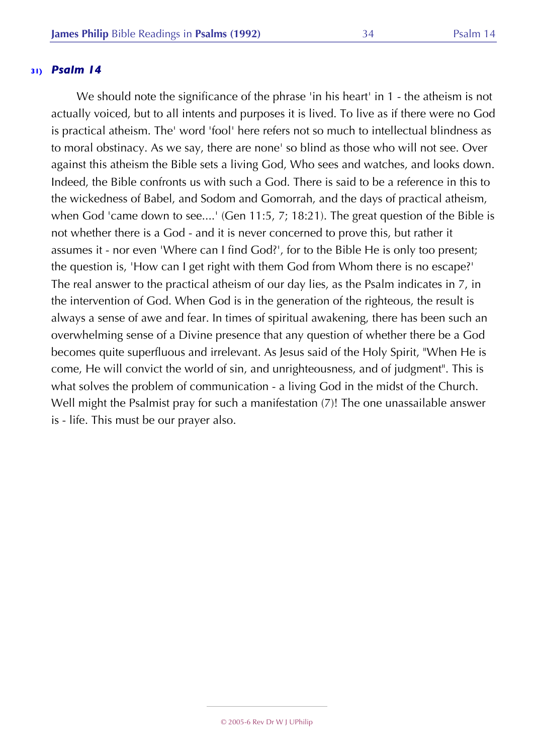We should note the significance of the phrase 'in his heart' in 1 - the atheism is not actually voiced, but to all intents and purposes it is lived. To live as if there were no God is practical atheism. The' word 'fool' here refers not so much to intellectual blindness as to moral obstinacy. As we say, there are none' so blind as those who will not see. Over against this atheism the Bible sets a living God, Who sees and watches, and looks down. Indeed, the Bible confronts us with such a God. There is said to be a reference in this to the wickedness of Babel, and Sodom and Gomorrah, and the days of practical atheism, when God 'came down to see....' (Gen 11:5, 7; 18:21). The great question of the Bible is not whether there is a God - and it is never concerned to prove this, but rather it assumes it - nor even 'Where can I find God?', for to the Bible He is only too present; the question is, 'How can I get right with them God from Whom there is no escape?' The real answer to the practical atheism of our day lies, as the Psalm indicates in 7, in the intervention of God. When God is in the generation of the righteous, the result is always a sense of awe and fear. In times of spiritual awakening, there has been such an overwhelming sense of a Divine presence that any question of whether there be a God becomes quite superfluous and irrelevant. As Jesus said of the Holy Spirit, "When He is come, He will convict the world of sin, and unrighteousness, and of judgment". This is what solves the problem of communication - a living God in the midst of the Church. Well might the Psalmist pray for such a manifestation (7)! The one unassailable answer is - life. This must be our prayer also.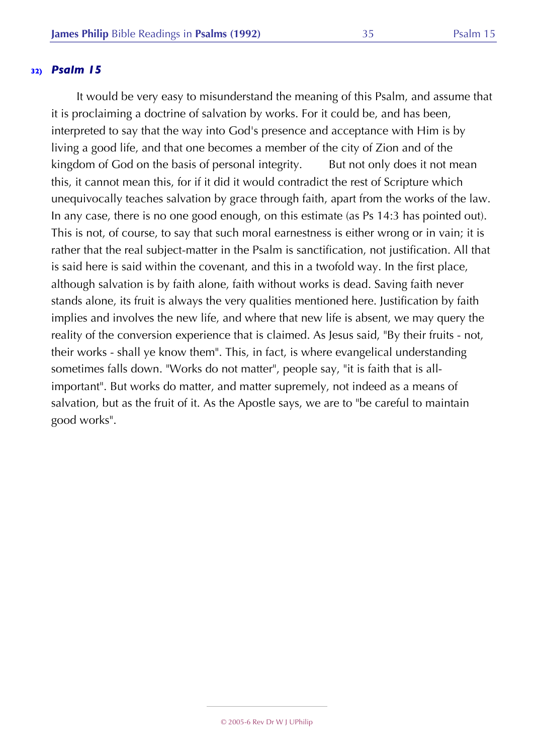It would be very easy to misunderstand the meaning of this Psalm, and assume that it is proclaiming a doctrine of salvation by works. For it could be, and has been, interpreted to say that the way into God's presence and acceptance with Him is by living a good life, and that one becomes a member of the city of Zion and of the kingdom of God on the basis of personal integrity. But not only does it not mean this, it cannot mean this, for if it did it would contradict the rest of Scripture which unequivocally teaches salvation by grace through faith, apart from the works of the law. In any case, there is no one good enough, on this estimate (as Ps 14:3 has pointed out). This is not, of course, to say that such moral earnestness is either wrong or in vain; it is rather that the real subject-matter in the Psalm is sanctification, not justification. All that is said here is said within the covenant, and this in a twofold way. In the first place, although salvation is by faith alone, faith without works is dead. Saving faith never stands alone, its fruit is always the very qualities mentioned here. Justification by faith implies and involves the new life, and where that new life is absent, we may query the reality of the conversion experience that is claimed. As Jesus said, "By their fruits - not, their works - shall ye know them". This, in fact, is where evangelical understanding sometimes falls down. "Works do not matter", people say, "it is faith that is allimportant". But works do matter, and matter supremely, not indeed as a means of salvation, but as the fruit of it. As the Apostle says, we are to "be careful to maintain good works".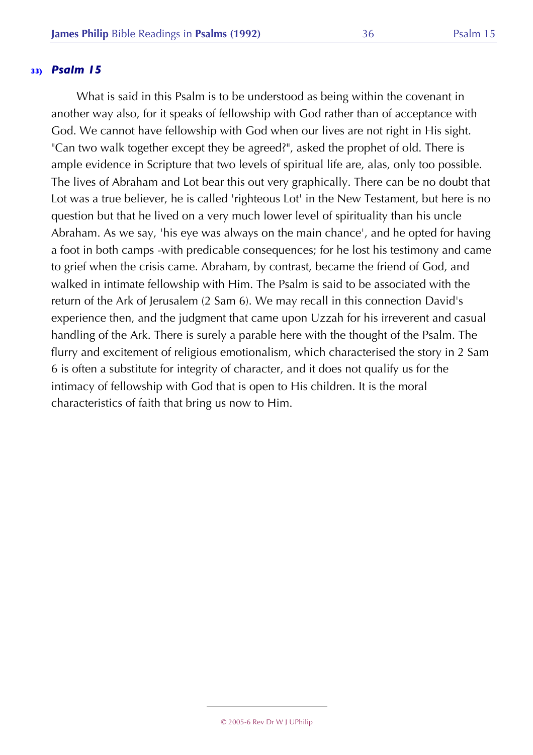What is said in this Psalm is to be understood as being within the covenant in another way also, for it speaks of fellowship with God rather than of acceptance with God. We cannot have fellowship with God when our lives are not right in His sight. "Can two walk together except they be agreed?", asked the prophet of old. There is ample evidence in Scripture that two levels of spiritual life are, alas, only too possible. The lives of Abraham and Lot bear this out very graphically. There can be no doubt that Lot was a true believer, he is called 'righteous Lot' in the New Testament, but here is no question but that he lived on a very much lower level of spirituality than his uncle Abraham. As we say, 'his eye was always on the main chance', and he opted for having a foot in both camps -with predicable consequences; for he lost his testimony and came to grief when the crisis came. Abraham, by contrast, became the friend of God, and walked in intimate fellowship with Him. The Psalm is said to be associated with the return of the Ark of Jerusalem (2 Sam 6). We may recall in this connection David's experience then, and the judgment that came upon Uzzah for his irreverent and casual handling of the Ark. There is surely a parable here with the thought of the Psalm. The flurry and excitement of religious emotionalism, which characterised the story in 2 Sam 6 is often a substitute for integrity of character, and it does not qualify us for the intimacy of fellowship with God that is open to His children. It is the moral characteristics of faith that bring us now to Him.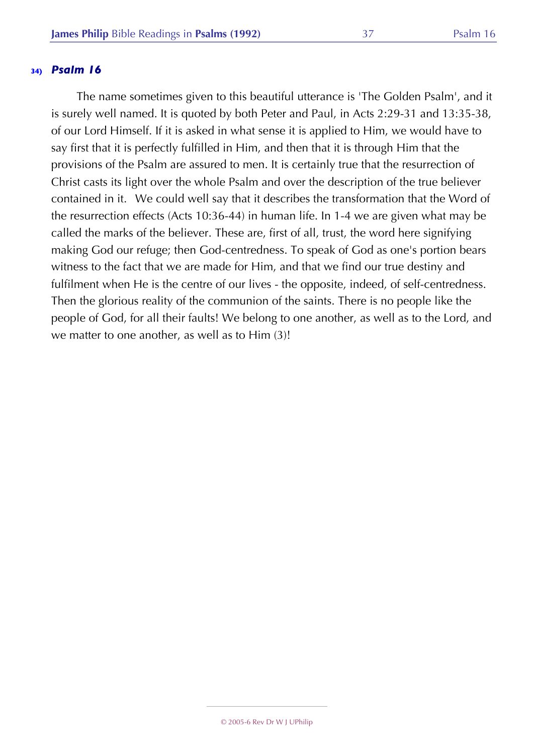The name sometimes given to this beautiful utterance is 'The Golden Psalm', and it is surely well named. It is quoted by both Peter and Paul, in Acts 2:29-31 and 13:35-38, of our Lord Himself. If it is asked in what sense it is applied to Him, we would have to say first that it is perfectly fulfilled in Him, and then that it is through Him that the provisions of the Psalm are assured to men. It is certainly true that the resurrection of Christ casts its light over the whole Psalm and over the description of the true believer contained in it. We could well say that it describes the transformation that the Word of the resurrection effects (Acts 10:36-44) in human life. In 1-4 we are given what may be called the marks of the believer. These are, first of all, trust, the word here signifying making God our refuge; then God-centredness. To speak of God as one's portion bears witness to the fact that we are made for Him, and that we find our true destiny and fulfilment when He is the centre of our lives - the opposite, indeed, of self-centredness. Then the glorious reality of the communion of the saints. There is no people like the people of God, for all their faults! We belong to one another, as well as to the Lord, and we matter to one another, as well as to Him (3)!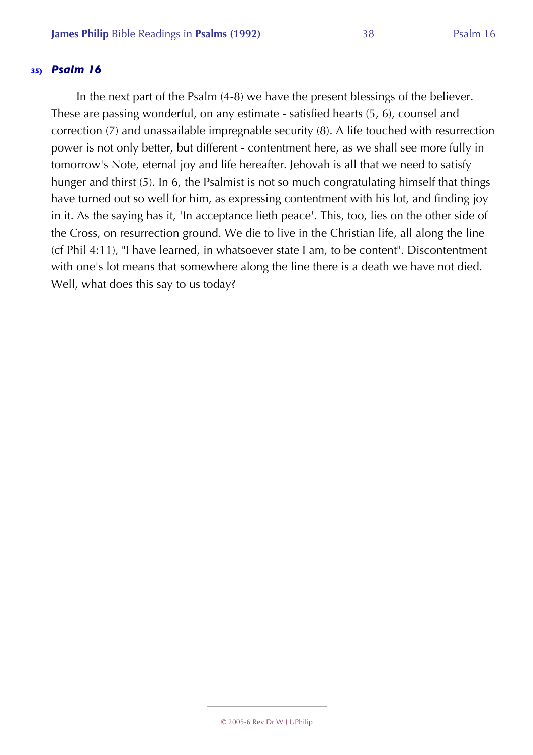In the next part of the Psalm (4-8) we have the present blessings of the believer. These are passing wonderful, on any estimate - satisfied hearts (5, 6), counsel and correction (7) and unassailable impregnable security (8). A life touched with resurrection power is not only better, but different - contentment here, as we shall see more fully in tomorrow's Note, eternal joy and life hereafter. Jehovah is all that we need to satisfy hunger and thirst (5). In 6, the Psalmist is not so much congratulating himself that things have turned out so well for him, as expressing contentment with his lot, and finding joy in it. As the saying has it, 'In acceptance lieth peace'. This, too, lies on the other side of the Cross, on resurrection ground. We die to live in the Christian life, all along the line (cf Phil 4:11), "I have learned, in whatsoever state I am, to be content". Discontentment with one's lot means that somewhere along the line there is a death we have not died. Well, what does this say to us today?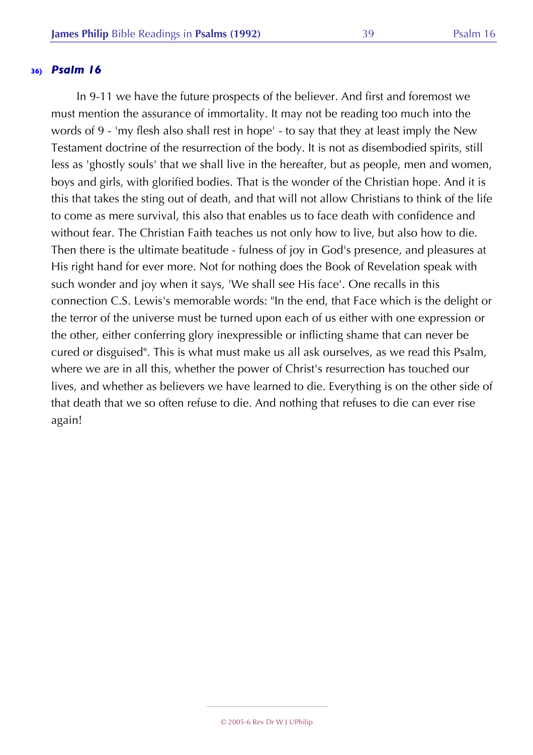In 9-11 we have the future prospects of the believer. And first and foremost we must mention the assurance of immortality. It may not be reading too much into the words of 9 - 'my flesh also shall rest in hope' - to say that they at least imply the New Testament doctrine of the resurrection of the body. It is not as disembodied spirits, still less as 'ghostly souls' that we shall live in the hereafter, but as people, men and women, boys and girls, with glorified bodies. That is the wonder of the Christian hope. And it is this that takes the sting out of death, and that will not allow Christians to think of the life to come as mere survival, this also that enables us to face death with confidence and without fear. The Christian Faith teaches us not only how to live, but also how to die. Then there is the ultimate beatitude - fulness of joy in God's presence, and pleasures at His right hand for ever more. Not for nothing does the Book of Revelation speak with such wonder and joy when it says, 'We shall see His face'. One recalls in this connection C.S. Lewis's memorable words: "In the end, that Face which is the delight or the terror of the universe must be turned upon each of us either with one expression or the other, either conferring glory inexpressible or inflicting shame that can never be cured or disguised". This is what must make us all ask ourselves, as we read this Psalm, where we are in all this, whether the power of Christ's resurrection has touched our lives, and whether as believers we have learned to die. Everything is on the other side of that death that we so often refuse to die. And nothing that refuses to die can ever rise again!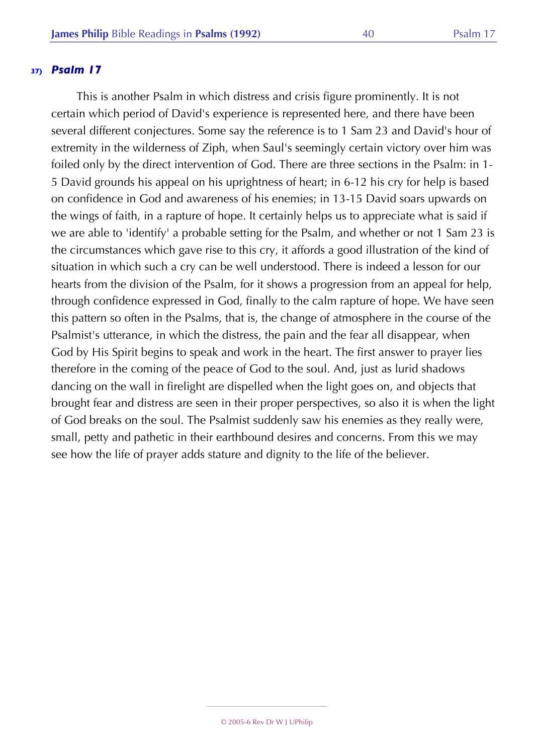This is another Psalm in which distress and crisis figure prominently. It is not certain which period of David's experience is represented here, and there have been several different conjectures. Some say the reference is to 1 Sam 23 and David's hour of extremity in the wilderness of Ziph, when Saul's seemingly certain victory over him was foiled only by the direct intervention of God. There are three sections in the Psalm: in 1- 5 David grounds his appeal on his uprightness of heart; in 6-12 his cry for help is based on confidence in God and awareness of his enemies; in 13-15 David soars upwards on the wings of faith, in a rapture of hope. It certainly helps us to appreciate what is said if we are able to 'identify' a probable setting for the Psalm, and whether or not 1 Sam 23 is the circumstances which gave rise to this cry, it affords a good illustration of the kind of situation in which such a cry can be well understood. There is indeed a lesson for our hearts from the division of the Psalm, for it shows a progression from an appeal for help, through confidence expressed in God, finally to the calm rapture of hope. We have seen this pattern so often in the Psalms, that is, the change of atmosphere in the course of the Psalmist's utterance, in which the distress, the pain and the fear all disappear, when God by His Spirit begins to speak and work in the heart. The first answer to prayer lies therefore in the coming of the peace of God to the soul. And, just as lurid shadows dancing on the wall in firelight are dispelled when the light goes on, and objects that brought fear and distress are seen in their proper perspectives, so also it is when the light of God breaks on the soul. The Psalmist suddenly saw his enemies as they really were, small, petty and pathetic in their earthbound desires and concerns. From this we may see how the life of prayer adds stature and dignity to the life of the believer.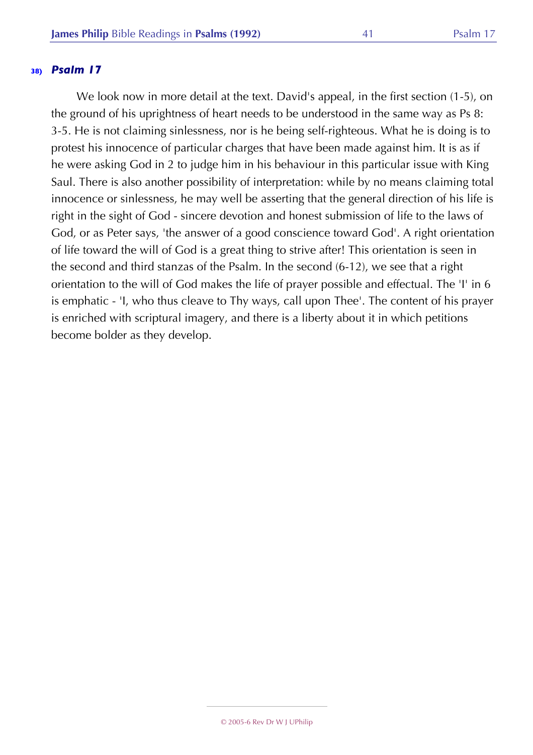We look now in more detail at the text. David's appeal, in the first section (1-5), on the ground of his uprightness of heart needs to be understood in the same way as Ps 8: 3-5. He is not claiming sinlessness, nor is he being self-righteous. What he is doing is to protest his innocence of particular charges that have been made against him. It is as if he were asking God in 2 to judge him in his behaviour in this particular issue with King Saul. There is also another possibility of interpretation: while by no means claiming total innocence or sinlessness, he may well be asserting that the general direction of his life is right in the sight of God - sincere devotion and honest submission of life to the laws of God, or as Peter says, 'the answer of a good conscience toward God'. A right orientation of life toward the will of God is a great thing to strive after! This orientation is seen in the second and third stanzas of the Psalm. In the second (6-12), we see that a right orientation to the will of God makes the life of prayer possible and effectual. The 'I' in 6 is emphatic - 'I, who thus cleave to Thy ways, call upon Thee'. The content of his prayer is enriched with scriptural imagery, and there is a liberty about it in which petitions become bolder as they develop.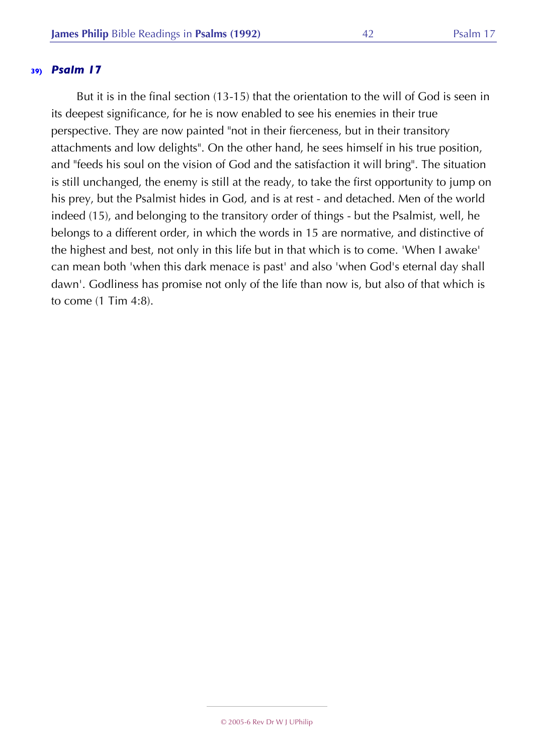But it is in the final section (13-15) that the orientation to the will of God is seen in its deepest significance, for he is now enabled to see his enemies in their true perspective. They are now painted "not in their fierceness, but in their transitory attachments and low delights". On the other hand, he sees himself in his true position, and "feeds his soul on the vision of God and the satisfaction it will bring". The situation is still unchanged, the enemy is still at the ready, to take the first opportunity to jump on his prey, but the Psalmist hides in God, and is at rest - and detached. Men of the world indeed (15), and belonging to the transitory order of things - but the Psalmist, well, he belongs to a different order, in which the words in 15 are normative, and distinctive of the highest and best, not only in this life but in that which is to come. 'When I awake' can mean both 'when this dark menace is past' and also 'when God's eternal day shall dawn'. Godliness has promise not only of the life than now is, but also of that which is to come (1 Tim 4:8).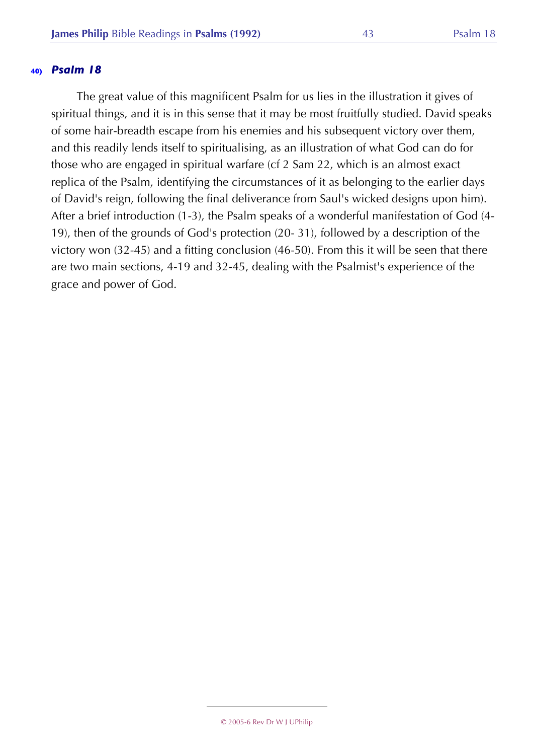The great value of this magnificent Psalm for us lies in the illustration it gives of spiritual things, and it is in this sense that it may be most fruitfully studied. David speaks of some hair-breadth escape from his enemies and his subsequent victory over them, and this readily lends itself to spiritualising, as an illustration of what God can do for those who are engaged in spiritual warfare (cf 2 Sam 22, which is an almost exact replica of the Psalm, identifying the circumstances of it as belonging to the earlier days of David's reign, following the final deliverance from Saul's wicked designs upon him). After a brief introduction (1-3), the Psalm speaks of a wonderful manifestation of God (4- 19), then of the grounds of God's protection (20- 31), followed by a description of the victory won (32-45) and a fitting conclusion (46-50). From this it will be seen that there are two main sections, 4-19 and 32-45, dealing with the Psalmist's experience of the grace and power of God.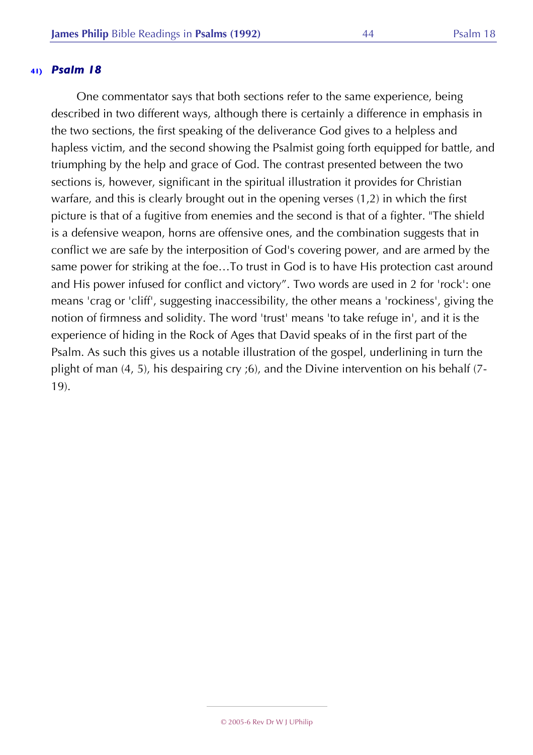One commentator says that both sections refer to the same experience, being described in two different ways, although there is certainly a difference in emphasis in the two sections, the first speaking of the deliverance God gives to a helpless and hapless victim, and the second showing the Psalmist going forth equipped for battle, and triumphing by the help and grace of God. The contrast presented between the two sections is, however, significant in the spiritual illustration it provides for Christian warfare, and this is clearly brought out in the opening verses (1,2) in which the first picture is that of a fugitive from enemies and the second is that of a fighter. "The shield is a defensive weapon, horns are offensive ones, and the combination suggests that in conflict we are safe by the interposition of God's covering power, and are armed by the same power for striking at the foe…To trust in God is to have His protection cast around and His power infused for conflict and victory". Two words are used in 2 for 'rock': one means 'crag or 'cliff', suggesting inaccessibility, the other means a 'rockiness', giving the notion of firmness and solidity. The word 'trust' means 'to take refuge in', and it is the experience of hiding in the Rock of Ages that David speaks of in the first part of the Psalm. As such this gives us a notable illustration of the gospel, underlining in turn the plight of man (4, 5), his despairing cry ;6), and the Divine intervention on his behalf (7- 19).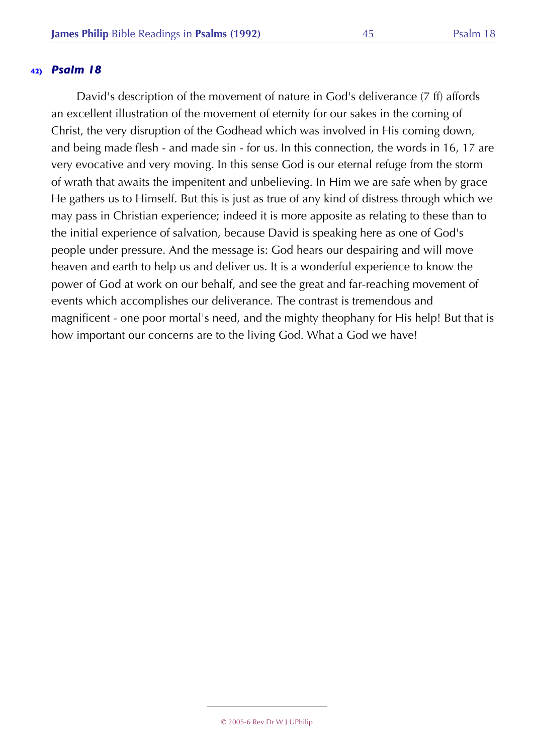David's description of the movement of nature in God's deliverance (7 ff) affords an excellent illustration of the movement of eternity for our sakes in the coming of Christ, the very disruption of the Godhead which was involved in His coming down, and being made flesh - and made sin - for us. In this connection, the words in 16, 17 are very evocative and very moving. In this sense God is our eternal refuge from the storm of wrath that awaits the impenitent and unbelieving. In Him we are safe when by grace He gathers us to Himself. But this is just as true of any kind of distress through which we may pass in Christian experience; indeed it is more apposite as relating to these than to the initial experience of salvation, because David is speaking here as one of God's people under pressure. And the message is: God hears our despairing and will move heaven and earth to help us and deliver us. It is a wonderful experience to know the power of God at work on our behalf, and see the great and far-reaching movement of events which accomplishes our deliverance. The contrast is tremendous and magnificent - one poor mortal's need, and the mighty theophany for His help! But that is how important our concerns are to the living God. What a God we have!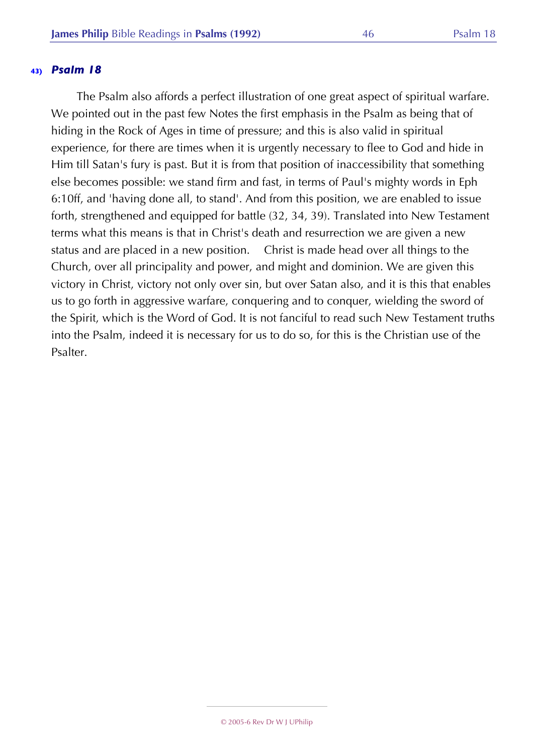The Psalm also affords a perfect illustration of one great aspect of spiritual warfare. We pointed out in the past few Notes the first emphasis in the Psalm as being that of hiding in the Rock of Ages in time of pressure; and this is also valid in spiritual experience, for there are times when it is urgently necessary to flee to God and hide in Him till Satan's fury is past. But it is from that position of inaccessibility that something else becomes possible: we stand firm and fast, in terms of Paul's mighty words in Eph 6:10ff, and 'having done all, to stand'. And from this position, we are enabled to issue forth, strengthened and equipped for battle (32, 34, 39). Translated into New Testament terms what this means is that in Christ's death and resurrection we are given a new status and are placed in a new position. Christ is made head over all things to the Church, over all principality and power, and might and dominion. We are given this victory in Christ, victory not only over sin, but over Satan also, and it is this that enables us to go forth in aggressive warfare, conquering and to conquer, wielding the sword of the Spirit, which is the Word of God. It is not fanciful to read such New Testament truths into the Psalm, indeed it is necessary for us to do so, for this is the Christian use of the Psalter.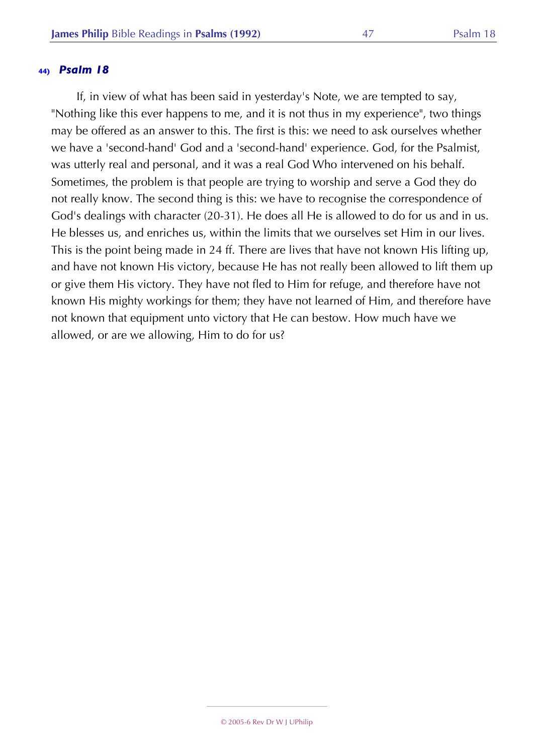If, in view of what has been said in yesterday's Note, we are tempted to say, "Nothing like this ever happens to me, and it is not thus in my experience", two things may be offered as an answer to this. The first is this: we need to ask ourselves whether we have a 'second-hand' God and a 'second-hand' experience. God, for the Psalmist, was utterly real and personal, and it was a real God Who intervened on his behalf. Sometimes, the problem is that people are trying to worship and serve a God they do not really know. The second thing is this: we have to recognise the correspondence of God's dealings with character (20-31). He does all He is allowed to do for us and in us. He blesses us, and enriches us, within the limits that we ourselves set Him in our lives. This is the point being made in 24 ff. There are lives that have not known His lifting up, and have not known His victory, because He has not really been allowed to lift them up or give them His victory. They have not fled to Him for refuge, and therefore have not known His mighty workings for them; they have not learned of Him, and therefore have not known that equipment unto victory that He can bestow. How much have we allowed, or are we allowing, Him to do for us?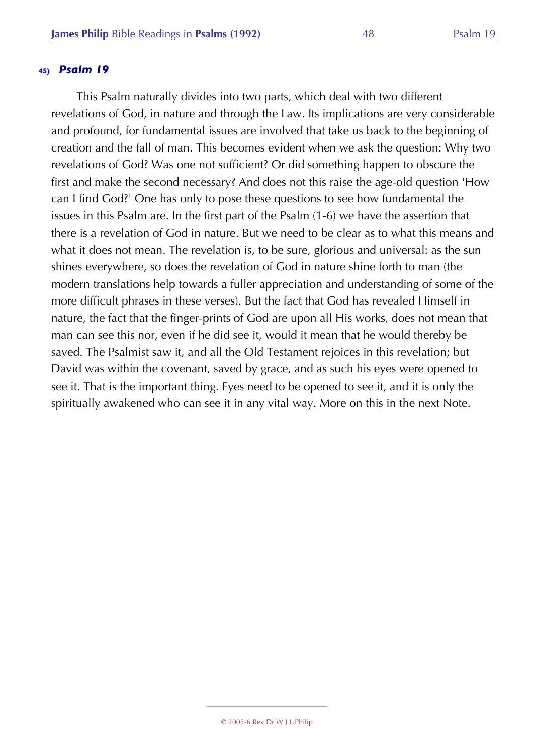This Psalm naturally divides into two parts, which deal with two different revelations of God, in nature and through the Law. Its implications are very considerable and profound, for fundamental issues are involved that take us back to the beginning of creation and the fall of man. This becomes evident when we ask the question: Why two revelations of God? Was one not sufficient? Or did something happen to obscure the first and make the second necessary? And does not this raise the age-old question 'How can I find God?' One has only to pose these questions to see how fundamental the issues in this Psalm are. In the first part of the Psalm (1-6) we have the assertion that there is a revelation of God in nature. But we need to be clear as to what this means and what it does not mean. The revelation is, to be sure, glorious and universal: as the sun shines everywhere, so does the revelation of God in nature shine forth to man (the modern translations help towards a fuller appreciation and understanding of some of the more difficult phrases in these verses). But the fact that God has revealed Himself in nature, the fact that the finger-prints of God are upon all His works, does not mean that man can see this nor, even if he did see it, would it mean that he would thereby be saved. The Psalmist saw it, and all the Old Testament rejoices in this revelation; but David was within the covenant, saved by grace, and as such his eyes were opened to see it. That is the important thing. Eyes need to be opened to see it, and it is only the spiritually awakened who can see it in any vital way. More on this in the next Note.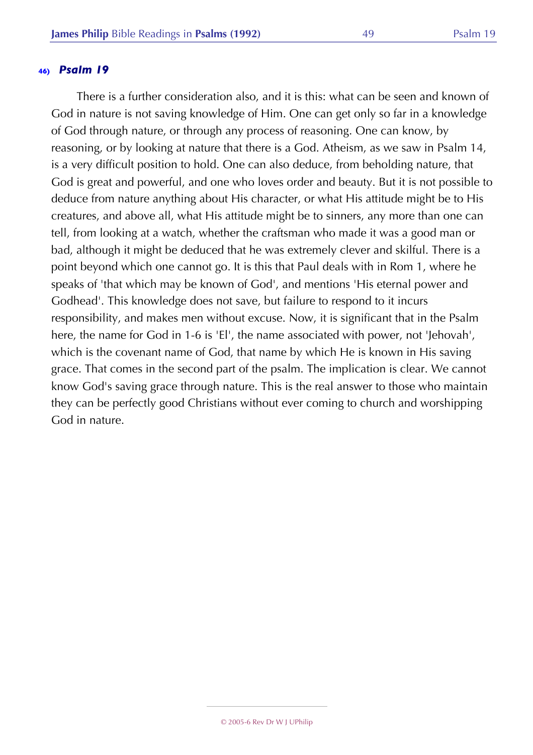There is a further consideration also, and it is this: what can be seen and known of God in nature is not saving knowledge of Him. One can get only so far in a knowledge of God through nature, or through any process of reasoning. One can know, by reasoning, or by looking at nature that there is a God. Atheism, as we saw in Psalm 14, is a very difficult position to hold. One can also deduce, from beholding nature, that God is great and powerful, and one who loves order and beauty. But it is not possible to deduce from nature anything about His character, or what His attitude might be to His creatures, and above all, what His attitude might be to sinners, any more than one can tell, from looking at a watch, whether the craftsman who made it was a good man or bad, although it might be deduced that he was extremely clever and skilful. There is a point beyond which one cannot go. It is this that Paul deals with in Rom 1, where he speaks of 'that which may be known of God', and mentions 'His eternal power and Godhead'. This knowledge does not save, but failure to respond to it incurs responsibility, and makes men without excuse. Now, it is significant that in the Psalm here, the name for God in 1-6 is 'El', the name associated with power, not 'Jehovah', which is the covenant name of God, that name by which He is known in His saving grace. That comes in the second part of the psalm. The implication is clear. We cannot know God's saving grace through nature. This is the real answer to those who maintain they can be perfectly good Christians without ever coming to church and worshipping God in nature.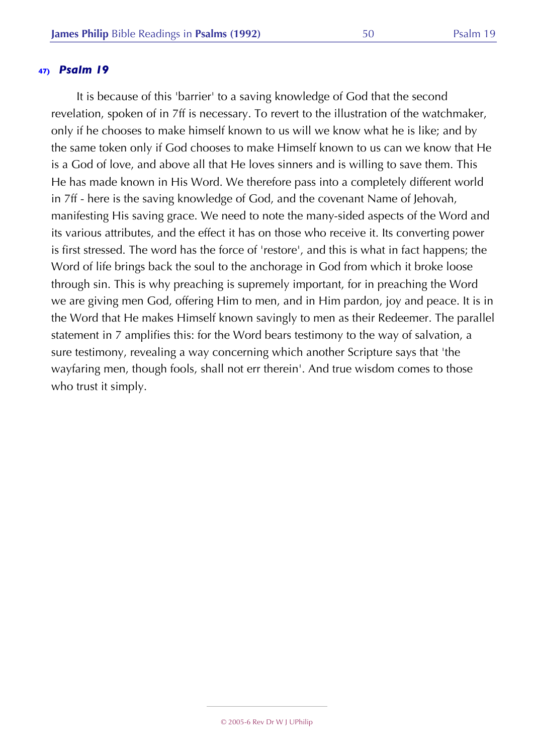It is because of this 'barrier' to a saving knowledge of God that the second revelation, spoken of in 7ff is necessary. To revert to the illustration of the watchmaker, only if he chooses to make himself known to us will we know what he is like; and by the same token only if God chooses to make Himself known to us can we know that He is a God of love, and above all that He loves sinners and is willing to save them. This He has made known in His Word. We therefore pass into a completely different world in 7ff - here is the saving knowledge of God, and the covenant Name of Jehovah, manifesting His saving grace. We need to note the many-sided aspects of the Word and its various attributes, and the effect it has on those who receive it. Its converting power is first stressed. The word has the force of 'restore', and this is what in fact happens; the Word of life brings back the soul to the anchorage in God from which it broke loose through sin. This is why preaching is supremely important, for in preaching the Word we are giving men God, offering Him to men, and in Him pardon, joy and peace. It is in the Word that He makes Himself known savingly to men as their Redeemer. The parallel statement in 7 amplifies this: for the Word bears testimony to the way of salvation, a sure testimony, revealing a way concerning which another Scripture says that 'the wayfaring men, though fools, shall not err therein'. And true wisdom comes to those who trust it simply.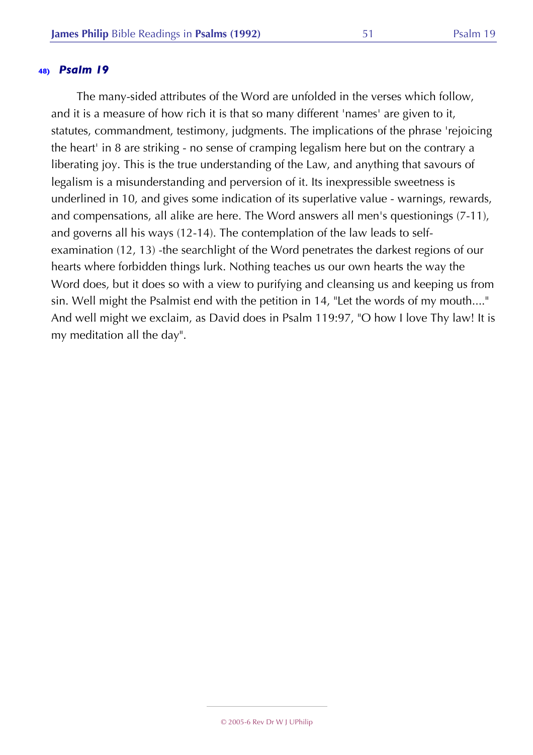The many-sided attributes of the Word are unfolded in the verses which follow, and it is a measure of how rich it is that so many different 'names' are given to it, statutes, commandment, testimony, judgments. The implications of the phrase 'rejoicing the heart' in 8 are striking - no sense of cramping legalism here but on the contrary a liberating joy. This is the true understanding of the Law, and anything that savours of legalism is a misunderstanding and perversion of it. Its inexpressible sweetness is underlined in 10, and gives some indication of its superlative value - warnings, rewards, and compensations, all alike are here. The Word answers all men's questionings (7-11), and governs all his ways (12-14). The contemplation of the law leads to selfexamination (12, 13) -the searchlight of the Word penetrates the darkest regions of our hearts where forbidden things lurk. Nothing teaches us our own hearts the way the Word does, but it does so with a view to purifying and cleansing us and keeping us from sin. Well might the Psalmist end with the petition in 14, "Let the words of my mouth...." And well might we exclaim, as David does in Psalm 119:97, "O how I love Thy law! It is my meditation all the day".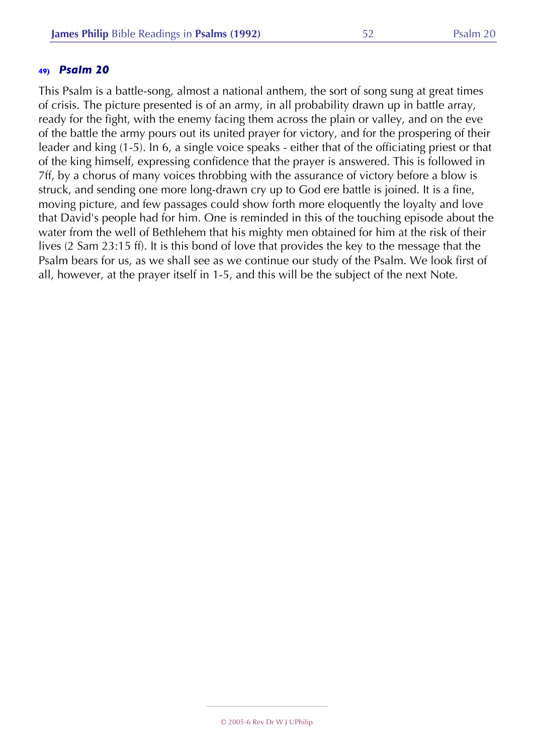This Psalm is a battle-song, almost a national anthem, the sort of song sung at great times of crisis. The picture presented is of an army, in all probability drawn up in battle array, ready for the fight, with the enemy facing them across the plain or valley, and on the eve of the battle the army pours out its united prayer for victory, and for the prospering of their leader and king (1-5). In 6, a single voice speaks - either that of the officiating priest or that of the king himself, expressing confidence that the prayer is answered. This is followed in 7ff, by a chorus of many voices throbbing with the assurance of victory before a blow is struck, and sending one more long-drawn cry up to God ere battle is joined. It is a fine, moving picture, and few passages could show forth more eloquently the loyalty and love that David's people had for him. One is reminded in this of the touching episode about the water from the well of Bethlehem that his mighty men obtained for him at the risk of their lives (2 Sam 23:15 ff). It is this bond of love that provides the key to the message that the Psalm bears for us, as we shall see as we continue our study of the Psalm. We look first of all, however, at the prayer itself in 1-5, and this will be the subject of the next Note.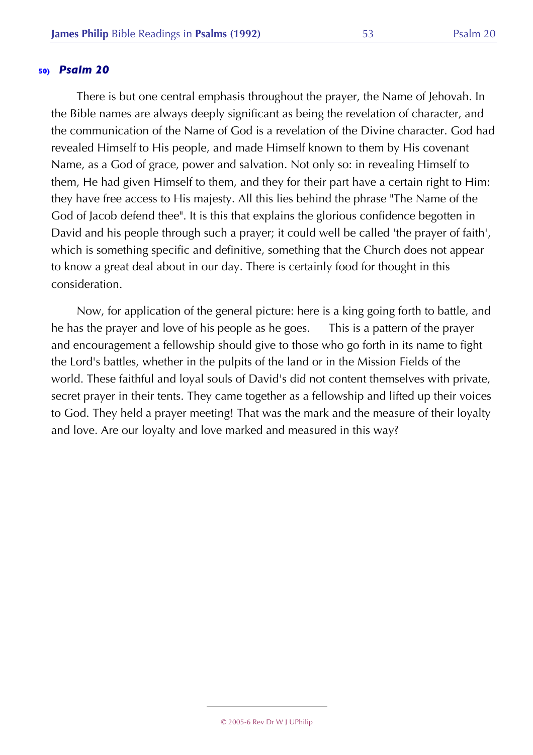There is but one central emphasis throughout the prayer, the Name of Jehovah. In the Bible names are always deeply significant as being the revelation of character, and the communication of the Name of God is a revelation of the Divine character. God had revealed Himself to His people, and made Himself known to them by His covenant Name, as a God of grace, power and salvation. Not only so: in revealing Himself to them, He had given Himself to them, and they for their part have a certain right to Him: they have free access to His majesty. All this lies behind the phrase "The Name of the God of Jacob defend thee". It is this that explains the glorious confidence begotten in David and his people through such a prayer; it could well be called 'the prayer of faith', which is something specific and definitive, something that the Church does not appear to know a great deal about in our day. There is certainly food for thought in this consideration.

Now, for application of the general picture: here is a king going forth to battle, and he has the prayer and love of his people as he goes. This is a pattern of the prayer and encouragement a fellowship should give to those who go forth in its name to fight the Lord's battles, whether in the pulpits of the land or in the Mission Fields of the world. These faithful and loyal souls of David's did not content themselves with private, secret prayer in their tents. They came together as a fellowship and lifted up their voices to God. They held a prayer meeting! That was the mark and the measure of their loyalty and love. Are our loyalty and love marked and measured in this way?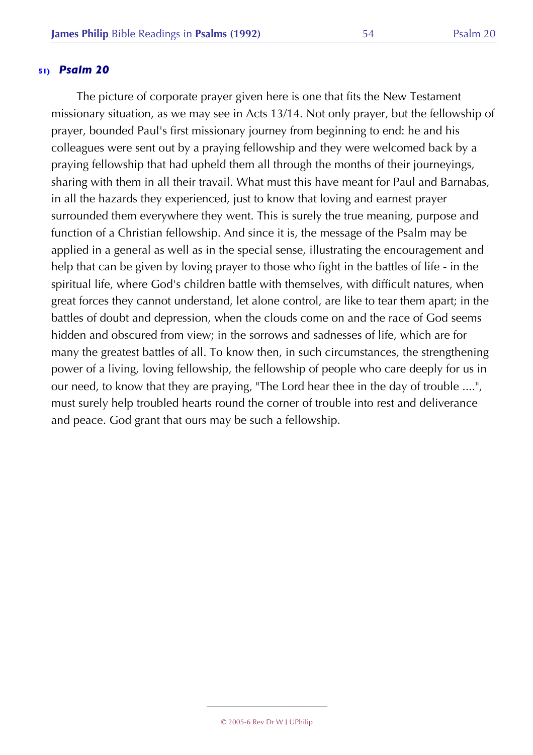The picture of corporate prayer given here is one that fits the New Testament missionary situation, as we may see in Acts 13/14. Not only prayer, but the fellowship of prayer, bounded Paul's first missionary journey from beginning to end: he and his colleagues were sent out by a praying fellowship and they were welcomed back by a praying fellowship that had upheld them all through the months of their journeyings, sharing with them in all their travail. What must this have meant for Paul and Barnabas, in all the hazards they experienced, just to know that loving and earnest prayer surrounded them everywhere they went. This is surely the true meaning, purpose and function of a Christian fellowship. And since it is, the message of the Psalm may be applied in a general as well as in the special sense, illustrating the encouragement and help that can be given by loving prayer to those who fight in the battles of life - in the spiritual life, where God's children battle with themselves, with difficult natures, when great forces they cannot understand, let alone control, are like to tear them apart; in the battles of doubt and depression, when the clouds come on and the race of God seems hidden and obscured from view; in the sorrows and sadnesses of life, which are for many the greatest battles of all. To know then, in such circumstances, the strengthening power of a living, loving fellowship, the fellowship of people who care deeply for us in our need, to know that they are praying, "The Lord hear thee in the day of trouble ....", must surely help troubled hearts round the corner of trouble into rest and deliverance and peace. God grant that ours may be such a fellowship.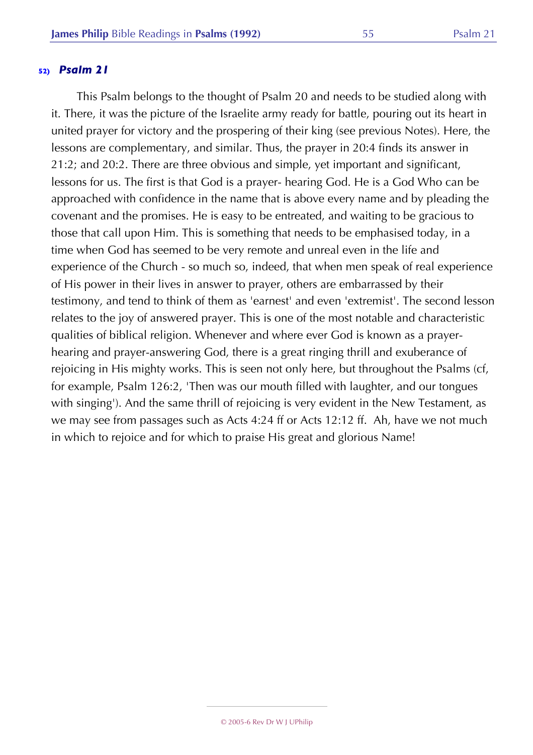This Psalm belongs to the thought of Psalm 20 and needs to be studied along with it. There, it was the picture of the Israelite army ready for battle, pouring out its heart in united prayer for victory and the prospering of their king (see previous Notes). Here, the lessons are complementary, and similar. Thus, the prayer in 20:4 finds its answer in 21:2; and 20:2. There are three obvious and simple, yet important and significant, lessons for us. The first is that God is a prayer- hearing God. He is a God Who can be approached with confidence in the name that is above every name and by pleading the covenant and the promises. He is easy to be entreated, and waiting to be gracious to those that call upon Him. This is something that needs to be emphasised today, in a time when God has seemed to be very remote and unreal even in the life and experience of the Church - so much so, indeed, that when men speak of real experience of His power in their lives in answer to prayer, others are embarrassed by their testimony, and tend to think of them as 'earnest' and even 'extremist'. The second lesson relates to the joy of answered prayer. This is one of the most notable and characteristic qualities of biblical religion. Whenever and where ever God is known as a prayerhearing and prayer-answering God, there is a great ringing thrill and exuberance of rejoicing in His mighty works. This is seen not only here, but throughout the Psalms (cf, for example, Psalm 126:2, 'Then was our mouth filled with laughter, and our tongues with singing'). And the same thrill of rejoicing is very evident in the New Testament, as we may see from passages such as Acts 4:24 ff or Acts 12:12 ff. Ah, have we not much in which to rejoice and for which to praise His great and glorious Name!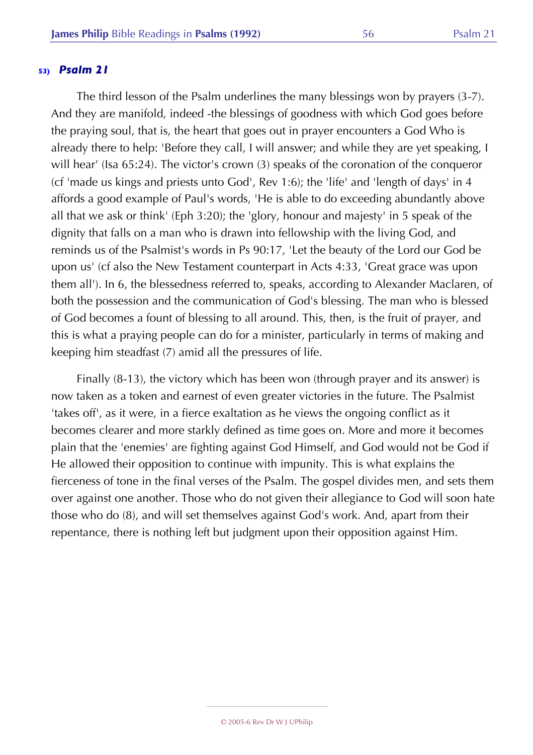The third lesson of the Psalm underlines the many blessings won by prayers (3-7). And they are manifold, indeed -the blessings of goodness with which God goes before the praying soul, that is, the heart that goes out in prayer encounters a God Who is already there to help: 'Before they call, I will answer; and while they are yet speaking, I will hear' (Isa 65:24). The victor's crown (3) speaks of the coronation of the conqueror (cf 'made us kings and priests unto God', Rev 1:6); the 'life' and 'length of days' in 4 affords a good example of Paul's words, 'He is able to do exceeding abundantly above all that we ask or think' (Eph 3:20); the 'glory, honour and majesty' in 5 speak of the dignity that falls on a man who is drawn into fellowship with the living God, and reminds us of the Psalmist's words in Ps 90:17, 'Let the beauty of the Lord our God be upon us' (cf also the New Testament counterpart in Acts 4:33, 'Great grace was upon them all'). In 6, the blessedness referred to, speaks, according to Alexander Maclaren, of both the possession and the communication of God's blessing. The man who is blessed of God becomes a fount of blessing to all around. This, then, is the fruit of prayer, and this is what a praying people can do for a minister, particularly in terms of making and keeping him steadfast (7) amid all the pressures of life.

Finally (8-13), the victory which has been won (through prayer and its answer) is now taken as a token and earnest of even greater victories in the future. The Psalmist 'takes off', as it were, in a fierce exaltation as he views the ongoing conflict as it becomes clearer and more starkly defined as time goes on. More and more it becomes plain that the 'enemies' are fighting against God Himself, and God would not be God if He allowed their opposition to continue with impunity. This is what explains the fierceness of tone in the final verses of the Psalm. The gospel divides men, and sets them over against one another. Those who do not given their allegiance to God will soon hate those who do (8), and will set themselves against God's work. And, apart from their repentance, there is nothing left but judgment upon their opposition against Him.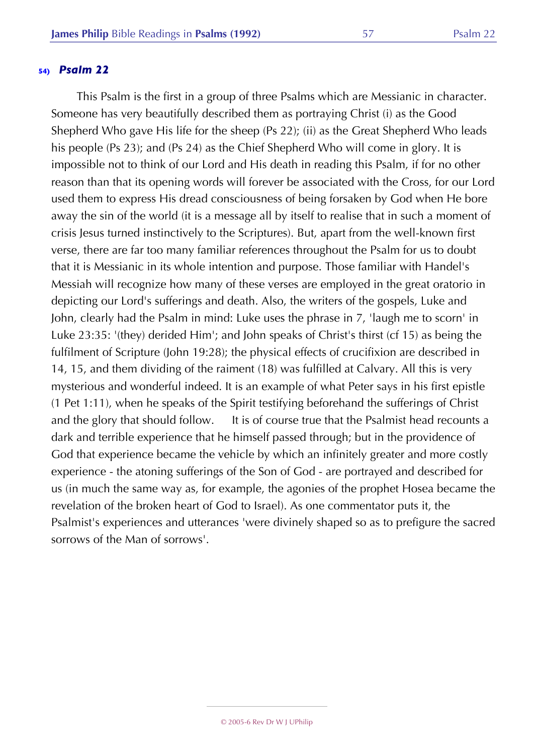This Psalm is the first in a group of three Psalms which are Messianic in character. Someone has very beautifully described them as portraying Christ (i) as the Good Shepherd Who gave His life for the sheep (Ps 22); (ii) as the Great Shepherd Who leads his people (Ps 23); and (Ps 24) as the Chief Shepherd Who will come in glory. It is impossible not to think of our Lord and His death in reading this Psalm, if for no other reason than that its opening words will forever be associated with the Cross, for our Lord used them to express His dread consciousness of being forsaken by God when He bore away the sin of the world (it is a message all by itself to realise that in such a moment of crisis Jesus turned instinctively to the Scriptures). But, apart from the well-known first verse, there are far too many familiar references throughout the Psalm for us to doubt that it is Messianic in its whole intention and purpose. Those familiar with Handel's Messiah will recognize how many of these verses are employed in the great oratorio in depicting our Lord's sufferings and death. Also, the writers of the gospels, Luke and John, clearly had the Psalm in mind: Luke uses the phrase in 7, 'laugh me to scorn' in Luke 23:35: '(they) derided Him'; and John speaks of Christ's thirst (cf 15) as being the fulfilment of Scripture (John 19:28); the physical effects of crucifixion are described in 14, 15, and them dividing of the raiment (18) was fulfilled at Calvary. All this is very mysterious and wonderful indeed. It is an example of what Peter says in his first epistle (1 Pet 1:11), when he speaks of the Spirit testifying beforehand the sufferings of Christ and the glory that should follow. It is of course true that the Psalmist head recounts a dark and terrible experience that he himself passed through; but in the providence of God that experience became the vehicle by which an infinitely greater and more costly experience - the atoning sufferings of the Son of God - are portrayed and described for us (in much the same way as, for example, the agonies of the prophet Hosea became the revelation of the broken heart of God to Israel). As one commentator puts it, the Psalmist's experiences and utterances 'were divinely shaped so as to prefigure the sacred sorrows of the Man of sorrows'.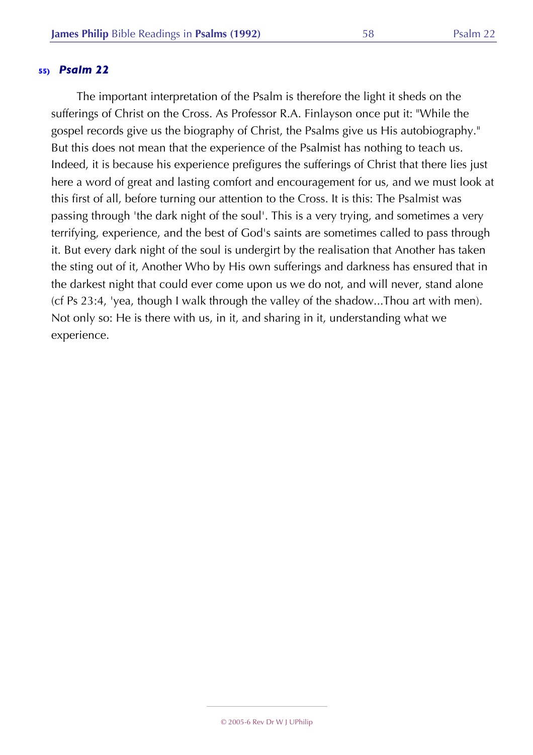The important interpretation of the Psalm is therefore the light it sheds on the sufferings of Christ on the Cross. As Professor R.A. Finlayson once put it: "While the gospel records give us the biography of Christ, the Psalms give us His autobiography." But this does not mean that the experience of the Psalmist has nothing to teach us. Indeed, it is because his experience prefigures the sufferings of Christ that there lies just here a word of great and lasting comfort and encouragement for us, and we must look at this first of all, before turning our attention to the Cross. It is this: The Psalmist was passing through 'the dark night of the soul'. This is a very trying, and sometimes a very terrifying, experience, and the best of God's saints are sometimes called to pass through it. But every dark night of the soul is undergirt by the realisation that Another has taken the sting out of it, Another Who by His own sufferings and darkness has ensured that in the darkest night that could ever come upon us we do not, and will never, stand alone (cf Ps 23:4, 'yea, though I walk through the valley of the shadow...Thou art with men). Not only so: He is there with us, in it, and sharing in it, understanding what we experience.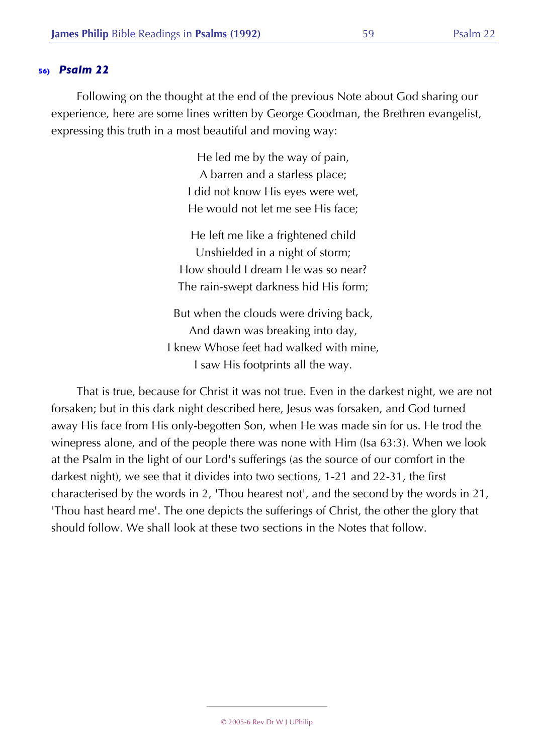Following on the thought at the end of the previous Note about God sharing our experience, here are some lines written by George Goodman, the Brethren evangelist, expressing this truth in a most beautiful and moving way:

> He led me by the way of pain, A barren and a starless place; I did not know His eyes were wet, He would not let me see His face;

He left me like a frightened child Unshielded in a night of storm; How should I dream He was so near? The rain-swept darkness hid His form;

But when the clouds were driving back, And dawn was breaking into day, I knew Whose feet had walked with mine, I saw His footprints all the way.

That is true, because for Christ it was not true. Even in the darkest night, we are not forsaken; but in this dark night described here, Jesus was forsaken, and God turned away His face from His only-begotten Son, when He was made sin for us. He trod the winepress alone, and of the people there was none with Him (Isa 63:3). When we look at the Psalm in the light of our Lord's sufferings (as the source of our comfort in the darkest night), we see that it divides into two sections, 1-21 and 22-31, the first characterised by the words in 2, 'Thou hearest not', and the second by the words in 21, 'Thou hast heard me'. The one depicts the sufferings of Christ, the other the glory that should follow. We shall look at these two sections in the Notes that follow.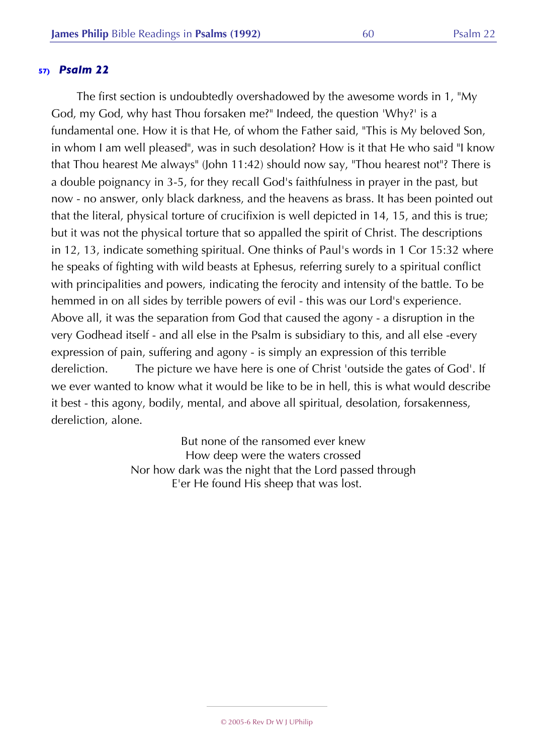The first section is undoubtedly overshadowed by the awesome words in 1, "My God, my God, why hast Thou forsaken me?" Indeed, the question 'Why?' is a fundamental one. How it is that He, of whom the Father said, "This is My beloved Son, in whom I am well pleased", was in such desolation? How is it that He who said "I know that Thou hearest Me always" (John 11:42) should now say, "Thou hearest not"? There is a double poignancy in 3-5, for they recall God's faithfulness in prayer in the past, but now - no answer, only black darkness, and the heavens as brass. It has been pointed out that the literal, physical torture of crucifixion is well depicted in 14, 15, and this is true; but it was not the physical torture that so appalled the spirit of Christ. The descriptions in 12, 13, indicate something spiritual. One thinks of Paul's words in 1 Cor 15:32 where he speaks of fighting with wild beasts at Ephesus, referring surely to a spiritual conflict with principalities and powers, indicating the ferocity and intensity of the battle. To be hemmed in on all sides by terrible powers of evil - this was our Lord's experience. Above all, it was the separation from God that caused the agony - a disruption in the very Godhead itself - and all else in the Psalm is subsidiary to this, and all else -every expression of pain, suffering and agony - is simply an expression of this terrible dereliction. The picture we have here is one of Christ 'outside the gates of God'. If we ever wanted to know what it would be like to be in hell, this is what would describe it best - this agony, bodily, mental, and above all spiritual, desolation, forsakenness, dereliction, alone.

> But none of the ransomed ever knew How deep were the waters crossed Nor how dark was the night that the Lord passed through E'er He found His sheep that was lost.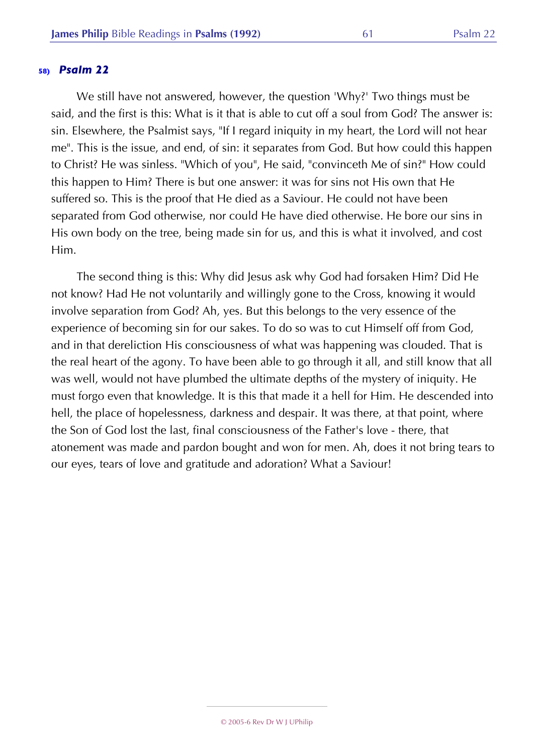We still have not answered, however, the question 'Why?' Two things must be said, and the first is this: What is it that is able to cut off a soul from God? The answer is: sin. Elsewhere, the Psalmist says, "If I regard iniquity in my heart, the Lord will not hear me". This is the issue, and end, of sin: it separates from God. But how could this happen to Christ? He was sinless. "Which of you", He said, "convinceth Me of sin?" How could this happen to Him? There is but one answer: it was for sins not His own that He suffered so. This is the proof that He died as a Saviour. He could not have been separated from God otherwise, nor could He have died otherwise. He bore our sins in His own body on the tree, being made sin for us, and this is what it involved, and cost Him.

The second thing is this: Why did Jesus ask why God had forsaken Him? Did He not know? Had He not voluntarily and willingly gone to the Cross, knowing it would involve separation from God? Ah, yes. But this belongs to the very essence of the experience of becoming sin for our sakes. To do so was to cut Himself off from God, and in that dereliction His consciousness of what was happening was clouded. That is the real heart of the agony. To have been able to go through it all, and still know that all was well, would not have plumbed the ultimate depths of the mystery of iniquity. He must forgo even that knowledge. It is this that made it a hell for Him. He descended into hell, the place of hopelessness, darkness and despair. It was there, at that point, where the Son of God lost the last, final consciousness of the Father's love - there, that atonement was made and pardon bought and won for men. Ah, does it not bring tears to our eyes, tears of love and gratitude and adoration? What a Saviour!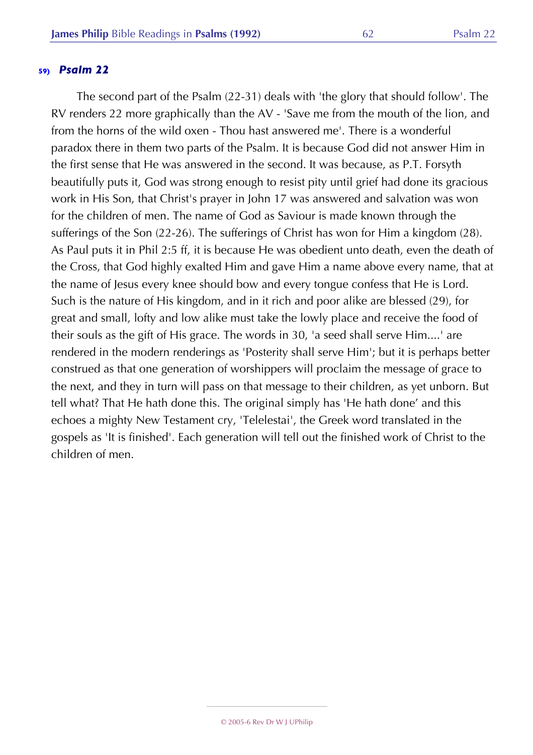The second part of the Psalm (22-31) deals with 'the glory that should follow'. The RV renders 22 more graphically than the AV - 'Save me from the mouth of the lion, and from the horns of the wild oxen - Thou hast answered me'. There is a wonderful paradox there in them two parts of the Psalm. It is because God did not answer Him in the first sense that He was answered in the second. It was because, as P.T. Forsyth beautifully puts it, God was strong enough to resist pity until grief had done its gracious work in His Son, that Christ's prayer in John 17 was answered and salvation was won for the children of men. The name of God as Saviour is made known through the sufferings of the Son (22-26). The sufferings of Christ has won for Him a kingdom (28). As Paul puts it in Phil 2:5 ff, it is because He was obedient unto death, even the death of the Cross, that God highly exalted Him and gave Him a name above every name, that at the name of Jesus every knee should bow and every tongue confess that He is Lord. Such is the nature of His kingdom, and in it rich and poor alike are blessed (29), for great and small, lofty and low alike must take the lowly place and receive the food of their souls as the gift of His grace. The words in 30, 'a seed shall serve Him....' are rendered in the modern renderings as 'Posterity shall serve Him'; but it is perhaps better construed as that one generation of worshippers will proclaim the message of grace to the next, and they in turn will pass on that message to their children, as yet unborn. But tell what? That He hath done this. The original simply has 'He hath done' and this echoes a mighty New Testament cry, 'Telelestai', the Greek word translated in the gospels as 'It is finished'. Each generation will tell out the finished work of Christ to the children of men.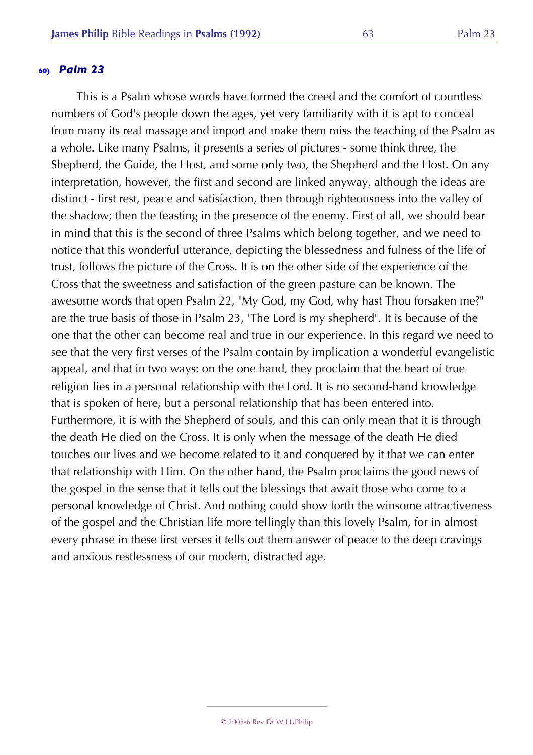This is a Psalm whose words have formed the creed and the comfort of countless numbers of God's people down the ages, yet very familiarity with it is apt to conceal from many its real massage and import and make them miss the teaching of the Psalm as a whole. Like many Psalms, it presents a series of pictures - some think three, the Shepherd, the Guide, the Host, and some only two, the Shepherd and the Host. On any interpretation, however, the first and second are linked anyway, although the ideas are distinct - first rest, peace and satisfaction, then through righteousness into the valley of the shadow; then the feasting in the presence of the enemy. First of all, we should bear in mind that this is the second of three Psalms which belong together, and we need to notice that this wonderful utterance, depicting the blessedness and fulness of the life of trust, follows the picture of the Cross. It is on the other side of the experience of the Cross that the sweetness and satisfaction of the green pasture can be known. The awesome words that open Psalm 22, "My God, my God, why hast Thou forsaken me?" are the true basis of those in Psalm 23, 'The Lord is my shepherd". It is because of the one that the other can become real and true in our experience. In this regard we need to see that the very first verses of the Psalm contain by implication a wonderful evangelistic appeal, and that in two ways: on the one hand, they proclaim that the heart of true religion lies in a personal relationship with the Lord. It is no second-hand knowledge that is spoken of here, but a personal relationship that has been entered into. Furthermore, it is with the Shepherd of souls, and this can only mean that it is through the death He died on the Cross. It is only when the message of the death He died touches our lives and we become related to it and conquered by it that we can enter that relationship with Him. On the other hand, the Psalm proclaims the good news of the gospel in the sense that it tells out the blessings that await those who come to a personal knowledge of Christ. And nothing could show forth the winsome attractiveness of the gospel and the Christian life more tellingly than this lovely Psalm, for in almost every phrase in these first verses it tells out them answer of peace to the deep cravings and anxious restlessness of our modern, distracted age.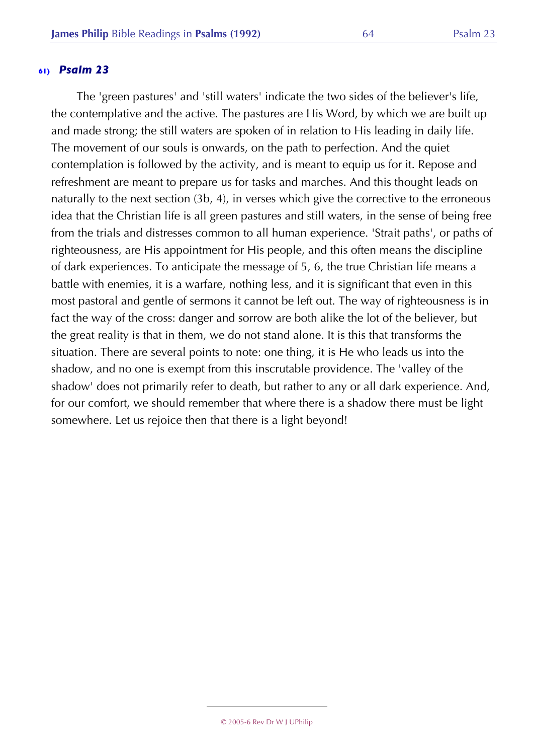The 'green pastures' and 'still waters' indicate the two sides of the believer's life, the contemplative and the active. The pastures are His Word, by which we are built up and made strong; the still waters are spoken of in relation to His leading in daily life. The movement of our souls is onwards, on the path to perfection. And the quiet contemplation is followed by the activity, and is meant to equip us for it. Repose and refreshment are meant to prepare us for tasks and marches. And this thought leads on naturally to the next section (3b, 4), in verses which give the corrective to the erroneous idea that the Christian life is all green pastures and still waters, in the sense of being free from the trials and distresses common to all human experience. 'Strait paths', or paths of righteousness, are His appointment for His people, and this often means the discipline of dark experiences. To anticipate the message of 5, 6, the true Christian life means a battle with enemies, it is a warfare, nothing less, and it is significant that even in this most pastoral and gentle of sermons it cannot be left out. The way of righteousness is in fact the way of the cross: danger and sorrow are both alike the lot of the believer, but the great reality is that in them, we do not stand alone. It is this that transforms the situation. There are several points to note: one thing, it is He who leads us into the shadow, and no one is exempt from this inscrutable providence. The 'valley of the shadow' does not primarily refer to death, but rather to any or all dark experience. And, for our comfort, we should remember that where there is a shadow there must be light somewhere. Let us rejoice then that there is a light beyond!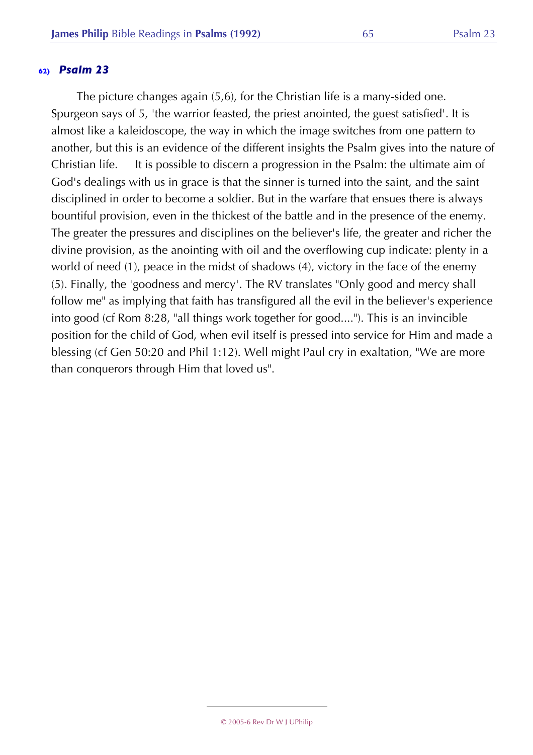The picture changes again (5,6), for the Christian life is a many-sided one. Spurgeon says of 5, 'the warrior feasted, the priest anointed, the guest satisfied'. It is almost like a kaleidoscope, the way in which the image switches from one pattern to another, but this is an evidence of the different insights the Psalm gives into the nature of Christian life. It is possible to discern a progression in the Psalm: the ultimate aim of God's dealings with us in grace is that the sinner is turned into the saint, and the saint disciplined in order to become a soldier. But in the warfare that ensues there is always bountiful provision, even in the thickest of the battle and in the presence of the enemy. The greater the pressures and disciplines on the believer's life, the greater and richer the divine provision, as the anointing with oil and the overflowing cup indicate: plenty in a world of need (1), peace in the midst of shadows (4), victory in the face of the enemy (5). Finally, the 'goodness and mercy'. The RV translates "Only good and mercy shall follow me" as implying that faith has transfigured all the evil in the believer's experience into good (cf Rom 8:28, "all things work together for good...."). This is an invincible position for the child of God, when evil itself is pressed into service for Him and made a blessing (cf Gen 50:20 and Phil 1:12). Well might Paul cry in exaltation, "We are more than conquerors through Him that loved us".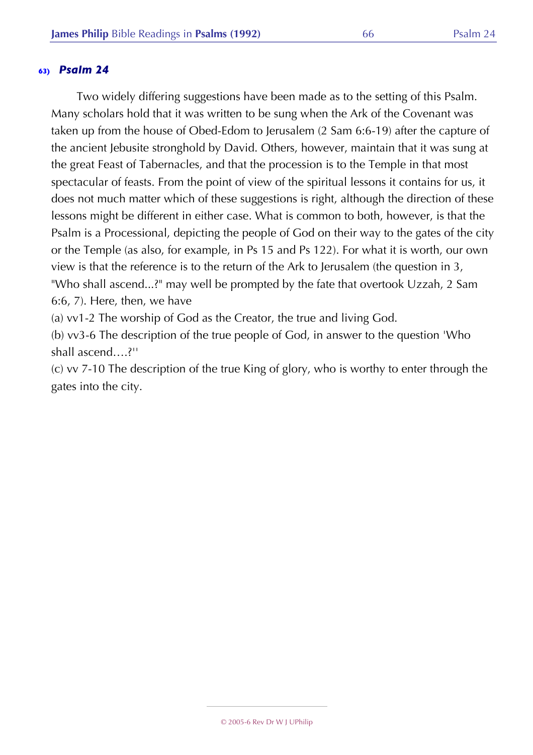Two widely differing suggestions have been made as to the setting of this Psalm. Many scholars hold that it was written to be sung when the Ark of the Covenant was taken up from the house of Obed-Edom to Jerusalem (2 Sam 6:6-19) after the capture of the ancient Jebusite stronghold by David. Others, however, maintain that it was sung at the great Feast of Tabernacles, and that the procession is to the Temple in that most spectacular of feasts. From the point of view of the spiritual lessons it contains for us, it does not much matter which of these suggestions is right, although the direction of these lessons might be different in either case. What is common to both, however, is that the Psalm is a Processional, depicting the people of God on their way to the gates of the city or the Temple (as also, for example, in Ps 15 and Ps 122). For what it is worth, our own view is that the reference is to the return of the Ark to Jerusalem (the question in 3, "Who shall ascend...?" may well be prompted by the fate that overtook Uzzah, 2 Sam 6:6, 7). Here, then, we have

(a) vv1-2 The worship of God as the Creator, the true and living God.

(b) vv3-6 The description of the true people of God, in answer to the question 'Who shall ascend….?''

(c) vv 7-10 The description of the true King of glory, who is worthy to enter through the gates into the city.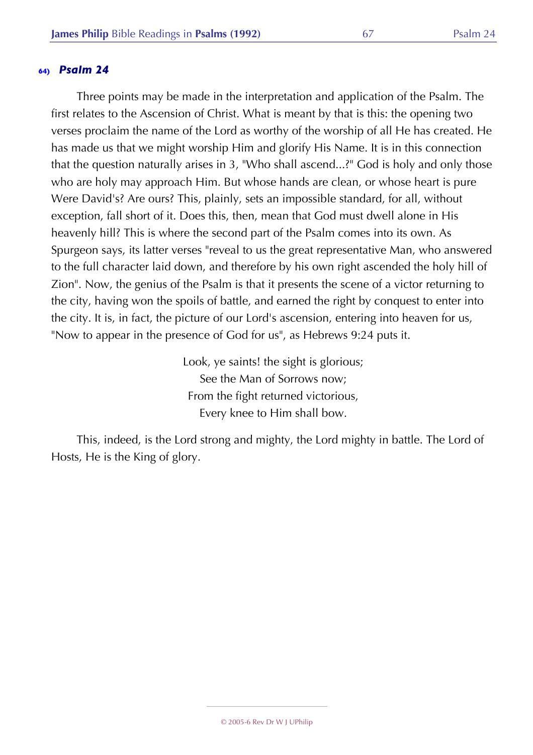Three points may be made in the interpretation and application of the Psalm. The first relates to the Ascension of Christ. What is meant by that is this: the opening two verses proclaim the name of the Lord as worthy of the worship of all He has created. He has made us that we might worship Him and glorify His Name. It is in this connection that the question naturally arises in 3, "Who shall ascend...?" God is holy and only those who are holy may approach Him. But whose hands are clean, or whose heart is pure Were David's? Are ours? This, plainly, sets an impossible standard, for all, without exception, fall short of it. Does this, then, mean that God must dwell alone in His heavenly hill? This is where the second part of the Psalm comes into its own. As Spurgeon says, its latter verses "reveal to us the great representative Man, who answered to the full character laid down, and therefore by his own right ascended the holy hill of Zion". Now, the genius of the Psalm is that it presents the scene of a victor returning to the city, having won the spoils of battle, and earned the right by conquest to enter into the city. It is, in fact, the picture of our Lord's ascension, entering into heaven for us, "Now to appear in the presence of God for us", as Hebrews 9:24 puts it.

> Look, ye saints! the sight is glorious; See the Man of Sorrows now; From the fight returned victorious, Every knee to Him shall bow.

This, indeed, is the Lord strong and mighty, the Lord mighty in battle. The Lord of Hosts, He is the King of glory.

© 2005-6 Rev Dr W J UPhilip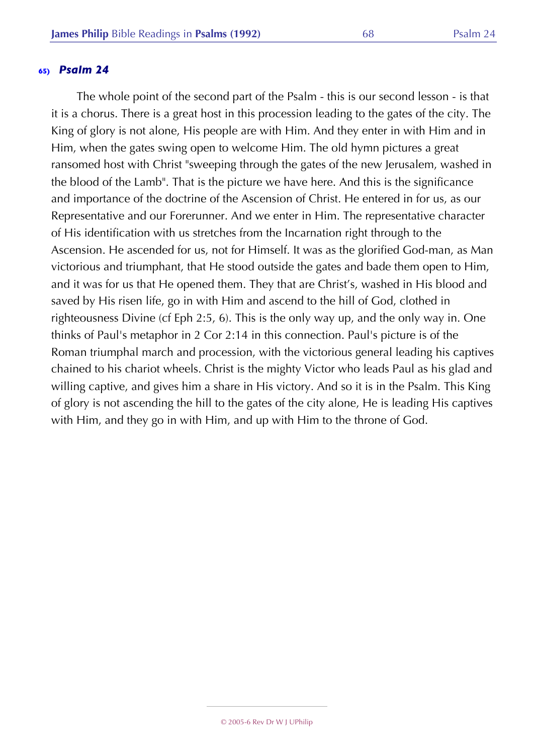The whole point of the second part of the Psalm - this is our second lesson - is that it is a chorus. There is a great host in this procession leading to the gates of the city. The King of glory is not alone, His people are with Him. And they enter in with Him and in Him, when the gates swing open to welcome Him. The old hymn pictures a great ransomed host with Christ "sweeping through the gates of the new Jerusalem, washed in the blood of the Lamb". That is the picture we have here. And this is the significance and importance of the doctrine of the Ascension of Christ. He entered in for us, as our Representative and our Forerunner. And we enter in Him. The representative character of His identification with us stretches from the Incarnation right through to the Ascension. He ascended for us, not for Himself. It was as the glorified God-man, as Man victorious and triumphant, that He stood outside the gates and bade them open to Him, and it was for us that He opened them. They that are Christ's, washed in His blood and saved by His risen life, go in with Him and ascend to the hill of God, clothed in righteousness Divine (cf Eph 2:5, 6). This is the only way up, and the only way in. One thinks of Paul's metaphor in 2 Cor 2:14 in this connection. Paul's picture is of the Roman triumphal march and procession, with the victorious general leading his captives chained to his chariot wheels. Christ is the mighty Victor who leads Paul as his glad and willing captive, and gives him a share in His victory. And so it is in the Psalm. This King of glory is not ascending the hill to the gates of the city alone, He is leading His captives with Him, and they go in with Him, and up with Him to the throne of God.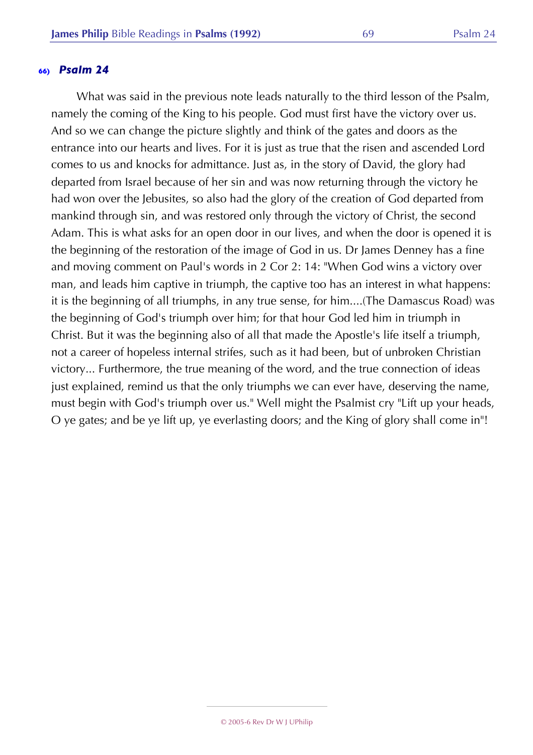What was said in the previous note leads naturally to the third lesson of the Psalm, namely the coming of the King to his people. God must first have the victory over us. And so we can change the picture slightly and think of the gates and doors as the entrance into our hearts and lives. For it is just as true that the risen and ascended Lord comes to us and knocks for admittance. Just as, in the story of David, the glory had departed from Israel because of her sin and was now returning through the victory he had won over the Jebusites, so also had the glory of the creation of God departed from mankind through sin, and was restored only through the victory of Christ, the second Adam. This is what asks for an open door in our lives, and when the door is opened it is the beginning of the restoration of the image of God in us. Dr James Denney has a fine and moving comment on Paul's words in 2 Cor 2: 14: "When God wins a victory over man, and leads him captive in triumph, the captive too has an interest in what happens: it is the beginning of all triumphs, in any true sense, for him....(The Damascus Road) was the beginning of God's triumph over him; for that hour God led him in triumph in Christ. But it was the beginning also of all that made the Apostle's life itself a triumph, not a career of hopeless internal strifes, such as it had been, but of unbroken Christian victory... Furthermore, the true meaning of the word, and the true connection of ideas just explained, remind us that the only triumphs we can ever have, deserving the name, must begin with God's triumph over us." Well might the Psalmist cry "Lift up your heads, O ye gates; and be ye lift up, ye everlasting doors; and the King of glory shall come in"!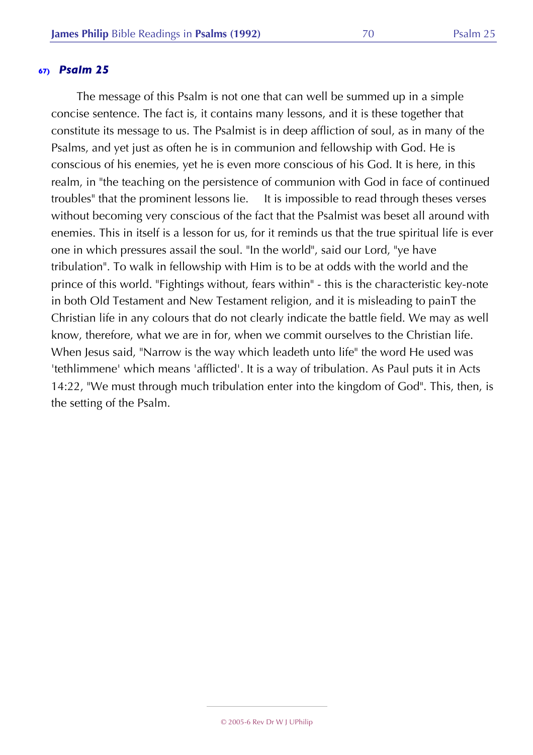The message of this Psalm is not one that can well be summed up in a simple concise sentence. The fact is, it contains many lessons, and it is these together that constitute its message to us. The Psalmist is in deep affliction of soul, as in many of the Psalms, and yet just as often he is in communion and fellowship with God. He is conscious of his enemies, yet he is even more conscious of his God. It is here, in this realm, in "the teaching on the persistence of communion with God in face of continued troubles" that the prominent lessons lie. It is impossible to read through theses verses without becoming very conscious of the fact that the Psalmist was beset all around with enemies. This in itself is a lesson for us, for it reminds us that the true spiritual life is ever one in which pressures assail the soul. "In the world", said our Lord, "ye have tribulation". To walk in fellowship with Him is to be at odds with the world and the prince of this world. "Fightings without, fears within" - this is the characteristic key-note in both Old Testament and New Testament religion, and it is misleading to painT the Christian life in any colours that do not clearly indicate the battle field. We may as well know, therefore, what we are in for, when we commit ourselves to the Christian life. When Jesus said, "Narrow is the way which leadeth unto life" the word He used was 'tethlimmene' which means 'afflicted'. It is a way of tribulation. As Paul puts it in Acts 14:22, "We must through much tribulation enter into the kingdom of God". This, then, is the setting of the Psalm.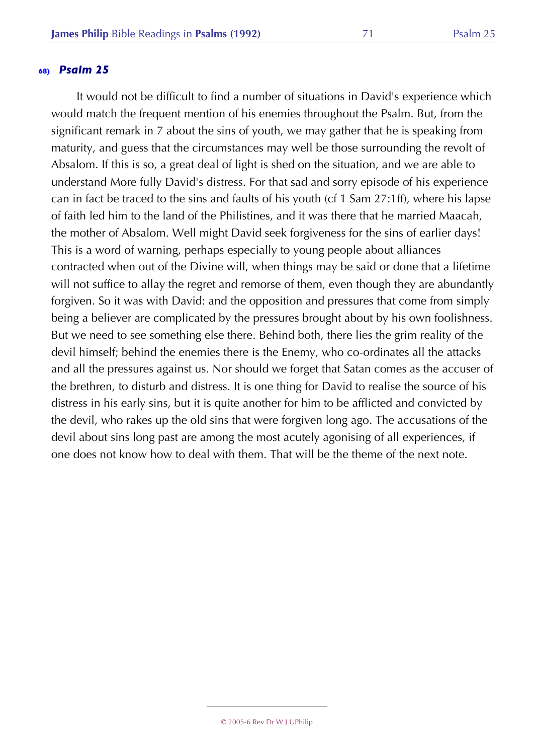It would not be difficult to find a number of situations in David's experience which would match the frequent mention of his enemies throughout the Psalm. But, from the significant remark in 7 about the sins of youth, we may gather that he is speaking from maturity, and guess that the circumstances may well be those surrounding the revolt of Absalom. If this is so, a great deal of light is shed on the situation, and we are able to understand More fully David's distress. For that sad and sorry episode of his experience can in fact be traced to the sins and faults of his youth (cf 1 Sam 27:1ff), where his lapse of faith led him to the land of the Philistines, and it was there that he married Maacah, the mother of Absalom. Well might David seek forgiveness for the sins of earlier days! This is a word of warning, perhaps especially to young people about alliances contracted when out of the Divine will, when things may be said or done that a lifetime will not suffice to allay the regret and remorse of them, even though they are abundantly forgiven. So it was with David: and the opposition and pressures that come from simply being a believer are complicated by the pressures brought about by his own foolishness. But we need to see something else there. Behind both, there lies the grim reality of the devil himself; behind the enemies there is the Enemy, who co-ordinates all the attacks and all the pressures against us. Nor should we forget that Satan comes as the accuser of the brethren, to disturb and distress. It is one thing for David to realise the source of his distress in his early sins, but it is quite another for him to be afflicted and convicted by the devil, who rakes up the old sins that were forgiven long ago. The accusations of the devil about sins long past are among the most acutely agonising of all experiences, if one does not know how to deal with them. That will be the theme of the next note.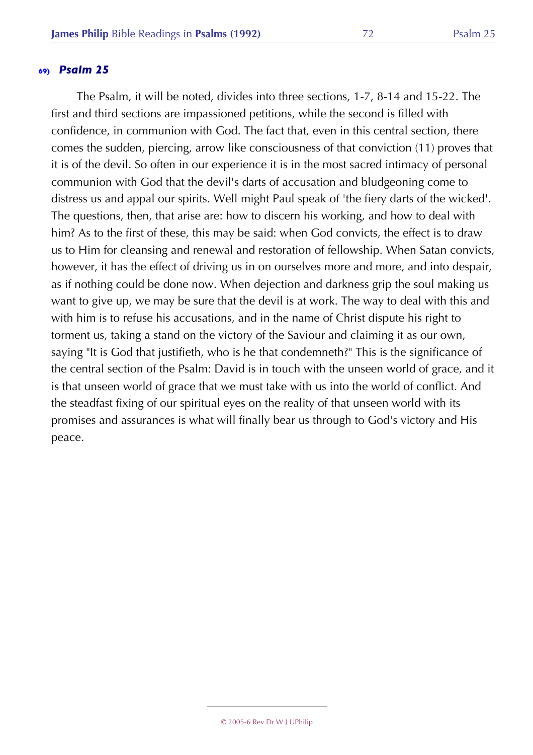The Psalm, it will be noted, divides into three sections, 1-7, 8-14 and 15-22. The first and third sections are impassioned petitions, while the second is filled with confidence, in communion with God. The fact that, even in this central section, there comes the sudden, piercing, arrow like consciousness of that conviction (11) proves that it is of the devil. So often in our experience it is in the most sacred intimacy of personal communion with God that the devil's darts of accusation and bludgeoning come to distress us and appal our spirits. Well might Paul speak of 'the fiery darts of the wicked'. The questions, then, that arise are: how to discern his working, and how to deal with him? As to the first of these, this may be said: when God convicts, the effect is to draw us to Him for cleansing and renewal and restoration of fellowship. When Satan convicts, however, it has the effect of driving us in on ourselves more and more, and into despair, as if nothing could be done now. When dejection and darkness grip the soul making us want to give up, we may be sure that the devil is at work. The way to deal with this and with him is to refuse his accusations, and in the name of Christ dispute his right to torment us, taking a stand on the victory of the Saviour and claiming it as our own, saying "It is God that justifieth, who is he that condemneth?" This is the significance of the central section of the Psalm: David is in touch with the unseen world of grace, and it is that unseen world of grace that we must take with us into the world of conflict. And the steadfast fixing of our spiritual eyes on the reality of that unseen world with its promises and assurances is what will finally bear us through to God's victory and His peace.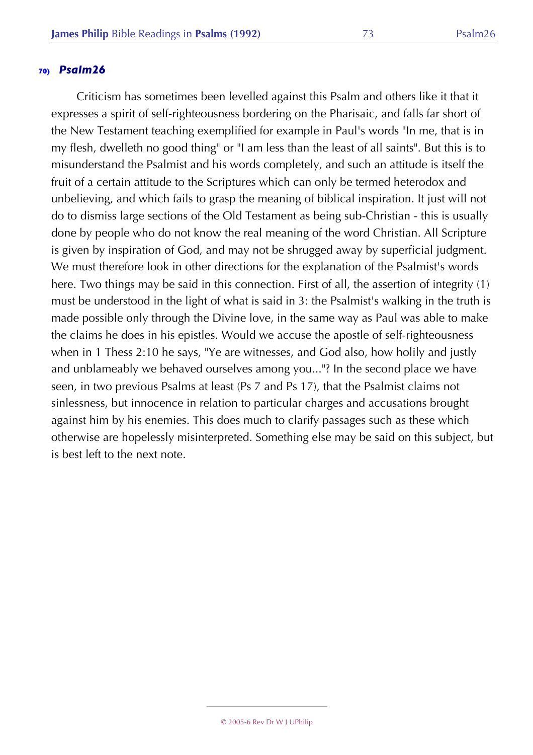Criticism has sometimes been levelled against this Psalm and others like it that it expresses a spirit of self-righteousness bordering on the Pharisaic, and falls far short of the New Testament teaching exemplified for example in Paul's words "In me, that is in my flesh, dwelleth no good thing" or "I am less than the least of all saints". But this is to misunderstand the Psalmist and his words completely, and such an attitude is itself the fruit of a certain attitude to the Scriptures which can only be termed heterodox and unbelieving, and which fails to grasp the meaning of biblical inspiration. It just will not do to dismiss large sections of the Old Testament as being sub-Christian - this is usually done by people who do not know the real meaning of the word Christian. All Scripture is given by inspiration of God, and may not be shrugged away by superficial judgment. We must therefore look in other directions for the explanation of the Psalmist's words here. Two things may be said in this connection. First of all, the assertion of integrity (1) must be understood in the light of what is said in 3: the Psalmist's walking in the truth is made possible only through the Divine love, in the same way as Paul was able to make the claims he does in his epistles. Would we accuse the apostle of self-righteousness when in 1 Thess 2:10 he says, "Ye are witnesses, and God also, how holily and justly and unblameably we behaved ourselves among you..."? In the second place we have seen, in two previous Psalms at least (Ps 7 and Ps 17), that the Psalmist claims not sinlessness, but innocence in relation to particular charges and accusations brought against him by his enemies. This does much to clarify passages such as these which otherwise are hopelessly misinterpreted. Something else may be said on this subject, but is best left to the next note.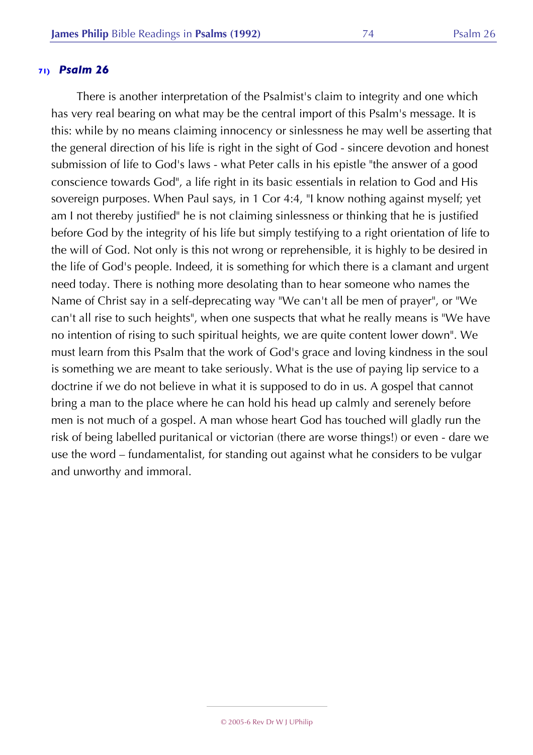There is another interpretation of the Psalmist's claim to integrity and one which has very real bearing on what may be the central import of this Psalm's message. It is this: while by no means claiming innocency or sinlessness he may well be asserting that the general direction of his life is right in the sight of God - sincere devotion and honest submission of life to God's laws - what Peter calls in his epistle "the answer of a good conscience towards God", a life right in its basic essentials in relation to God and His sovereign purposes. When Paul says, in 1 Cor 4:4, "I know nothing against myself; yet am I not thereby justified" he is not claiming sinlessness or thinking that he is justified before God by the integrity of his life but simply testifying to a right orientation of life to the will of God. Not only is this not wrong or reprehensible, it is highly to be desired in the life of God's people. Indeed, it is something for which there is a clamant and urgent need today. There is nothing more desolating than to hear someone who names the Name of Christ say in a self-deprecating way "We can't all be men of prayer", or "We can't all rise to such heights", when one suspects that what he really means is "We have no intention of rising to such spiritual heights, we are quite content lower down". We must learn from this Psalm that the work of God's grace and loving kindness in the soul is something we are meant to take seriously. What is the use of paying lip service to a doctrine if we do not believe in what it is supposed to do in us. A gospel that cannot bring a man to the place where he can hold his head up calmly and serenely before men is not much of a gospel. A man whose heart God has touched will gladly run the risk of being labelled puritanical or victorian (there are worse things!) or even - dare we use the word – fundamentalist, for standing out against what he considers to be vulgar and unworthy and immoral.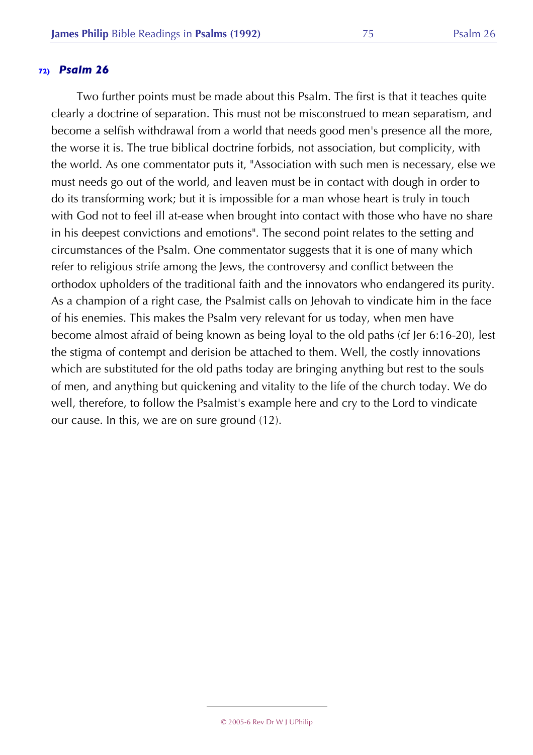Two further points must be made about this Psalm. The first is that it teaches quite clearly a doctrine of separation. This must not be misconstrued to mean separatism, and become a selfish withdrawal from a world that needs good men's presence all the more, the worse it is. The true biblical doctrine forbids, not association, but complicity, with the world. As one commentator puts it, "Association with such men is necessary, else we must needs go out of the world, and leaven must be in contact with dough in order to do its transforming work; but it is impossible for a man whose heart is truly in touch with God not to feel ill at-ease when brought into contact with those who have no share in his deepest convictions and emotions". The second point relates to the setting and circumstances of the Psalm. One commentator suggests that it is one of many which refer to religious strife among the Jews, the controversy and conflict between the orthodox upholders of the traditional faith and the innovators who endangered its purity. As a champion of a right case, the Psalmist calls on Jehovah to vindicate him in the face of his enemies. This makes the Psalm very relevant for us today, when men have become almost afraid of being known as being loyal to the old paths (cf Jer 6:16-20), lest the stigma of contempt and derision be attached to them. Well, the costly innovations which are substituted for the old paths today are bringing anything but rest to the souls of men, and anything but quickening and vitality to the life of the church today. We do well, therefore, to follow the Psalmist's example here and cry to the Lord to vindicate our cause. In this, we are on sure ground (12).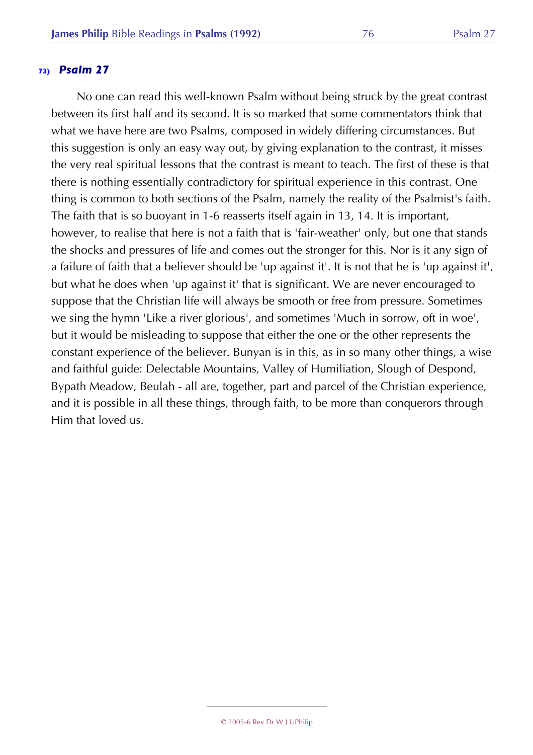No one can read this well-known Psalm without being struck by the great contrast between its first half and its second. It is so marked that some commentators think that what we have here are two Psalms, composed in widely differing circumstances. But this suggestion is only an easy way out, by giving explanation to the contrast, it misses the very real spiritual lessons that the contrast is meant to teach. The first of these is that there is nothing essentially contradictory for spiritual experience in this contrast. One thing is common to both sections of the Psalm, namely the reality of the Psalmist's faith. The faith that is so buoyant in 1-6 reasserts itself again in 13, 14. It is important, however, to realise that here is not a faith that is 'fair-weather' only, but one that stands the shocks and pressures of life and comes out the stronger for this. Nor is it any sign of a failure of faith that a believer should be 'up against it'. It is not that he is 'up against it', but what he does when 'up against it' that is significant. We are never encouraged to suppose that the Christian life will always be smooth or free from pressure. Sometimes we sing the hymn 'Like a river glorious', and sometimes 'Much in sorrow, oft in woe', but it would be misleading to suppose that either the one or the other represents the constant experience of the believer. Bunyan is in this, as in so many other things, a wise and faithful guide: Delectable Mountains, Valley of Humiliation, Slough of Despond, Bypath Meadow, Beulah - all are, together, part and parcel of the Christian experience, and it is possible in all these things, through faith, to be more than conquerors through Him that loved us.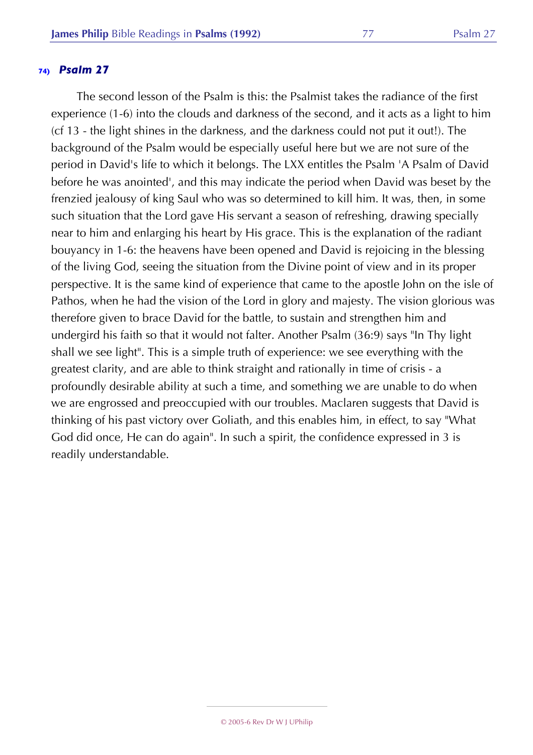The second lesson of the Psalm is this: the Psalmist takes the radiance of the first experience (1-6) into the clouds and darkness of the second, and it acts as a light to him (cf 13 - the light shines in the darkness, and the darkness could not put it out!). The background of the Psalm would be especially useful here but we are not sure of the period in David's life to which it belongs. The LXX entitles the Psalm 'A Psalm of David before he was anointed', and this may indicate the period when David was beset by the frenzied jealousy of king Saul who was so determined to kill him. It was, then, in some such situation that the Lord gave His servant a season of refreshing, drawing specially near to him and enlarging his heart by His grace. This is the explanation of the radiant bouyancy in 1-6: the heavens have been opened and David is rejoicing in the blessing of the living God, seeing the situation from the Divine point of view and in its proper perspective. It is the same kind of experience that came to the apostle John on the isle of Pathos, when he had the vision of the Lord in glory and majesty. The vision glorious was therefore given to brace David for the battle, to sustain and strengthen him and undergird his faith so that it would not falter. Another Psalm (36:9) says "In Thy light shall we see light". This is a simple truth of experience: we see everything with the greatest clarity, and are able to think straight and rationally in time of crisis - a profoundly desirable ability at such a time, and something we are unable to do when we are engrossed and preoccupied with our troubles. Maclaren suggests that David is thinking of his past victory over Goliath, and this enables him, in effect, to say "What God did once, He can do again". In such a spirit, the confidence expressed in 3 is readily understandable.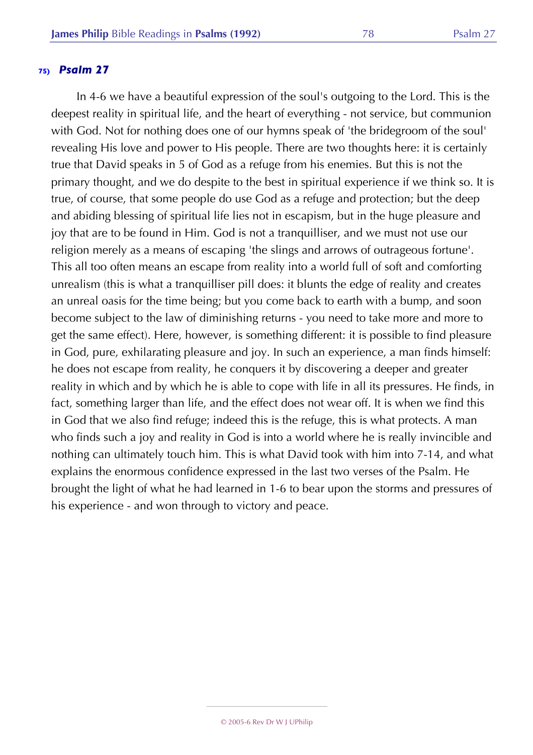In 4-6 we have a beautiful expression of the soul's outgoing to the Lord. This is the deepest reality in spiritual life, and the heart of everything - not service, but communion with God. Not for nothing does one of our hymns speak of 'the bridegroom of the soul' revealing His love and power to His people. There are two thoughts here: it is certainly true that David speaks in 5 of God as a refuge from his enemies. But this is not the primary thought, and we do despite to the best in spiritual experience if we think so. It is true, of course, that some people do use God as a refuge and protection; but the deep and abiding blessing of spiritual life lies not in escapism, but in the huge pleasure and joy that are to be found in Him. God is not a tranquilliser, and we must not use our religion merely as a means of escaping 'the slings and arrows of outrageous fortune'. This all too often means an escape from reality into a world full of soft and comforting unrealism (this is what a tranquilliser pill does: it blunts the edge of reality and creates an unreal oasis for the time being; but you come back to earth with a bump, and soon become subject to the law of diminishing returns - you need to take more and more to get the same effect). Here, however, is something different: it is possible to find pleasure in God, pure, exhilarating pleasure and joy. In such an experience, a man finds himself: he does not escape from reality, he conquers it by discovering a deeper and greater reality in which and by which he is able to cope with life in all its pressures. He finds, in fact, something larger than life, and the effect does not wear off. It is when we find this in God that we also find refuge; indeed this is the refuge, this is what protects. A man who finds such a joy and reality in God is into a world where he is really invincible and nothing can ultimately touch him. This is what David took with him into 7-14, and what explains the enormous confidence expressed in the last two verses of the Psalm. He brought the light of what he had learned in 1-6 to bear upon the storms and pressures of his experience - and won through to victory and peace.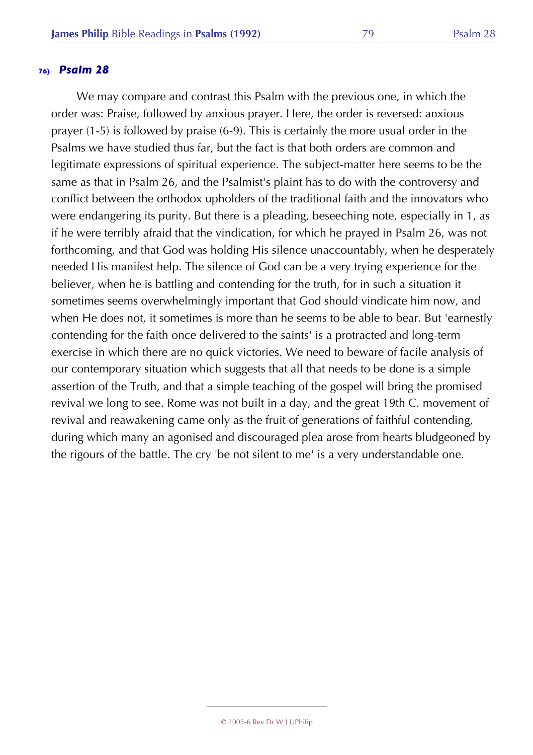We may compare and contrast this Psalm with the previous one, in which the order was: Praise, followed by anxious prayer. Here, the order is reversed: anxious prayer (1-5) is followed by praise (6-9). This is certainly the more usual order in the Psalms we have studied thus far, but the fact is that both orders are common and legitimate expressions of spiritual experience. The subject-matter here seems to be the same as that in Psalm 26, and the Psalmist's plaint has to do with the controversy and conflict between the orthodox upholders of the traditional faith and the innovators who were endangering its purity. But there is a pleading, beseeching note, especially in 1, as if he were terribly afraid that the vindication, for which he prayed in Psalm 26, was not forthcoming, and that God was holding His silence unaccountably, when he desperately needed His manifest help. The silence of God can be a very trying experience for the believer, when he is battling and contending for the truth, for in such a situation it sometimes seems overwhelmingly important that God should vindicate him now, and when He does not, it sometimes is more than he seems to be able to bear. But 'earnestly contending for the faith once delivered to the saints' is a protracted and long-term exercise in which there are no quick victories. We need to beware of facile analysis of our contemporary situation which suggests that all that needs to be done is a simple assertion of the Truth, and that a simple teaching of the gospel will bring the promised revival we long to see. Rome was not built in a day, and the great 19th C. movement of revival and reawakening came only as the fruit of generations of faithful contending, during which many an agonised and discouraged plea arose from hearts bludgeoned by the rigours of the battle. The cry 'be not silent to me' is a very understandable one.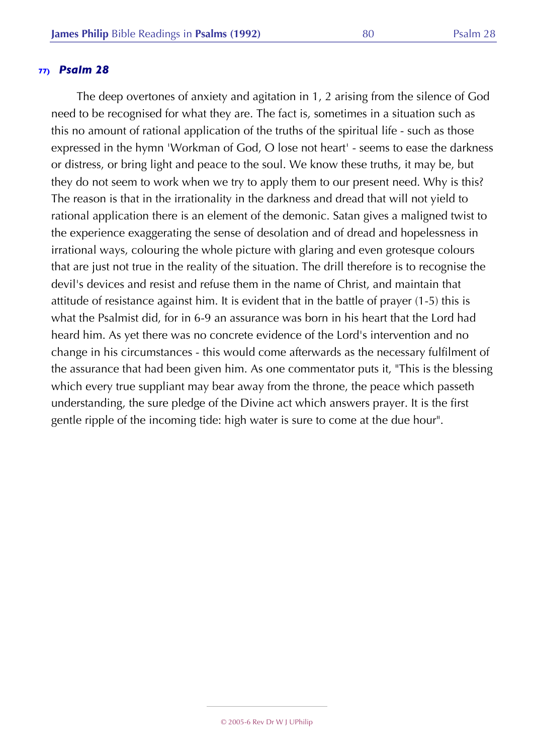The deep overtones of anxiety and agitation in 1, 2 arising from the silence of God need to be recognised for what they are. The fact is, sometimes in a situation such as this no amount of rational application of the truths of the spiritual life - such as those expressed in the hymn 'Workman of God, O lose not heart' - seems to ease the darkness or distress, or bring light and peace to the soul. We know these truths, it may be, but they do not seem to work when we try to apply them to our present need. Why is this? The reason is that in the irrationality in the darkness and dread that will not yield to rational application there is an element of the demonic. Satan gives a maligned twist to the experience exaggerating the sense of desolation and of dread and hopelessness in irrational ways, colouring the whole picture with glaring and even grotesque colours that are just not true in the reality of the situation. The drill therefore is to recognise the devil's devices and resist and refuse them in the name of Christ, and maintain that attitude of resistance against him. It is evident that in the battle of prayer (1-5) this is what the Psalmist did, for in 6-9 an assurance was born in his heart that the Lord had heard him. As yet there was no concrete evidence of the Lord's intervention and no change in his circumstances - this would come afterwards as the necessary fulfilment of the assurance that had been given him. As one commentator puts it, "This is the blessing which every true suppliant may bear away from the throne, the peace which passeth understanding, the sure pledge of the Divine act which answers prayer. It is the first gentle ripple of the incoming tide: high water is sure to come at the due hour".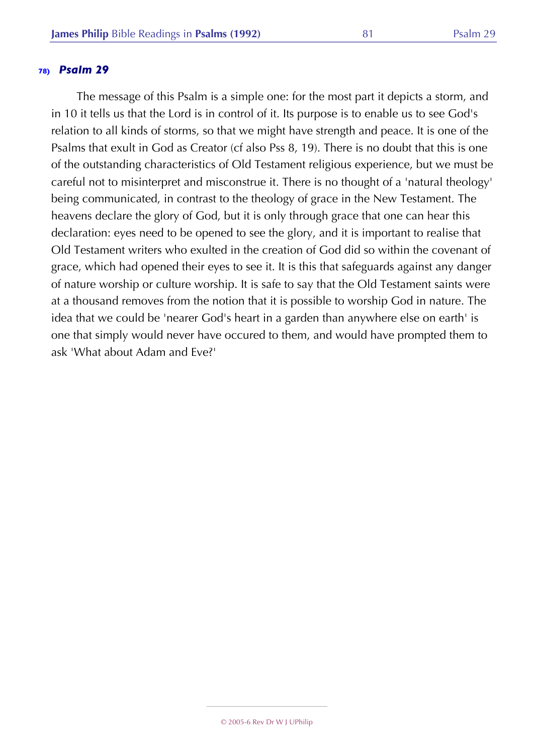The message of this Psalm is a simple one: for the most part it depicts a storm, and in 10 it tells us that the Lord is in control of it. Its purpose is to enable us to see God's relation to all kinds of storms, so that we might have strength and peace. It is one of the Psalms that exult in God as Creator (cf also Pss 8, 19). There is no doubt that this is one of the outstanding characteristics of Old Testament religious experience, but we must be careful not to misinterpret and misconstrue it. There is no thought of a 'natural theology' being communicated, in contrast to the theology of grace in the New Testament. The heavens declare the glory of God, but it is only through grace that one can hear this declaration: eyes need to be opened to see the glory, and it is important to realise that Old Testament writers who exulted in the creation of God did so within the covenant of grace, which had opened their eyes to see it. It is this that safeguards against any danger of nature worship or culture worship. It is safe to say that the Old Testament saints were at a thousand removes from the notion that it is possible to worship God in nature. The idea that we could be 'nearer God's heart in a garden than anywhere else on earth' is one that simply would never have occured to them, and would have prompted them to ask 'What about Adam and Eve?'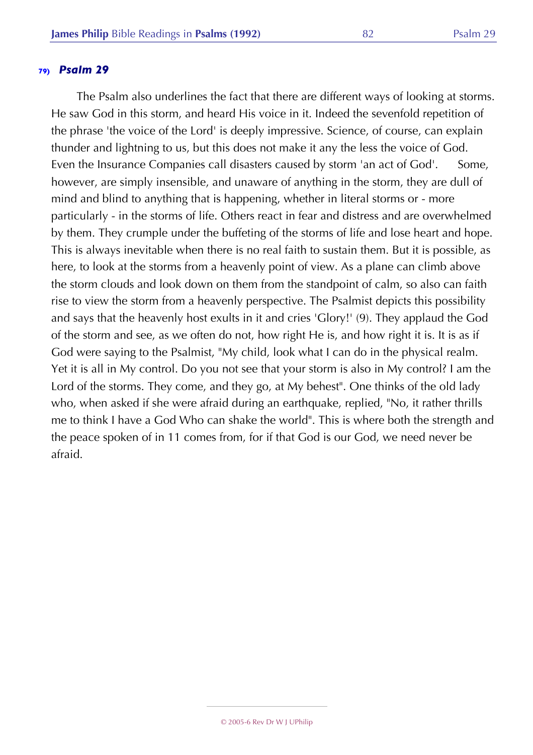The Psalm also underlines the fact that there are different ways of looking at storms. He saw God in this storm, and heard His voice in it. Indeed the sevenfold repetition of the phrase 'the voice of the Lord' is deeply impressive. Science, of course, can explain thunder and lightning to us, but this does not make it any the less the voice of God. Even the Insurance Companies call disasters caused by storm 'an act of God'. Some, however, are simply insensible, and unaware of anything in the storm, they are dull of mind and blind to anything that is happening, whether in literal storms or - more particularly - in the storms of life. Others react in fear and distress and are overwhelmed by them. They crumple under the buffeting of the storms of life and lose heart and hope. This is always inevitable when there is no real faith to sustain them. But it is possible, as here, to look at the storms from a heavenly point of view. As a plane can climb above the storm clouds and look down on them from the standpoint of calm, so also can faith rise to view the storm from a heavenly perspective. The Psalmist depicts this possibility and says that the heavenly host exults in it and cries 'Glory!' (9). They applaud the God of the storm and see, as we often do not, how right He is, and how right it is. It is as if God were saying to the Psalmist, "My child, look what I can do in the physical realm. Yet it is all in My control. Do you not see that your storm is also in My control? I am the Lord of the storms. They come, and they go, at My behest". One thinks of the old lady who, when asked if she were afraid during an earthquake, replied, "No, it rather thrills me to think I have a God Who can shake the world". This is where both the strength and the peace spoken of in 11 comes from, for if that God is our God, we need never be afraid.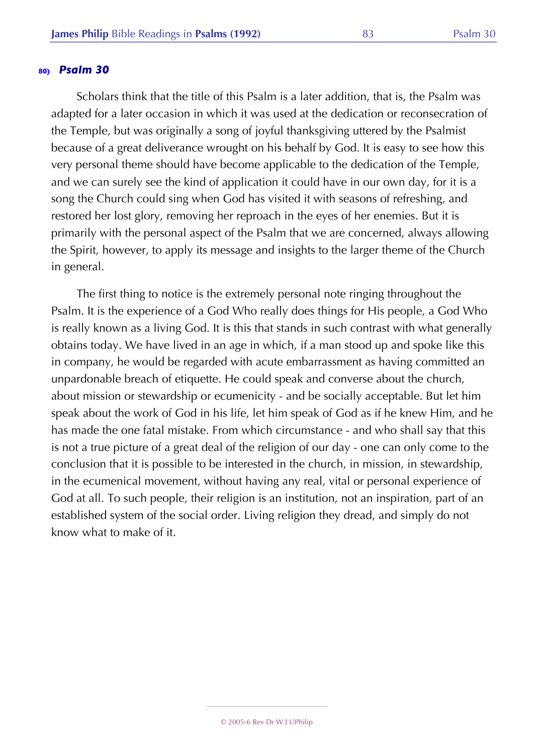Scholars think that the title of this Psalm is a later addition, that is, the Psalm was adapted for a later occasion in which it was used at the dedication or reconsecration of the Temple, but was originally a song of joyful thanksgiving uttered by the Psalmist because of a great deliverance wrought on his behalf by God. It is easy to see how this very personal theme should have become applicable to the dedication of the Temple, and we can surely see the kind of application it could have in our own day, for it is a song the Church could sing when God has visited it with seasons of refreshing, and restored her lost glory, removing her reproach in the eyes of her enemies. But it is primarily with the personal aspect of the Psalm that we are concerned, always allowing the Spirit, however, to apply its message and insights to the larger theme of the Church in general.

The first thing to notice is the extremely personal note ringing throughout the Psalm. It is the experience of a God Who really does things for His people, a God Who is really known as a living God. It is this that stands in such contrast with what generally obtains today. We have lived in an age in which, if a man stood up and spoke like this in company, he would be regarded with acute embarrassment as having committed an unpardonable breach of etiquette. He could speak and converse about the church, about mission or stewardship or ecumenicity - and be socially acceptable. But let him speak about the work of God in his life, let him speak of God as if he knew Him, and he has made the one fatal mistake. From which circumstance - and who shall say that this is not a true picture of a great deal of the religion of our day - one can only come to the conclusion that it is possible to be interested in the church, in mission, in stewardship, in the ecumenical movement, without having any real, vital or personal experience of God at all. To such people, their religion is an institution, not an inspiration, part of an established system of the social order. Living religion they dread, and simply do not know what to make of it.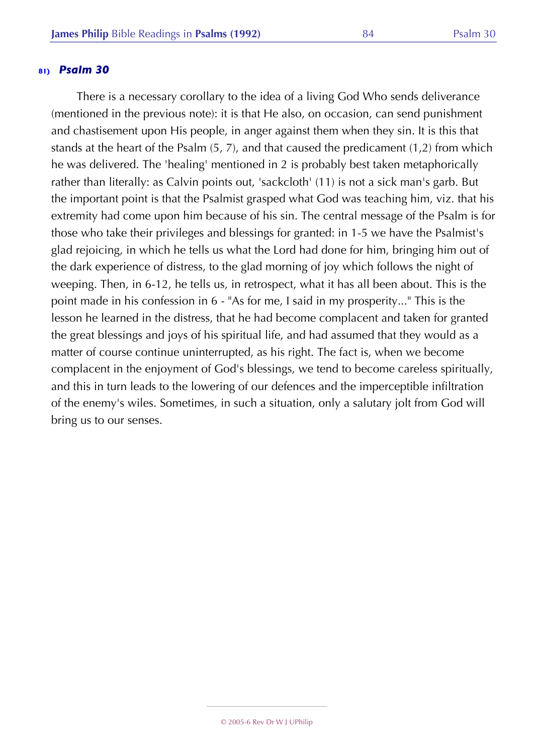There is a necessary corollary to the idea of a living God Who sends deliverance (mentioned in the previous note): it is that He also, on occasion, can send punishment and chastisement upon His people, in anger against them when they sin. It is this that stands at the heart of the Psalm (5, 7), and that caused the predicament (1,2) from which he was delivered. The 'healing' mentioned in 2 is probably best taken metaphorically rather than literally: as Calvin points out, 'sackcloth' (11) is not a sick man's garb. But the important point is that the Psalmist grasped what God was teaching him, viz. that his extremity had come upon him because of his sin. The central message of the Psalm is for those who take their privileges and blessings for granted: in 1-5 we have the Psalmist's glad rejoicing, in which he tells us what the Lord had done for him, bringing him out of the dark experience of distress, to the glad morning of joy which follows the night of weeping. Then, in 6-12, he tells us, in retrospect, what it has all been about. This is the point made in his confession in 6 - "As for me, I said in my prosperity..." This is the lesson he learned in the distress, that he had become complacent and taken for granted the great blessings and joys of his spiritual life, and had assumed that they would as a matter of course continue uninterrupted, as his right. The fact is, when we become complacent in the enjoyment of God's blessings, we tend to become careless spiritually, and this in turn leads to the lowering of our defences and the imperceptible infiltration of the enemy's wiles. Sometimes, in such a situation, only a salutary jolt from God will bring us to our senses.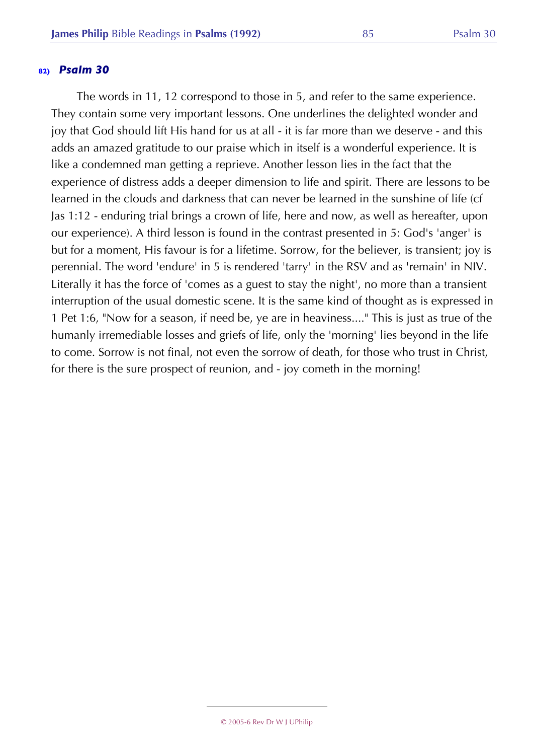The words in 11, 12 correspond to those in 5, and refer to the same experience. They contain some very important lessons. One underlines the delighted wonder and joy that God should lift His hand for us at all - it is far more than we deserve - and this adds an amazed gratitude to our praise which in itself is a wonderful experience. It is like a condemned man getting a reprieve. Another lesson lies in the fact that the experience of distress adds a deeper dimension to life and spirit. There are lessons to be learned in the clouds and darkness that can never be learned in the sunshine of life (cf Jas 1:12 - enduring trial brings a crown of life, here and now, as well as hereafter, upon our experience). A third lesson is found in the contrast presented in 5: God's 'anger' is but for a moment, His favour is for a lifetime. Sorrow, for the believer, is transient; joy is perennial. The word 'endure' in 5 is rendered 'tarry' in the RSV and as 'remain' in NIV. Literally it has the force of 'comes as a guest to stay the night', no more than a transient interruption of the usual domestic scene. It is the same kind of thought as is expressed in 1 Pet 1:6, "Now for a season, if need be, ye are in heaviness...." This is just as true of the humanly irremediable losses and griefs of life, only the 'morning' lies beyond in the life to come. Sorrow is not final, not even the sorrow of death, for those who trust in Christ, for there is the sure prospect of reunion, and - joy cometh in the morning!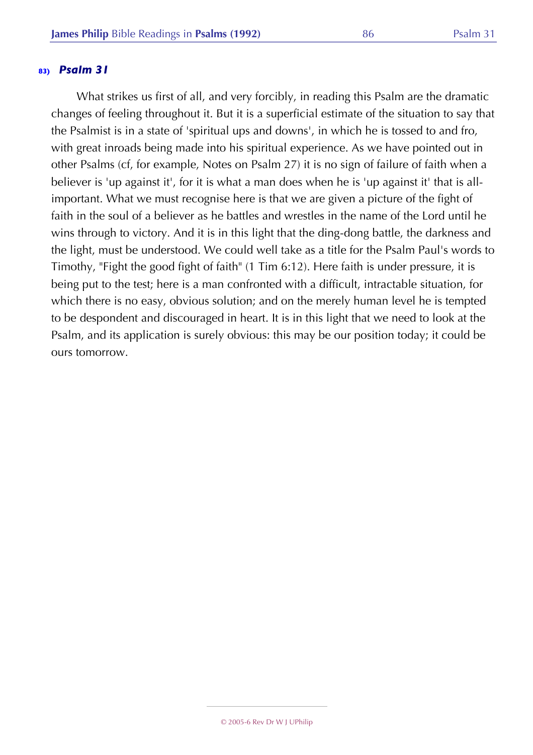What strikes us first of all, and very forcibly, in reading this Psalm are the dramatic changes of feeling throughout it. But it is a superficial estimate of the situation to say that the Psalmist is in a state of 'spiritual ups and downs', in which he is tossed to and fro, with great inroads being made into his spiritual experience. As we have pointed out in other Psalms (cf, for example, Notes on Psalm 27) it is no sign of failure of faith when a believer is 'up against it', for it is what a man does when he is 'up against it' that is allimportant. What we must recognise here is that we are given a picture of the fight of faith in the soul of a believer as he battles and wrestles in the name of the Lord until he wins through to victory. And it is in this light that the ding-dong battle, the darkness and the light, must be understood. We could well take as a title for the Psalm Paul's words to Timothy, "Fight the good fight of faith" (1 Tim 6:12). Here faith is under pressure, it is being put to the test; here is a man confronted with a difficult, intractable situation, for which there is no easy, obvious solution; and on the merely human level he is tempted to be despondent and discouraged in heart. It is in this light that we need to look at the Psalm, and its application is surely obvious: this may be our position today; it could be ours tomorrow.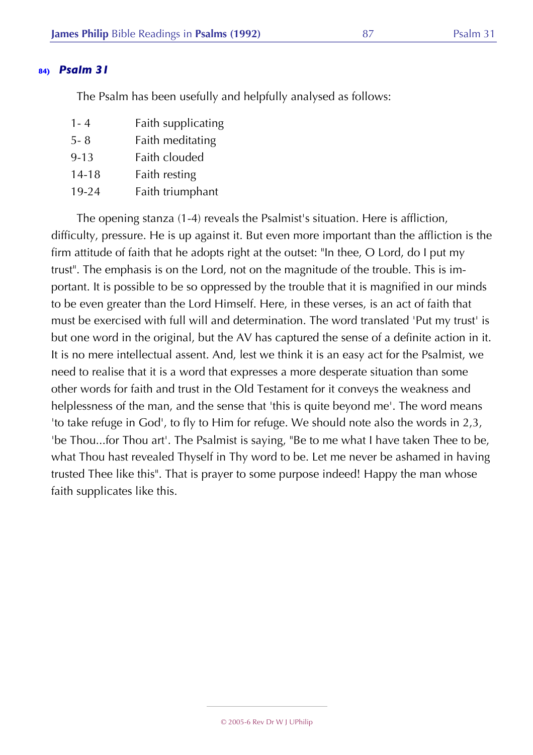The Psalm has been usefully and helpfully analysed as follows:

| $1 - 4$   | Faith supplicating |
|-----------|--------------------|
| 5-8       | Faith meditating   |
| $9 - 13$  | Faith clouded      |
| $14 - 18$ | Faith resting      |
| $19 - 24$ | Faith triumphant   |

The opening stanza (1-4) reveals the Psalmist's situation. Here is affliction, difficulty, pressure. He is up against it. But even more important than the affliction is the firm attitude of faith that he adopts right at the outset: "In thee, O Lord, do I put my trust". The emphasis is on the Lord, not on the magnitude of the trouble. This is important. It is possible to be so oppressed by the trouble that it is magnified in our minds to be even greater than the Lord Himself. Here, in these verses, is an act of faith that must be exercised with full will and determination. The word translated 'Put my trust' is but one word in the original, but the AV has captured the sense of a definite action in it. It is no mere intellectual assent. And, lest we think it is an easy act for the Psalmist, we need to realise that it is a word that expresses a more desperate situation than some other words for faith and trust in the Old Testament for it conveys the weakness and helplessness of the man, and the sense that 'this is quite beyond me'. The word means 'to take refuge in God', to fly to Him for refuge. We should note also the words in 2,3, 'be Thou...for Thou art'. The Psalmist is saying, "Be to me what I have taken Thee to be, what Thou hast revealed Thyself in Thy word to be. Let me never be ashamed in having trusted Thee like this". That is prayer to some purpose indeed! Happy the man whose faith supplicates like this.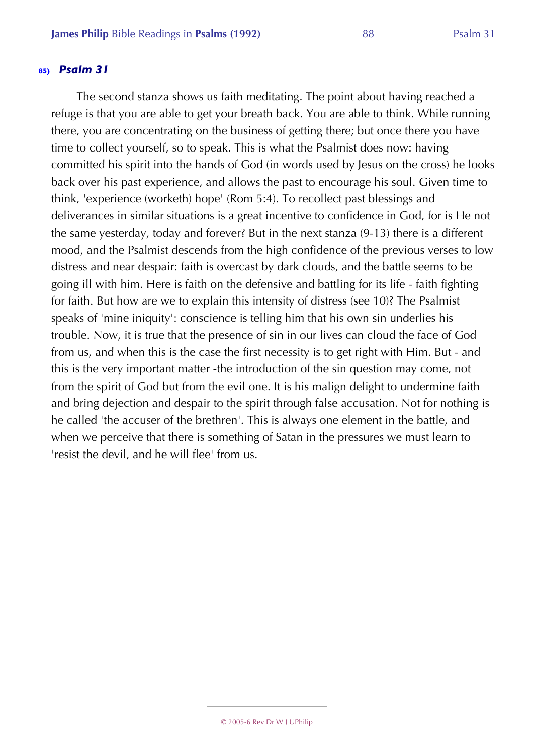The second stanza shows us faith meditating. The point about having reached a refuge is that you are able to get your breath back. You are able to think. While running there, you are concentrating on the business of getting there; but once there you have time to collect yourself, so to speak. This is what the Psalmist does now: having committed his spirit into the hands of God (in words used by Jesus on the cross) he looks back over his past experience, and allows the past to encourage his soul. Given time to think, 'experience (worketh) hope' (Rom 5:4). To recollect past blessings and deliverances in similar situations is a great incentive to confidence in God, for is He not the same yesterday, today and forever? But in the next stanza (9-13) there is a different mood, and the Psalmist descends from the high confidence of the previous verses to low distress and near despair: faith is overcast by dark clouds, and the battle seems to be going ill with him. Here is faith on the defensive and battling for its life - faith fighting for faith. But how are we to explain this intensity of distress (see 10)? The Psalmist speaks of 'mine iniquity': conscience is telling him that his own sin underlies his trouble. Now, it is true that the presence of sin in our lives can cloud the face of God from us, and when this is the case the first necessity is to get right with Him. But - and this is the very important matter -the introduction of the sin question may come, not from the spirit of God but from the evil one. It is his malign delight to undermine faith and bring dejection and despair to the spirit through false accusation. Not for nothing is he called 'the accuser of the brethren'. This is always one element in the battle, and when we perceive that there is something of Satan in the pressures we must learn to 'resist the devil, and he will flee' from us.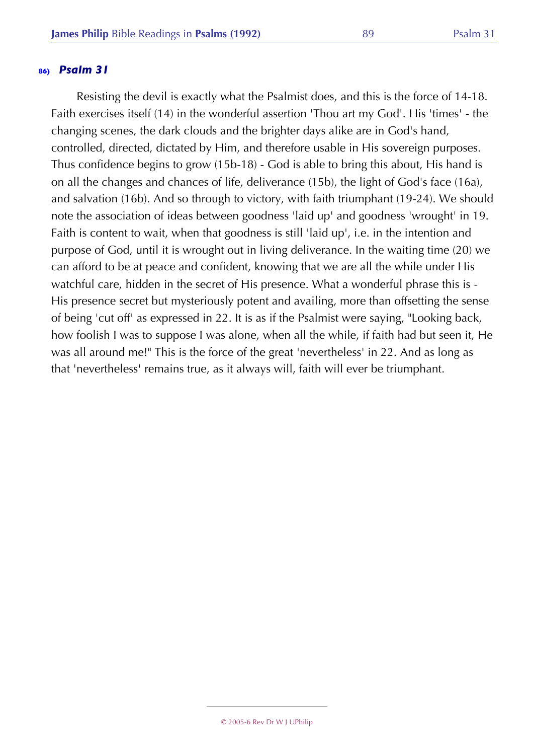Resisting the devil is exactly what the Psalmist does, and this is the force of 14-18. Faith exercises itself (14) in the wonderful assertion 'Thou art my God'. His 'times' - the changing scenes, the dark clouds and the brighter days alike are in God's hand, controlled, directed, dictated by Him, and therefore usable in His sovereign purposes. Thus confidence begins to grow (15b-18) - God is able to bring this about, His hand is on all the changes and chances of life, deliverance (15b), the light of God's face (16a), and salvation (16b). And so through to victory, with faith triumphant (19-24). We should note the association of ideas between goodness 'laid up' and goodness 'wrought' in 19. Faith is content to wait, when that goodness is still 'laid up', i.e. in the intention and purpose of God, until it is wrought out in living deliverance. In the waiting time (20) we can afford to be at peace and confident, knowing that we are all the while under His watchful care, hidden in the secret of His presence. What a wonderful phrase this is - His presence secret but mysteriously potent and availing, more than offsetting the sense of being 'cut off' as expressed in 22. It is as if the Psalmist were saying, "Looking back, how foolish I was to suppose I was alone, when all the while, if faith had but seen it, He was all around me!" This is the force of the great 'nevertheless' in 22. And as long as that 'nevertheless' remains true, as it always will, faith will ever be triumphant.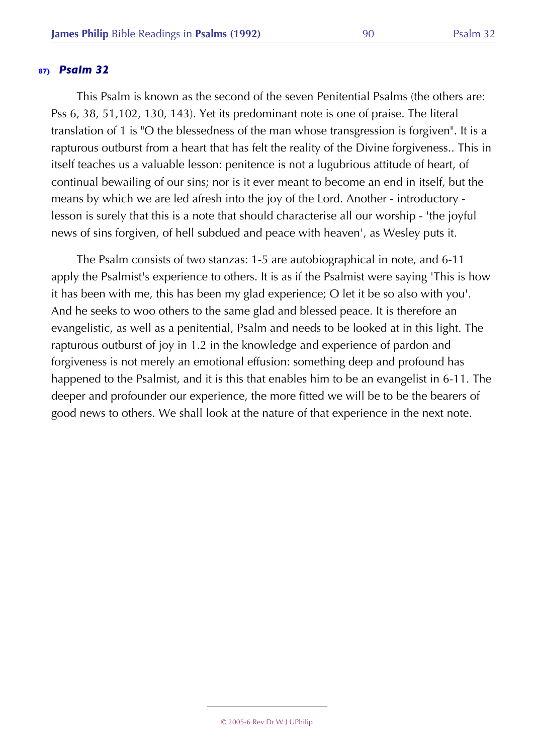This Psalm is known as the second of the seven Penitential Psalms (the others are: Pss 6, 38, 51,102, 130, 143). Yet its predominant note is one of praise. The literal translation of 1 is "O the blessedness of the man whose transgression is forgiven". It is a rapturous outburst from a heart that has felt the reality of the Divine forgiveness.. This in itself teaches us a valuable lesson: penitence is not a lugubrious attitude of heart, of continual bewailing of our sins; nor is it ever meant to become an end in itself, but the means by which we are led afresh into the joy of the Lord. Another - introductory lesson is surely that this is a note that should characterise all our worship - 'the joyful news of sins forgiven, of hell subdued and peace with heaven', as Wesley puts it.

The Psalm consists of two stanzas: 1-5 are autobiographical in note, and 6-11 apply the Psalmist's experience to others. It is as if the Psalmist were saying 'This is how it has been with me, this has been my glad experience; O let it be so also with you'. And he seeks to woo others to the same glad and blessed peace. It is therefore an evangelistic, as well as a penitential, Psalm and needs to be looked at in this light. The rapturous outburst of joy in 1.2 in the knowledge and experience of pardon and forgiveness is not merely an emotional effusion: something deep and profound has happened to the Psalmist, and it is this that enables him to be an evangelist in 6-11. The deeper and profounder our experience, the more fitted we will be to be the bearers of good news to others. We shall look at the nature of that experience in the next note.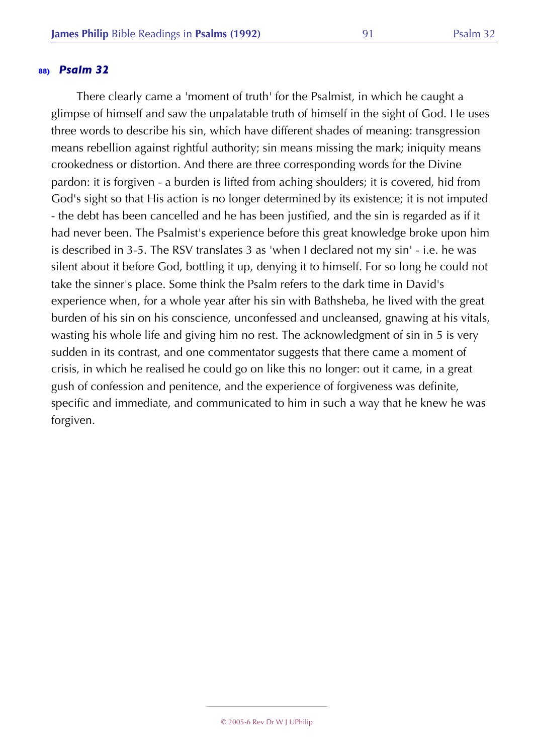There clearly came a 'moment of truth' for the Psalmist, in which he caught a glimpse of himself and saw the unpalatable truth of himself in the sight of God. He uses three words to describe his sin, which have different shades of meaning: transgression means rebellion against rightful authority; sin means missing the mark; iniquity means crookedness or distortion. And there are three corresponding words for the Divine pardon: it is forgiven - a burden is lifted from aching shoulders; it is covered, hid from God's sight so that His action is no longer determined by its existence; it is not imputed - the debt has been cancelled and he has been justified, and the sin is regarded as if it had never been. The Psalmist's experience before this great knowledge broke upon him is described in 3-5. The RSV translates 3 as 'when I declared not my sin' - i.e. he was silent about it before God, bottling it up, denying it to himself. For so long he could not take the sinner's place. Some think the Psalm refers to the dark time in David's experience when, for a whole year after his sin with Bathsheba, he lived with the great burden of his sin on his conscience, unconfessed and uncleansed, gnawing at his vitals, wasting his whole life and giving him no rest. The acknowledgment of sin in 5 is very sudden in its contrast, and one commentator suggests that there came a moment of crisis, in which he realised he could go on like this no longer: out it came, in a great gush of confession and penitence, and the experience of forgiveness was definite, specific and immediate, and communicated to him in such a way that he knew he was forgiven.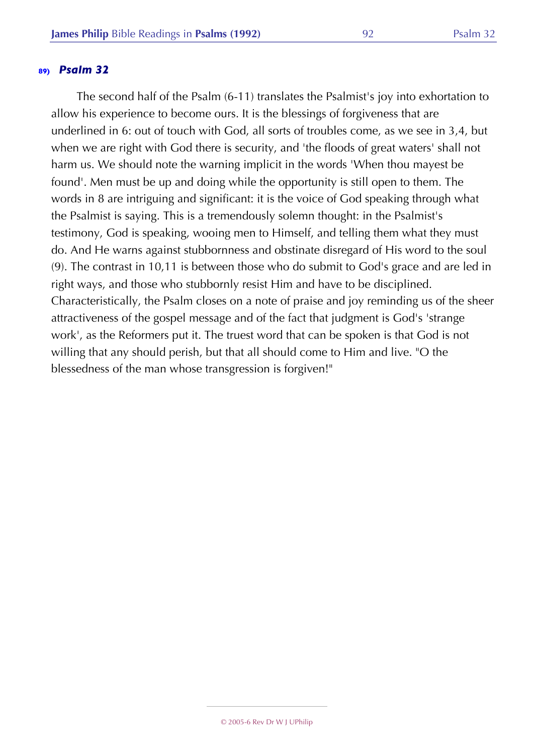The second half of the Psalm (6-11) translates the Psalmist's joy into exhortation to allow his experience to become ours. It is the blessings of forgiveness that are underlined in 6: out of touch with God, all sorts of troubles come, as we see in 3,4, but when we are right with God there is security, and 'the floods of great waters' shall not harm us. We should note the warning implicit in the words 'When thou mayest be found'. Men must be up and doing while the opportunity is still open to them. The words in 8 are intriguing and significant: it is the voice of God speaking through what the Psalmist is saying. This is a tremendously solemn thought: in the Psalmist's testimony, God is speaking, wooing men to Himself, and telling them what they must do. And He warns against stubbornness and obstinate disregard of His word to the soul (9). The contrast in 10,11 is between those who do submit to God's grace and are led in right ways, and those who stubbornly resist Him and have to be disciplined. Characteristically, the Psalm closes on a note of praise and joy reminding us of the sheer attractiveness of the gospel message and of the fact that judgment is God's 'strange work', as the Reformers put it. The truest word that can be spoken is that God is not willing that any should perish, but that all should come to Him and live. "O the blessedness of the man whose transgression is forgiven!"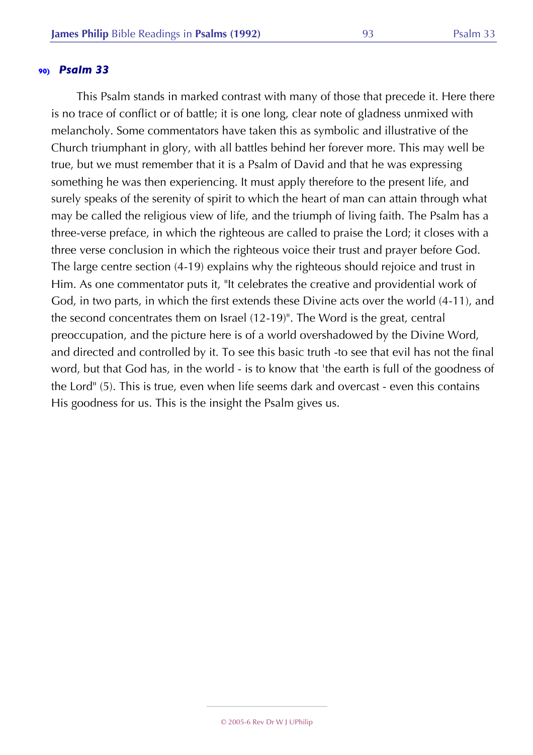This Psalm stands in marked contrast with many of those that precede it. Here there is no trace of conflict or of battle; it is one long, clear note of gladness unmixed with melancholy. Some commentators have taken this as symbolic and illustrative of the Church triumphant in glory, with all battles behind her forever more. This may well be true, but we must remember that it is a Psalm of David and that he was expressing something he was then experiencing. It must apply therefore to the present life, and surely speaks of the serenity of spirit to which the heart of man can attain through what may be called the religious view of life, and the triumph of living faith. The Psalm has a three-verse preface, in which the righteous are called to praise the Lord; it closes with a three verse conclusion in which the righteous voice their trust and prayer before God. The large centre section (4-19) explains why the righteous should rejoice and trust in Him. As one commentator puts it, "It celebrates the creative and providential work of God, in two parts, in which the first extends these Divine acts over the world (4-11), and the second concentrates them on Israel (12-19)". The Word is the great, central preoccupation, and the picture here is of a world overshadowed by the Divine Word, and directed and controlled by it. To see this basic truth -to see that evil has not the final word, but that God has, in the world - is to know that 'the earth is full of the goodness of the Lord" (5). This is true, even when life seems dark and overcast - even this contains His goodness for us. This is the insight the Psalm gives us.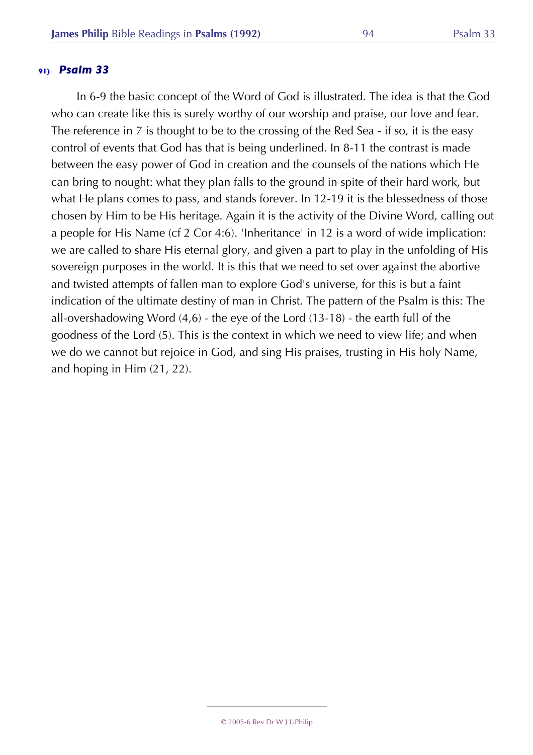In 6-9 the basic concept of the Word of God is illustrated. The idea is that the God who can create like this is surely worthy of our worship and praise, our love and fear. The reference in 7 is thought to be to the crossing of the Red Sea - if so, it is the easy control of events that God has that is being underlined. In 8-11 the contrast is made between the easy power of God in creation and the counsels of the nations which He can bring to nought: what they plan falls to the ground in spite of their hard work, but what He plans comes to pass, and stands forever. In 12-19 it is the blessedness of those chosen by Him to be His heritage. Again it is the activity of the Divine Word, calling out a people for His Name (cf 2 Cor 4:6). 'Inheritance' in 12 is a word of wide implication: we are called to share His eternal glory, and given a part to play in the unfolding of His sovereign purposes in the world. It is this that we need to set over against the abortive and twisted attempts of fallen man to explore God's universe, for this is but a faint indication of the ultimate destiny of man in Christ. The pattern of the Psalm is this: The all-overshadowing Word (4,6) - the eye of the Lord (13-18) - the earth full of the goodness of the Lord (5). This is the context in which we need to view life; and when we do we cannot but rejoice in God, and sing His praises, trusting in His holy Name, and hoping in Him (21, 22).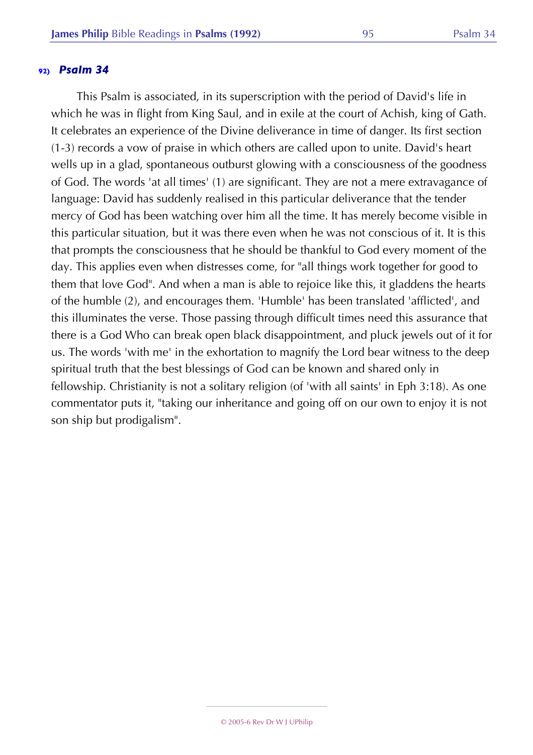This Psalm is associated, in its superscription with the period of David's life in which he was in flight from King Saul, and in exile at the court of Achish, king of Gath. It celebrates an experience of the Divine deliverance in time of danger. Its first section (1-3) records a vow of praise in which others are called upon to unite. David's heart wells up in a glad, spontaneous outburst glowing with a consciousness of the goodness of God. The words 'at all times' (1) are significant. They are not a mere extravagance of language: David has suddenly realised in this particular deliverance that the tender mercy of God has been watching over him all the time. It has merely become visible in this particular situation, but it was there even when he was not conscious of it. It is this that prompts the consciousness that he should be thankful to God every moment of the day. This applies even when distresses come, for "all things work together for good to them that love God". And when a man is able to rejoice like this, it gladdens the hearts of the humble (2), and encourages them. 'Humble' has been translated 'afflicted', and this illuminates the verse. Those passing through difficult times need this assurance that there is a God Who can break open black disappointment, and pluck jewels out of it for us. The words 'with me' in the exhortation to magnify the Lord bear witness to the deep spiritual truth that the best blessings of God can be known and shared only in fellowship. Christianity is not a solitary religion (of 'with all saints' in Eph 3:18). As one commentator puts it, "taking our inheritance and going off on our own to enjoy it is not son ship but prodigalism".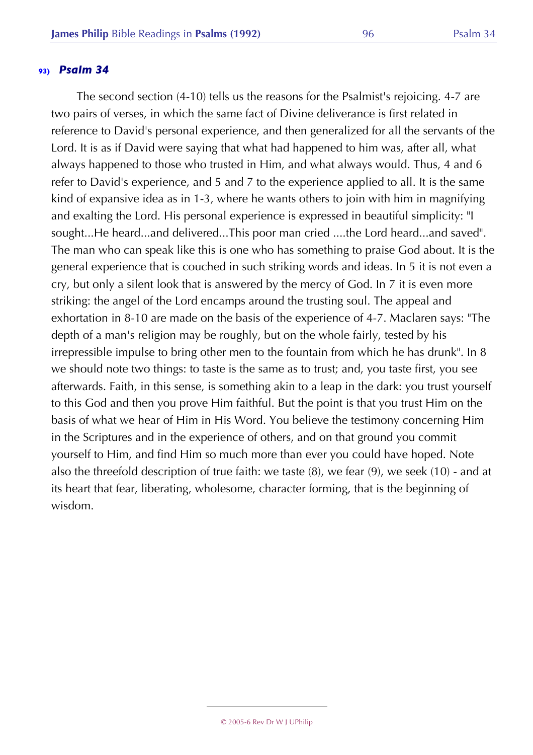The second section (4-10) tells us the reasons for the Psalmist's rejoicing. 4-7 are two pairs of verses, in which the same fact of Divine deliverance is first related in reference to David's personal experience, and then generalized for all the servants of the Lord. It is as if David were saying that what had happened to him was, after all, what always happened to those who trusted in Him, and what always would. Thus, 4 and 6 refer to David's experience, and 5 and 7 to the experience applied to all. It is the same kind of expansive idea as in 1-3, where he wants others to join with him in magnifying and exalting the Lord. His personal experience is expressed in beautiful simplicity: "I sought...He heard...and delivered...This poor man cried ....the Lord heard...and saved". The man who can speak like this is one who has something to praise God about. It is the general experience that is couched in such striking words and ideas. In 5 it is not even a cry, but only a silent look that is answered by the mercy of God. In 7 it is even more striking: the angel of the Lord encamps around the trusting soul. The appeal and exhortation in 8-10 are made on the basis of the experience of 4-7. Maclaren says: "The depth of a man's religion may be roughly, but on the whole fairly, tested by his irrepressible impulse to bring other men to the fountain from which he has drunk". In 8 we should note two things: to taste is the same as to trust; and, you taste first, you see afterwards. Faith, in this sense, is something akin to a leap in the dark: you trust yourself to this God and then you prove Him faithful. But the point is that you trust Him on the basis of what we hear of Him in His Word. You believe the testimony concerning Him in the Scriptures and in the experience of others, and on that ground you commit yourself to Him, and find Him so much more than ever you could have hoped. Note also the threefold description of true faith: we taste (8), we fear (9), we seek (10) - and at its heart that fear, liberating, wholesome, character forming, that is the beginning of wisdom.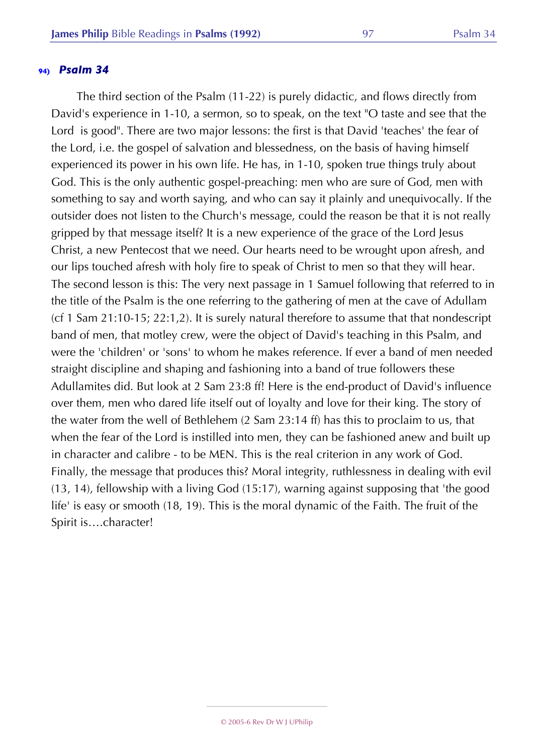The third section of the Psalm (11-22) is purely didactic, and flows directly from David's experience in 1-10, a sermon, so to speak, on the text "O taste and see that the Lord is good". There are two major lessons: the first is that David 'teaches' the fear of the Lord, i.e. the gospel of salvation and blessedness, on the basis of having himself experienced its power in his own life. He has, in 1-10, spoken true things truly about God. This is the only authentic gospel-preaching: men who are sure of God, men with something to say and worth saying, and who can say it plainly and unequivocally. If the outsider does not listen to the Church's message, could the reason be that it is not really gripped by that message itself? It is a new experience of the grace of the Lord Jesus Christ, a new Pentecost that we need. Our hearts need to be wrought upon afresh, and our lips touched afresh with holy fire to speak of Christ to men so that they will hear. The second lesson is this: The very next passage in 1 Samuel following that referred to in the title of the Psalm is the one referring to the gathering of men at the cave of Adullam (cf 1 Sam 21:10-15; 22:1,2). It is surely natural therefore to assume that that nondescript band of men, that motley crew, were the object of David's teaching in this Psalm, and were the 'children' or 'sons' to whom he makes reference. If ever a band of men needed straight discipline and shaping and fashioning into a band of true followers these Adullamites did. But look at 2 Sam 23:8 ff! Here is the end-product of David's influence over them, men who dared life itself out of loyalty and love for their king. The story of the water from the well of Bethlehem (2 Sam 23:14 ff) has this to proclaim to us, that when the fear of the Lord is instilled into men, they can be fashioned anew and built up in character and calibre - to be MEN. This is the real criterion in any work of God. Finally, the message that produces this? Moral integrity, ruthlessness in dealing with evil (13, 14), fellowship with a living God (15:17), warning against supposing that 'the good life' is easy or smooth (18, 19). This is the moral dynamic of the Faith. The fruit of the Spirit is….character!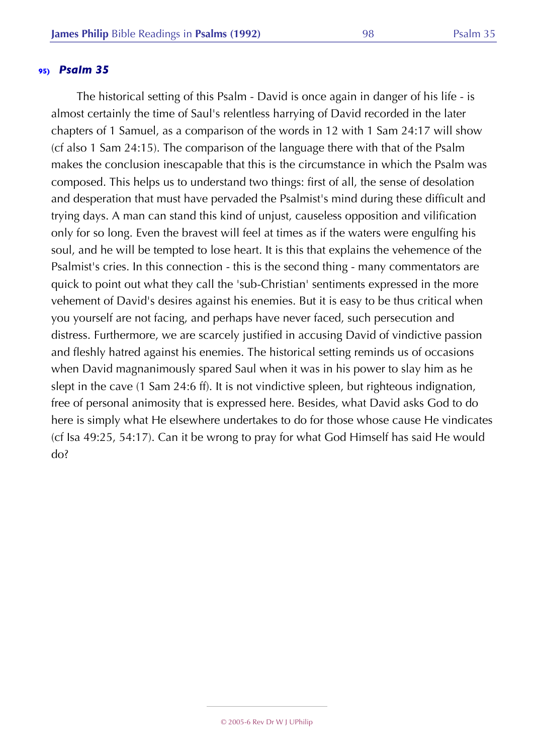The historical setting of this Psalm - David is once again in danger of his life - is almost certainly the time of Saul's relentless harrying of David recorded in the later chapters of 1 Samuel, as a comparison of the words in 12 with 1 Sam 24:17 will show (cf also 1 Sam 24:15). The comparison of the language there with that of the Psalm makes the conclusion inescapable that this is the circumstance in which the Psalm was composed. This helps us to understand two things: first of all, the sense of desolation and desperation that must have pervaded the Psalmist's mind during these difficult and trying days. A man can stand this kind of unjust, causeless opposition and vilification only for so long. Even the bravest will feel at times as if the waters were engulfing his soul, and he will be tempted to lose heart. It is this that explains the vehemence of the Psalmist's cries. In this connection - this is the second thing - many commentators are quick to point out what they call the 'sub-Christian' sentiments expressed in the more vehement of David's desires against his enemies. But it is easy to be thus critical when you yourself are not facing, and perhaps have never faced, such persecution and distress. Furthermore, we are scarcely justified in accusing David of vindictive passion and fleshly hatred against his enemies. The historical setting reminds us of occasions when David magnanimously spared Saul when it was in his power to slay him as he slept in the cave (1 Sam 24:6 ff). It is not vindictive spleen, but righteous indignation, free of personal animosity that is expressed here. Besides, what David asks God to do here is simply what He elsewhere undertakes to do for those whose cause He vindicates (cf Isa 49:25, 54:17). Can it be wrong to pray for what God Himself has said He would do?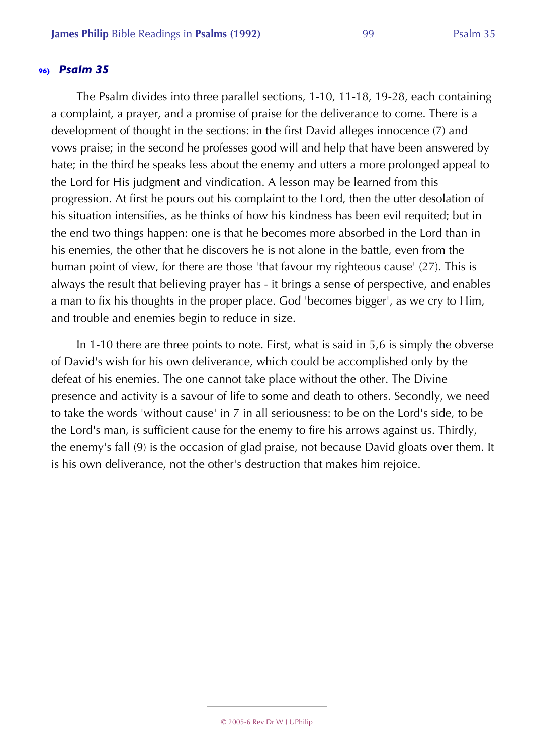The Psalm divides into three parallel sections, 1-10, 11-18, 19-28, each containing a complaint, a prayer, and a promise of praise for the deliverance to come. There is a development of thought in the sections: in the first David alleges innocence (7) and vows praise; in the second he professes good will and help that have been answered by hate; in the third he speaks less about the enemy and utters a more prolonged appeal to the Lord for His judgment and vindication. A lesson may be learned from this progression. At first he pours out his complaint to the Lord, then the utter desolation of his situation intensifies, as he thinks of how his kindness has been evil requited; but in the end two things happen: one is that he becomes more absorbed in the Lord than in his enemies, the other that he discovers he is not alone in the battle, even from the human point of view, for there are those 'that favour my righteous cause' (27). This is always the result that believing prayer has - it brings a sense of perspective, and enables a man to fix his thoughts in the proper place. God 'becomes bigger', as we cry to Him, and trouble and enemies begin to reduce in size.

In 1-10 there are three points to note. First, what is said in 5,6 is simply the obverse of David's wish for his own deliverance, which could be accomplished only by the defeat of his enemies. The one cannot take place without the other. The Divine presence and activity is a savour of life to some and death to others. Secondly, we need to take the words 'without cause' in 7 in all seriousness: to be on the Lord's side, to be the Lord's man, is sufficient cause for the enemy to fire his arrows against us. Thirdly, the enemy's fall (9) is the occasion of glad praise, not because David gloats over them. It is his own deliverance, not the other's destruction that makes him rejoice.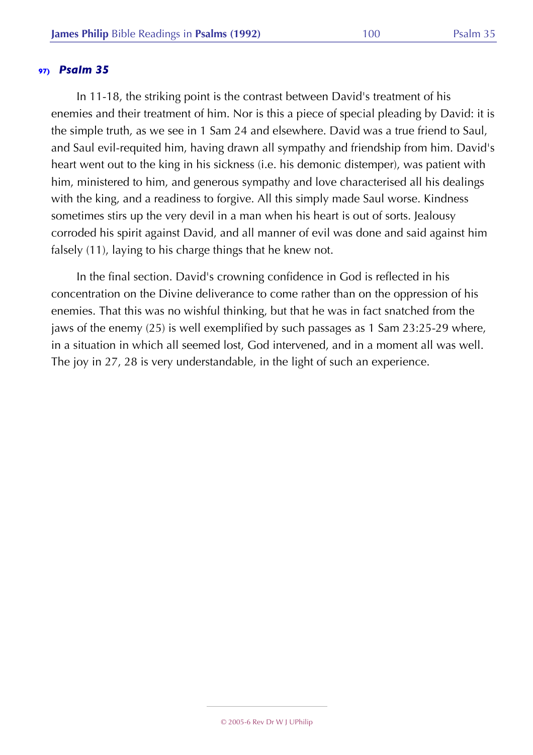In 11-18, the striking point is the contrast between David's treatment of his enemies and their treatment of him. Nor is this a piece of special pleading by David: it is the simple truth, as we see in 1 Sam 24 and elsewhere. David was a true friend to Saul, and Saul evil-requited him, having drawn all sympathy and friendship from him. David's heart went out to the king in his sickness (i.e. his demonic distemper), was patient with him, ministered to him, and generous sympathy and love characterised all his dealings with the king, and a readiness to forgive. All this simply made Saul worse. Kindness sometimes stirs up the very devil in a man when his heart is out of sorts. Jealousy corroded his spirit against David, and all manner of evil was done and said against him falsely (11), laying to his charge things that he knew not.

In the final section. David's crowning confidence in God is reflected in his concentration on the Divine deliverance to come rather than on the oppression of his enemies. That this was no wishful thinking, but that he was in fact snatched from the jaws of the enemy (25) is well exemplified by such passages as 1 Sam 23:25-29 where, in a situation in which all seemed lost, God intervened, and in a moment all was well. The joy in 27, 28 is very understandable, in the light of such an experience.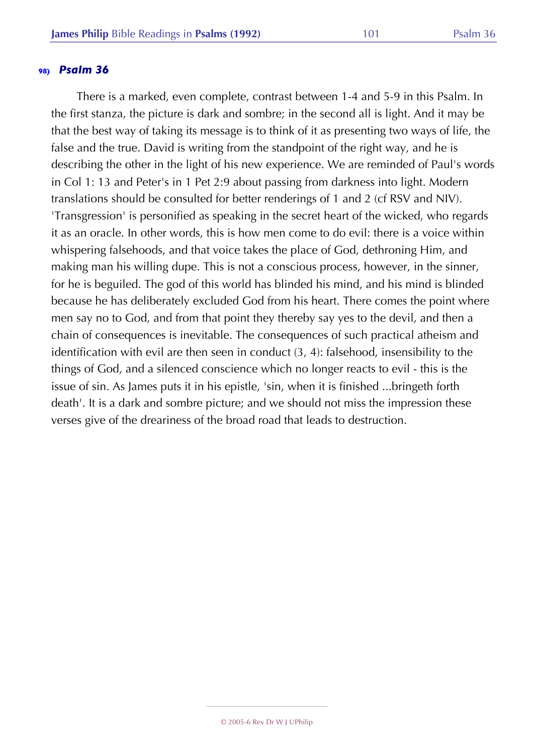There is a marked, even complete, contrast between 1-4 and 5-9 in this Psalm. In the first stanza, the picture is dark and sombre; in the second all is light. And it may be that the best way of taking its message is to think of it as presenting two ways of life, the false and the true. David is writing from the standpoint of the right way, and he is describing the other in the light of his new experience. We are reminded of Paul's words in Col 1: 13 and Peter's in 1 Pet 2:9 about passing from darkness into light. Modern translations should be consulted for better renderings of 1 and 2 (cf RSV and NIV). 'Transgression' is personified as speaking in the secret heart of the wicked, who regards it as an oracle. In other words, this is how men come to do evil: there is a voice within whispering falsehoods, and that voice takes the place of God, dethroning Him, and making man his willing dupe. This is not a conscious process, however, in the sinner, for he is beguiled. The god of this world has blinded his mind, and his mind is blinded because he has deliberately excluded God from his heart. There comes the point where men say no to God, and from that point they thereby say yes to the devil, and then a chain of consequences is inevitable. The consequences of such practical atheism and identification with evil are then seen in conduct (3, 4): falsehood, insensibility to the things of God, and a silenced conscience which no longer reacts to evil - this is the issue of sin. As James puts it in his epistle, 'sin, when it is finished ...bringeth forth death'. It is a dark and sombre picture; and we should not miss the impression these verses give of the dreariness of the broad road that leads to destruction.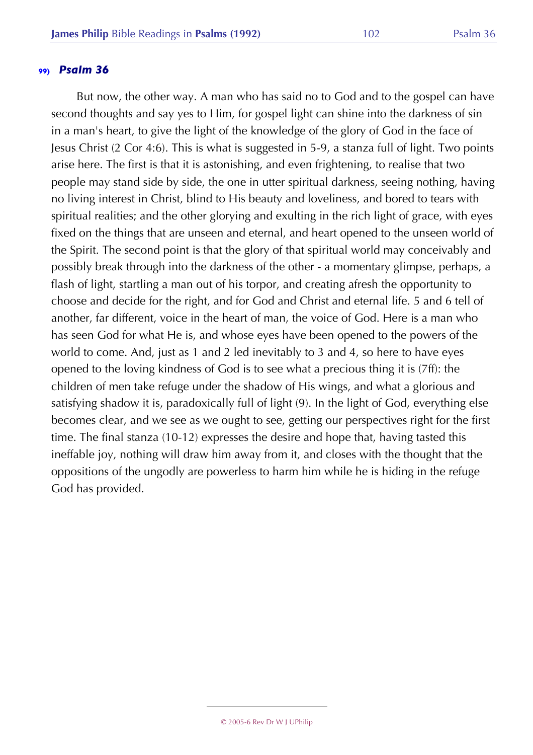But now, the other way. A man who has said no to God and to the gospel can have second thoughts and say yes to Him, for gospel light can shine into the darkness of sin in a man's heart, to give the light of the knowledge of the glory of God in the face of Jesus Christ (2 Cor 4:6). This is what is suggested in 5-9, a stanza full of light. Two points arise here. The first is that it is astonishing, and even frightening, to realise that two people may stand side by side, the one in utter spiritual darkness, seeing nothing, having no living interest in Christ, blind to His beauty and loveliness, and bored to tears with spiritual realities; and the other glorying and exulting in the rich light of grace, with eyes fixed on the things that are unseen and eternal, and heart opened to the unseen world of the Spirit. The second point is that the glory of that spiritual world may conceivably and possibly break through into the darkness of the other - a momentary glimpse, perhaps, a flash of light, startling a man out of his torpor, and creating afresh the opportunity to choose and decide for the right, and for God and Christ and eternal life. 5 and 6 tell of another, far different, voice in the heart of man, the voice of God. Here is a man who has seen God for what He is, and whose eyes have been opened to the powers of the world to come. And, just as 1 and 2 led inevitably to 3 and 4, so here to have eyes opened to the loving kindness of God is to see what a precious thing it is (7ff): the children of men take refuge under the shadow of His wings, and what a glorious and satisfying shadow it is, paradoxically full of light (9). In the light of God, everything else becomes clear, and we see as we ought to see, getting our perspectives right for the first time. The final stanza (10-12) expresses the desire and hope that, having tasted this ineffable joy, nothing will draw him away from it, and closes with the thought that the oppositions of the ungodly are powerless to harm him while he is hiding in the refuge God has provided.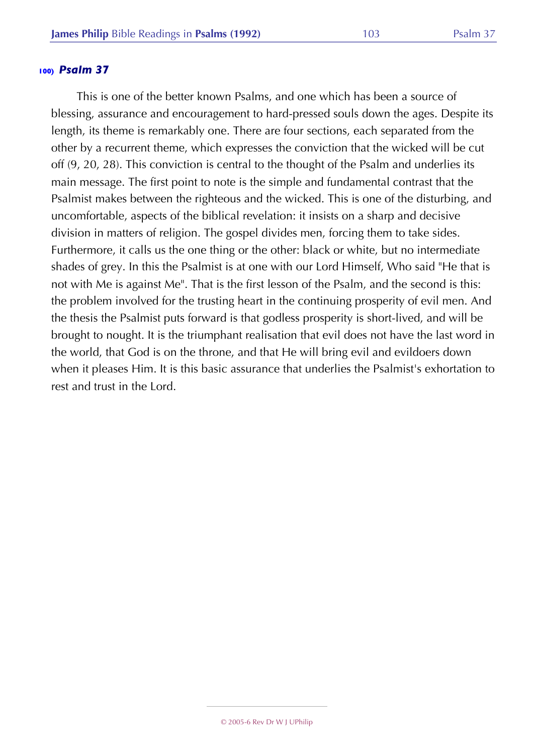This is one of the better known Psalms, and one which has been a source of blessing, assurance and encouragement to hard-pressed souls down the ages. Despite its length, its theme is remarkably one. There are four sections, each separated from the other by a recurrent theme, which expresses the conviction that the wicked will be cut off (9, 20, 28). This conviction is central to the thought of the Psalm and underlies its main message. The first point to note is the simple and fundamental contrast that the Psalmist makes between the righteous and the wicked. This is one of the disturbing, and uncomfortable, aspects of the biblical revelation: it insists on a sharp and decisive division in matters of religion. The gospel divides men, forcing them to take sides. Furthermore, it calls us the one thing or the other: black or white, but no intermediate shades of grey. In this the Psalmist is at one with our Lord Himself, Who said "He that is not with Me is against Me". That is the first lesson of the Psalm, and the second is this: the problem involved for the trusting heart in the continuing prosperity of evil men. And the thesis the Psalmist puts forward is that godless prosperity is short-lived, and will be brought to nought. It is the triumphant realisation that evil does not have the last word in the world, that God is on the throne, and that He will bring evil and evildoers down when it pleases Him. It is this basic assurance that underlies the Psalmist's exhortation to rest and trust in the Lord.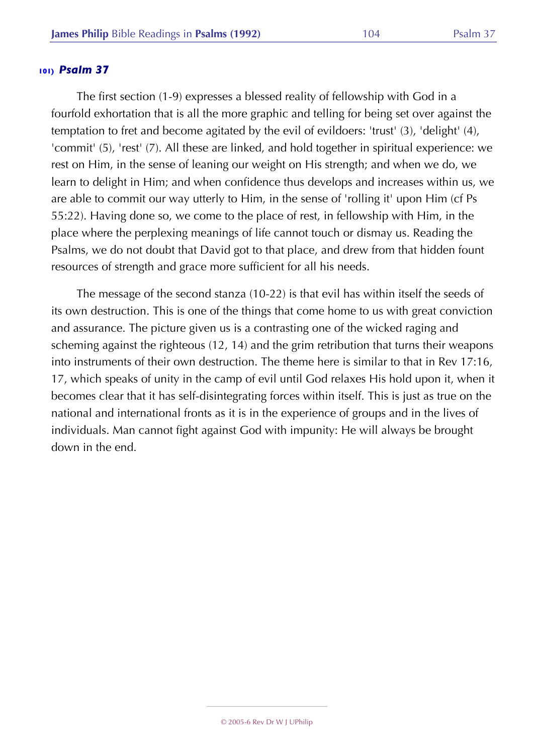The first section (1-9) expresses a blessed reality of fellowship with God in a fourfold exhortation that is all the more graphic and telling for being set over against the temptation to fret and become agitated by the evil of evildoers: 'trust' (3), 'delight' (4), 'commit' (5), 'rest' (7). All these are linked, and hold together in spiritual experience: we rest on Him, in the sense of leaning our weight on His strength; and when we do, we learn to delight in Him; and when confidence thus develops and increases within us, we are able to commit our way utterly to Him, in the sense of 'rolling it' upon Him (cf Ps 55:22). Having done so, we come to the place of rest, in fellowship with Him, in the place where the perplexing meanings of life cannot touch or dismay us. Reading the Psalms, we do not doubt that David got to that place, and drew from that hidden fount resources of strength and grace more sufficient for all his needs.

The message of the second stanza (10-22) is that evil has within itself the seeds of its own destruction. This is one of the things that come home to us with great conviction and assurance. The picture given us is a contrasting one of the wicked raging and scheming against the righteous (12, 14) and the grim retribution that turns their weapons into instruments of their own destruction. The theme here is similar to that in Rev 17:16, 17, which speaks of unity in the camp of evil until God relaxes His hold upon it, when it becomes clear that it has self-disintegrating forces within itself. This is just as true on the national and international fronts as it is in the experience of groups and in the lives of individuals. Man cannot fight against God with impunity: He will always be brought down in the end.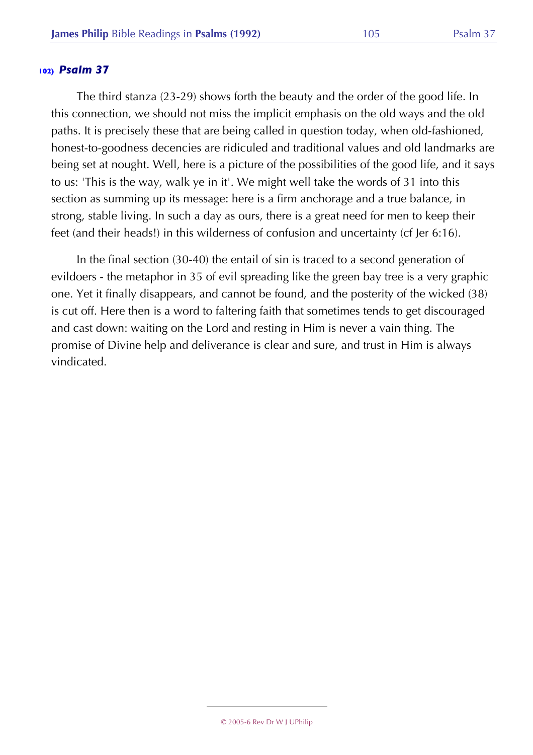The third stanza (23-29) shows forth the beauty and the order of the good life. In this connection, we should not miss the implicit emphasis on the old ways and the old paths. It is precisely these that are being called in question today, when old-fashioned, honest-to-goodness decencies are ridiculed and traditional values and old landmarks are being set at nought. Well, here is a picture of the possibilities of the good life, and it says to us: 'This is the way, walk ye in it'. We might well take the words of 31 into this section as summing up its message: here is a firm anchorage and a true balance, in strong, stable living. In such a day as ours, there is a great need for men to keep their feet (and their heads!) in this wilderness of confusion and uncertainty (cf Jer 6:16).

In the final section (30-40) the entail of sin is traced to a second generation of evildoers - the metaphor in 35 of evil spreading like the green bay tree is a very graphic one. Yet it finally disappears, and cannot be found, and the posterity of the wicked (38) is cut off. Here then is a word to faltering faith that sometimes tends to get discouraged and cast down: waiting on the Lord and resting in Him is never a vain thing. The promise of Divine help and deliverance is clear and sure, and trust in Him is always vindicated.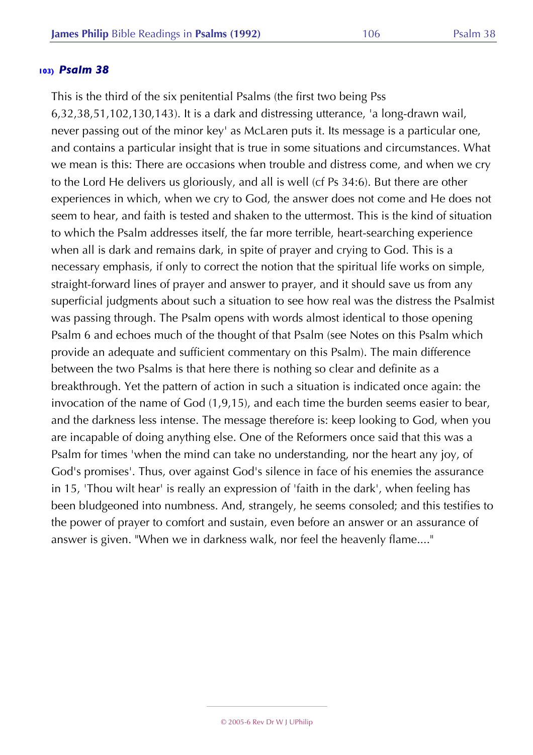This is the third of the six penitential Psalms (the first two being Pss 6,32,38,51,102,130,143). It is a dark and distressing utterance, 'a long-drawn wail, never passing out of the minor key' as McLaren puts it. Its message is a particular one, and contains a particular insight that is true in some situations and circumstances. What we mean is this: There are occasions when trouble and distress come, and when we cry to the Lord He delivers us gloriously, and all is well (cf Ps 34:6). But there are other experiences in which, when we cry to God, the answer does not come and He does not seem to hear, and faith is tested and shaken to the uttermost. This is the kind of situation to which the Psalm addresses itself, the far more terrible, heart-searching experience when all is dark and remains dark, in spite of prayer and crying to God. This is a necessary emphasis, if only to correct the notion that the spiritual life works on simple, straight-forward lines of prayer and answer to prayer, and it should save us from any superficial judgments about such a situation to see how real was the distress the Psalmist was passing through. The Psalm opens with words almost identical to those opening Psalm 6 and echoes much of the thought of that Psalm (see Notes on this Psalm which provide an adequate and sufficient commentary on this Psalm). The main difference between the two Psalms is that here there is nothing so clear and definite as a breakthrough. Yet the pattern of action in such a situation is indicated once again: the invocation of the name of God (1,9,15), and each time the burden seems easier to bear, and the darkness less intense. The message therefore is: keep looking to God, when you are incapable of doing anything else. One of the Reformers once said that this was a Psalm for times 'when the mind can take no understanding, nor the heart any joy, of God's promises'. Thus, over against God's silence in face of his enemies the assurance in 15, 'Thou wilt hear' is really an expression of 'faith in the dark', when feeling has been bludgeoned into numbness. And, strangely, he seems consoled; and this testifies to the power of prayer to comfort and sustain, even before an answer or an assurance of answer is given. "When we in darkness walk, nor feel the heavenly flame...."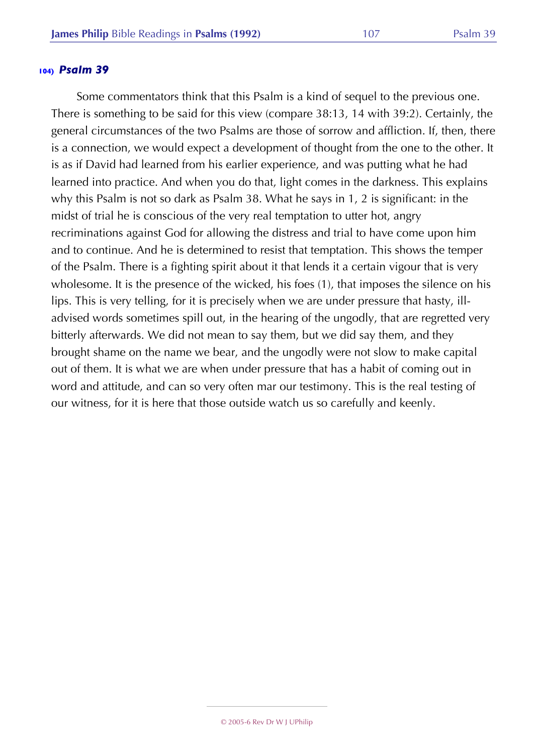Some commentators think that this Psalm is a kind of sequel to the previous one. There is something to be said for this view (compare 38:13, 14 with 39:2). Certainly, the general circumstances of the two Psalms are those of sorrow and affliction. If, then, there is a connection, we would expect a development of thought from the one to the other. It is as if David had learned from his earlier experience, and was putting what he had learned into practice. And when you do that, light comes in the darkness. This explains why this Psalm is not so dark as Psalm 38. What he says in 1, 2 is significant: in the midst of trial he is conscious of the very real temptation to utter hot, angry recriminations against God for allowing the distress and trial to have come upon him and to continue. And he is determined to resist that temptation. This shows the temper of the Psalm. There is a fighting spirit about it that lends it a certain vigour that is very wholesome. It is the presence of the wicked, his foes (1), that imposes the silence on his lips. This is very telling, for it is precisely when we are under pressure that hasty, illadvised words sometimes spill out, in the hearing of the ungodly, that are regretted very bitterly afterwards. We did not mean to say them, but we did say them, and they brought shame on the name we bear, and the ungodly were not slow to make capital out of them. It is what we are when under pressure that has a habit of coming out in word and attitude, and can so very often mar our testimony. This is the real testing of our witness, for it is here that those outside watch us so carefully and keenly.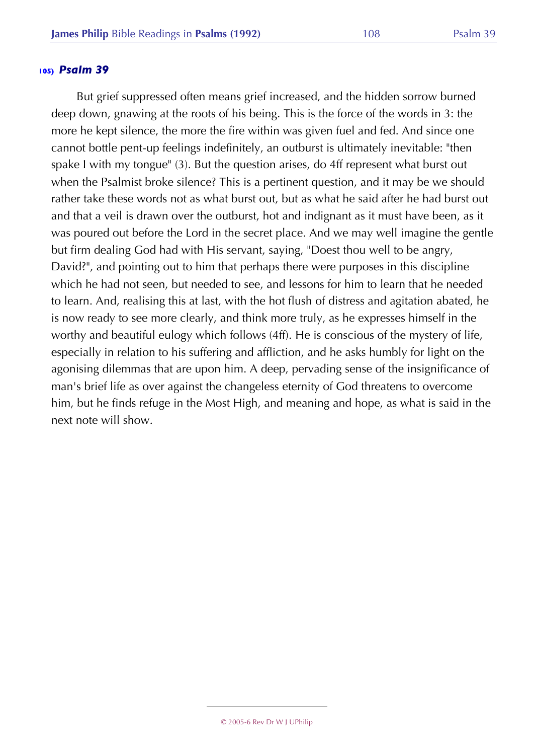But grief suppressed often means grief increased, and the hidden sorrow burned deep down, gnawing at the roots of his being. This is the force of the words in 3: the more he kept silence, the more the fire within was given fuel and fed. And since one cannot bottle pent-up feelings indefinitely, an outburst is ultimately inevitable: "then spake I with my tongue" (3). But the question arises, do 4ff represent what burst out when the Psalmist broke silence? This is a pertinent question, and it may be we should rather take these words not as what burst out, but as what he said after he had burst out and that a veil is drawn over the outburst, hot and indignant as it must have been, as it was poured out before the Lord in the secret place. And we may well imagine the gentle but firm dealing God had with His servant, saying, "Doest thou well to be angry, David?", and pointing out to him that perhaps there were purposes in this discipline which he had not seen, but needed to see, and lessons for him to learn that he needed to learn. And, realising this at last, with the hot flush of distress and agitation abated, he is now ready to see more clearly, and think more truly, as he expresses himself in the worthy and beautiful eulogy which follows (4ff). He is conscious of the mystery of life, especially in relation to his suffering and affliction, and he asks humbly for light on the agonising dilemmas that are upon him. A deep, pervading sense of the insignificance of man's brief life as over against the changeless eternity of God threatens to overcome him, but he finds refuge in the Most High, and meaning and hope, as what is said in the next note will show.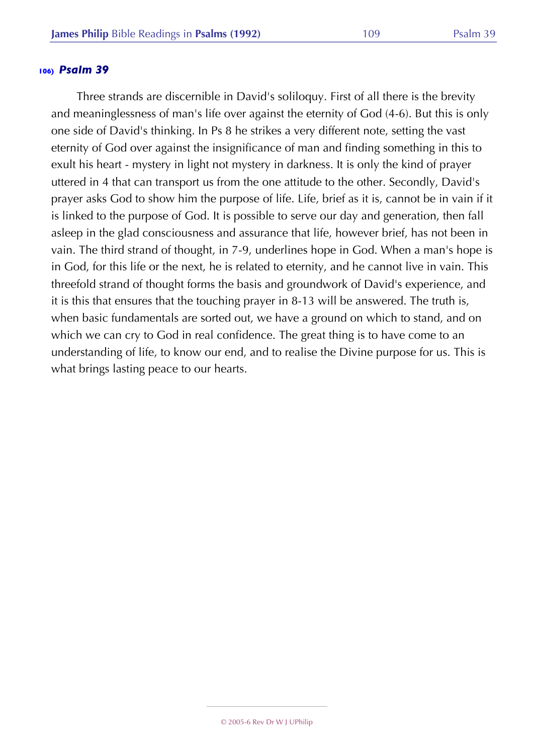Three strands are discernible in David's soliloquy. First of all there is the brevity and meaninglessness of man's life over against the eternity of God (4-6). But this is only one side of David's thinking. In Ps 8 he strikes a very different note, setting the vast eternity of God over against the insignificance of man and finding something in this to exult his heart - mystery in light not mystery in darkness. It is only the kind of prayer uttered in 4 that can transport us from the one attitude to the other. Secondly, David's prayer asks God to show him the purpose of life. Life, brief as it is, cannot be in vain if it is linked to the purpose of God. It is possible to serve our day and generation, then fall asleep in the glad consciousness and assurance that life, however brief, has not been in vain. The third strand of thought, in 7-9, underlines hope in God. When a man's hope is in God, for this life or the next, he is related to eternity, and he cannot live in vain. This threefold strand of thought forms the basis and groundwork of David's experience, and it is this that ensures that the touching prayer in 8-13 will be answered. The truth is, when basic fundamentals are sorted out, we have a ground on which to stand, and on which we can cry to God in real confidence. The great thing is to have come to an understanding of life, to know our end, and to realise the Divine purpose for us. This is what brings lasting peace to our hearts.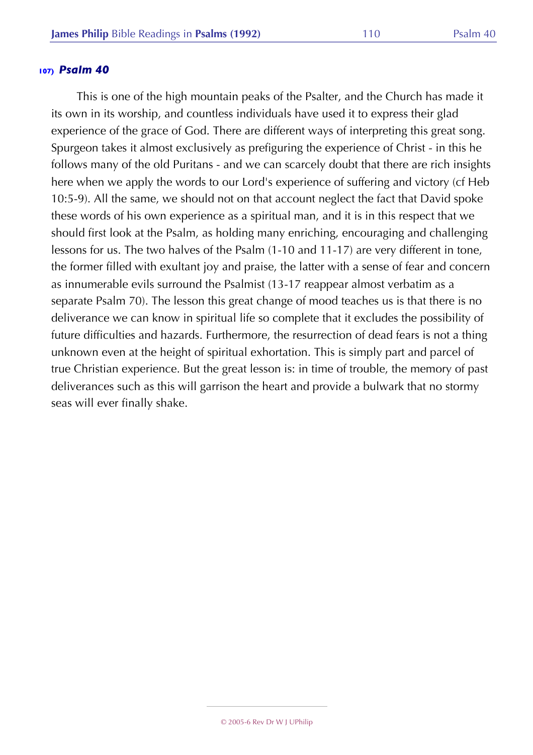This is one of the high mountain peaks of the Psalter, and the Church has made it its own in its worship, and countless individuals have used it to express their glad experience of the grace of God. There are different ways of interpreting this great song. Spurgeon takes it almost exclusively as prefiguring the experience of Christ - in this he follows many of the old Puritans - and we can scarcely doubt that there are rich insights here when we apply the words to our Lord's experience of suffering and victory (cf Heb 10:5-9). All the same, we should not on that account neglect the fact that David spoke these words of his own experience as a spiritual man, and it is in this respect that we should first look at the Psalm, as holding many enriching, encouraging and challenging lessons for us. The two halves of the Psalm (1-10 and 11-17) are very different in tone, the former filled with exultant joy and praise, the latter with a sense of fear and concern as innumerable evils surround the Psalmist (13-17 reappear almost verbatim as a separate Psalm 70). The lesson this great change of mood teaches us is that there is no deliverance we can know in spiritual life so complete that it excludes the possibility of future difficulties and hazards. Furthermore, the resurrection of dead fears is not a thing unknown even at the height of spiritual exhortation. This is simply part and parcel of true Christian experience. But the great lesson is: in time of trouble, the memory of past deliverances such as this will garrison the heart and provide a bulwark that no stormy seas will ever finally shake.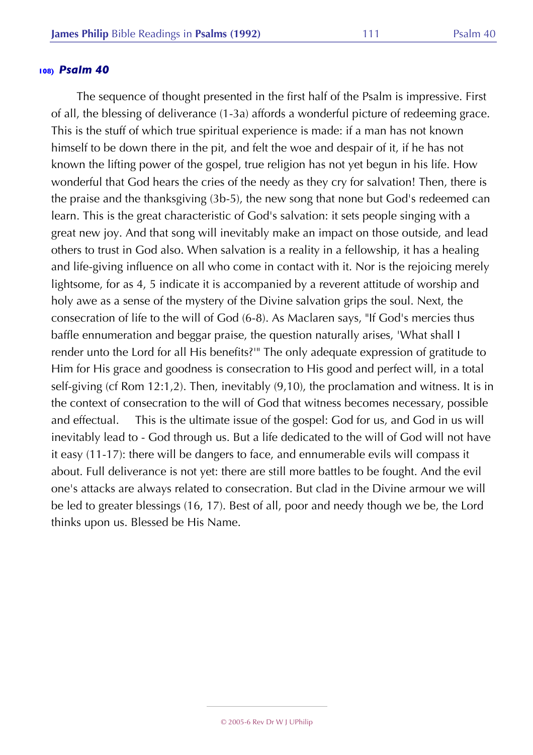The sequence of thought presented in the first half of the Psalm is impressive. First of all, the blessing of deliverance (1-3a) affords a wonderful picture of redeeming grace. This is the stuff of which true spiritual experience is made: if a man has not known himself to be down there in the pit, and felt the woe and despair of it, if he has not known the lifting power of the gospel, true religion has not yet begun in his life. How wonderful that God hears the cries of the needy as they cry for salvation! Then, there is the praise and the thanksgiving (3b-5), the new song that none but God's redeemed can learn. This is the great characteristic of God's salvation: it sets people singing with a great new joy. And that song will inevitably make an impact on those outside, and lead others to trust in God also. When salvation is a reality in a fellowship, it has a healing and life-giving influence on all who come in contact with it. Nor is the rejoicing merely lightsome, for as 4, 5 indicate it is accompanied by a reverent attitude of worship and holy awe as a sense of the mystery of the Divine salvation grips the soul. Next, the consecration of life to the will of God (6-8). As Maclaren says, "If God's mercies thus baffle ennumeration and beggar praise, the question naturally arises, 'What shall I render unto the Lord for all His benefits?'" The only adequate expression of gratitude to Him for His grace and goodness is consecration to His good and perfect will, in a total self-giving (cf Rom 12:1,2). Then, inevitably (9,10), the proclamation and witness. It is in the context of consecration to the will of God that witness becomes necessary, possible and effectual. This is the ultimate issue of the gospel: God for us, and God in us will inevitably lead to - God through us. But a life dedicated to the will of God will not have it easy (11-17): there will be dangers to face, and ennumerable evils will compass it about. Full deliverance is not yet: there are still more battles to be fought. And the evil one's attacks are always related to consecration. But clad in the Divine armour we will be led to greater blessings (16, 17). Best of all, poor and needy though we be, the Lord thinks upon us. Blessed be His Name.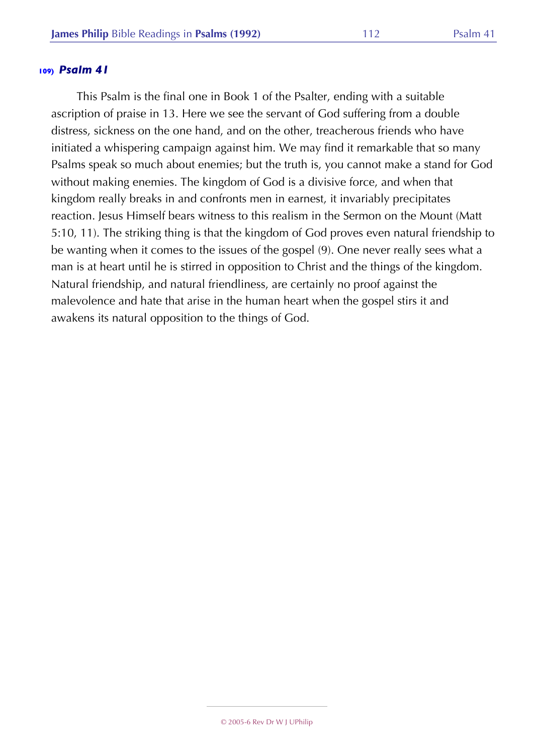This Psalm is the final one in Book 1 of the Psalter, ending with a suitable ascription of praise in 13. Here we see the servant of God suffering from a double distress, sickness on the one hand, and on the other, treacherous friends who have initiated a whispering campaign against him. We may find it remarkable that so many Psalms speak so much about enemies; but the truth is, you cannot make a stand for God without making enemies. The kingdom of God is a divisive force, and when that kingdom really breaks in and confronts men in earnest, it invariably precipitates reaction. Jesus Himself bears witness to this realism in the Sermon on the Mount (Matt 5:10, 11). The striking thing is that the kingdom of God proves even natural friendship to be wanting when it comes to the issues of the gospel (9). One never really sees what a man is at heart until he is stirred in opposition to Christ and the things of the kingdom. Natural friendship, and natural friendliness, are certainly no proof against the malevolence and hate that arise in the human heart when the gospel stirs it and awakens its natural opposition to the things of God.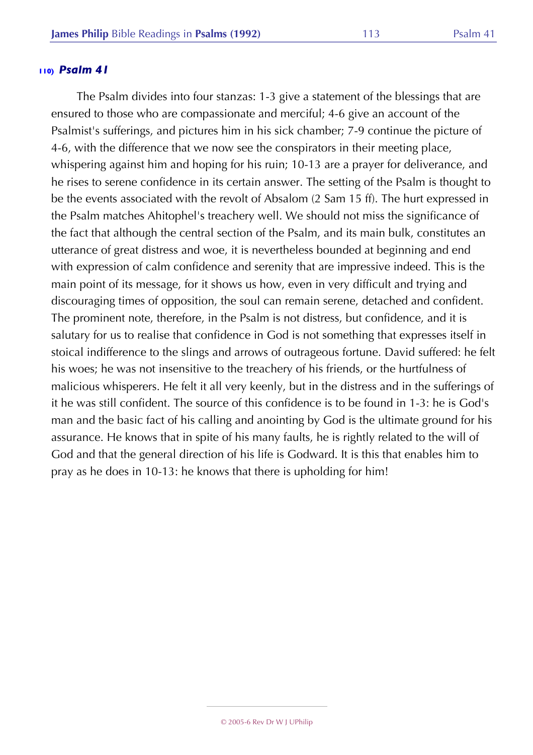The Psalm divides into four stanzas: 1-3 give a statement of the blessings that are ensured to those who are compassionate and merciful; 4-6 give an account of the Psalmist's sufferings, and pictures him in his sick chamber; 7-9 continue the picture of 4-6, with the difference that we now see the conspirators in their meeting place, whispering against him and hoping for his ruin; 10-13 are a prayer for deliverance, and he rises to serene confidence in its certain answer. The setting of the Psalm is thought to be the events associated with the revolt of Absalom (2 Sam 15 ff). The hurt expressed in the Psalm matches Ahitophel's treachery well. We should not miss the significance of the fact that although the central section of the Psalm, and its main bulk, constitutes an utterance of great distress and woe, it is nevertheless bounded at beginning and end with expression of calm confidence and serenity that are impressive indeed. This is the main point of its message, for it shows us how, even in very difficult and trying and discouraging times of opposition, the soul can remain serene, detached and confident. The prominent note, therefore, in the Psalm is not distress, but confidence, and it is salutary for us to realise that confidence in God is not something that expresses itself in stoical indifference to the slings and arrows of outrageous fortune. David suffered: he felt his woes; he was not insensitive to the treachery of his friends, or the hurtfulness of malicious whisperers. He felt it all very keenly, but in the distress and in the sufferings of it he was still confident. The source of this confidence is to be found in 1-3: he is God's man and the basic fact of his calling and anointing by God is the ultimate ground for his assurance. He knows that in spite of his many faults, he is rightly related to the will of God and that the general direction of his life is Godward. It is this that enables him to pray as he does in 10-13: he knows that there is upholding for him!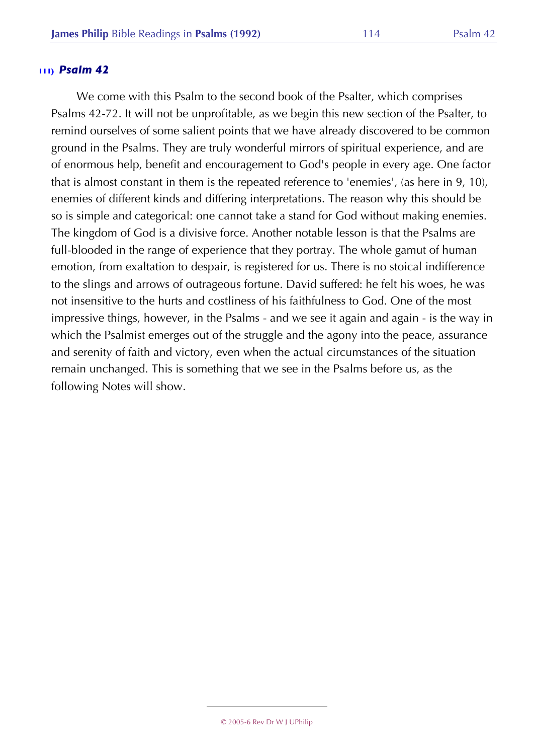We come with this Psalm to the second book of the Psalter, which comprises Psalms 42-72. It will not be unprofitable, as we begin this new section of the Psalter, to remind ourselves of some salient points that we have already discovered to be common ground in the Psalms. They are truly wonderful mirrors of spiritual experience, and are of enormous help, benefit and encouragement to God's people in every age. One factor that is almost constant in them is the repeated reference to 'enemies', (as here in 9, 10), enemies of different kinds and differing interpretations. The reason why this should be so is simple and categorical: one cannot take a stand for God without making enemies. The kingdom of God is a divisive force. Another notable lesson is that the Psalms are full-blooded in the range of experience that they portray. The whole gamut of human emotion, from exaltation to despair, is registered for us. There is no stoical indifference to the slings and arrows of outrageous fortune. David suffered: he felt his woes, he was not insensitive to the hurts and costliness of his faithfulness to God. One of the most impressive things, however, in the Psalms - and we see it again and again - is the way in which the Psalmist emerges out of the struggle and the agony into the peace, assurance and serenity of faith and victory, even when the actual circumstances of the situation remain unchanged. This is something that we see in the Psalms before us, as the following Notes will show.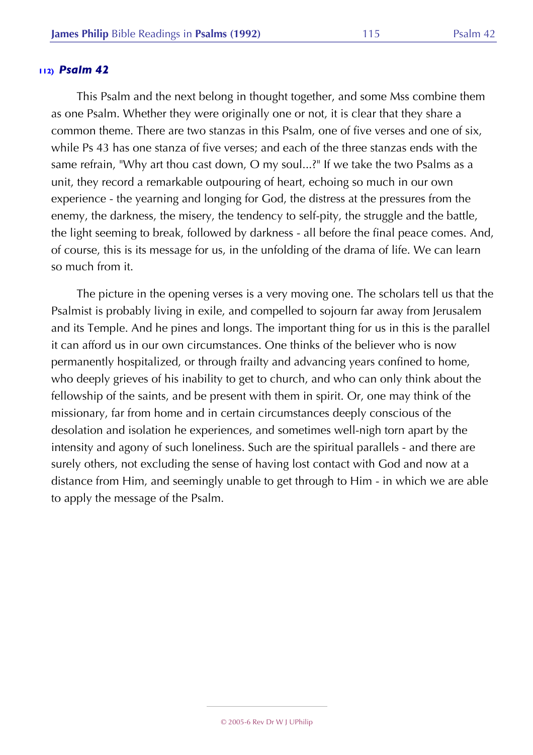This Psalm and the next belong in thought together, and some Mss combine them as one Psalm. Whether they were originally one or not, it is clear that they share a common theme. There are two stanzas in this Psalm, one of five verses and one of six, while Ps 43 has one stanza of five verses; and each of the three stanzas ends with the same refrain, "Why art thou cast down, O my soul...?" If we take the two Psalms as a unit, they record a remarkable outpouring of heart, echoing so much in our own experience - the yearning and longing for God, the distress at the pressures from the enemy, the darkness, the misery, the tendency to self-pity, the struggle and the battle, the light seeming to break, followed by darkness - all before the final peace comes. And, of course, this is its message for us, in the unfolding of the drama of life. We can learn so much from it.

The picture in the opening verses is a very moving one. The scholars tell us that the Psalmist is probably living in exile, and compelled to sojourn far away from Jerusalem and its Temple. And he pines and longs. The important thing for us in this is the parallel it can afford us in our own circumstances. One thinks of the believer who is now permanently hospitalized, or through frailty and advancing years confined to home, who deeply grieves of his inability to get to church, and who can only think about the fellowship of the saints, and be present with them in spirit. Or, one may think of the missionary, far from home and in certain circumstances deeply conscious of the desolation and isolation he experiences, and sometimes well-nigh torn apart by the intensity and agony of such loneliness. Such are the spiritual parallels - and there are surely others, not excluding the sense of having lost contact with God and now at a distance from Him, and seemingly unable to get through to Him - in which we are able to apply the message of the Psalm.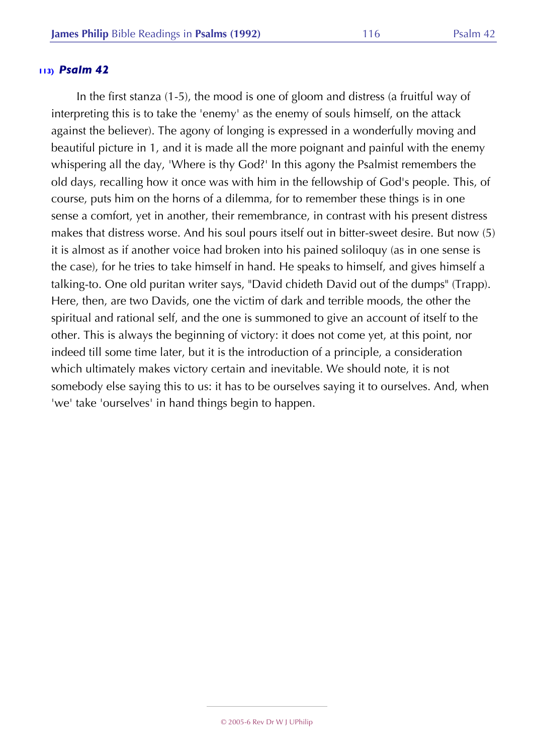In the first stanza (1-5), the mood is one of gloom and distress (a fruitful way of interpreting this is to take the 'enemy' as the enemy of souls himself, on the attack against the believer). The agony of longing is expressed in a wonderfully moving and beautiful picture in 1, and it is made all the more poignant and painful with the enemy whispering all the day, 'Where is thy God?' In this agony the Psalmist remembers the old days, recalling how it once was with him in the fellowship of God's people. This, of course, puts him on the horns of a dilemma, for to remember these things is in one sense a comfort, yet in another, their remembrance, in contrast with his present distress makes that distress worse. And his soul pours itself out in bitter-sweet desire. But now (5) it is almost as if another voice had broken into his pained soliloquy (as in one sense is the case), for he tries to take himself in hand. He speaks to himself, and gives himself a talking-to. One old puritan writer says, "David chideth David out of the dumps" (Trapp). Here, then, are two Davids, one the victim of dark and terrible moods, the other the spiritual and rational self, and the one is summoned to give an account of itself to the other. This is always the beginning of victory: it does not come yet, at this point, nor indeed till some time later, but it is the introduction of a principle, a consideration which ultimately makes victory certain and inevitable. We should note, it is not somebody else saying this to us: it has to be ourselves saying it to ourselves. And, when 'we' take 'ourselves' in hand things begin to happen.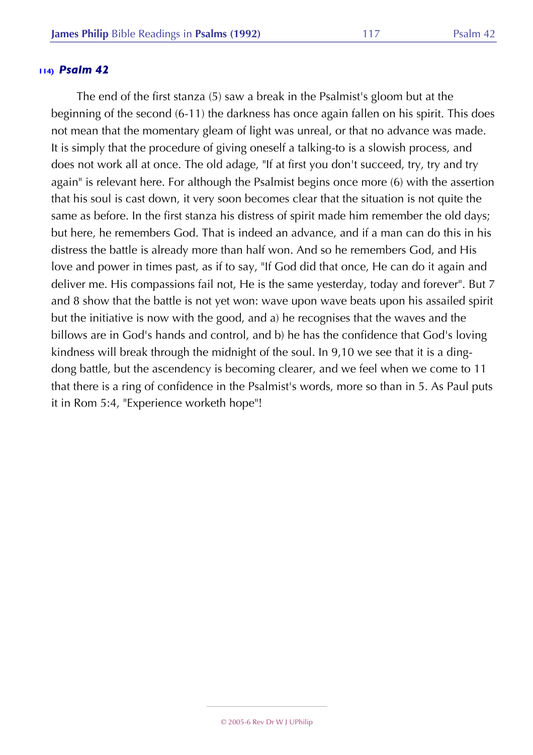The end of the first stanza (5) saw a break in the Psalmist's gloom but at the beginning of the second (6-11) the darkness has once again fallen on his spirit. This does not mean that the momentary gleam of light was unreal, or that no advance was made. It is simply that the procedure of giving oneself a talking-to is a slowish process, and does not work all at once. The old adage, "If at first you don't succeed, try, try and try again" is relevant here. For although the Psalmist begins once more (6) with the assertion that his soul is cast down, it very soon becomes clear that the situation is not quite the same as before. In the first stanza his distress of spirit made him remember the old days; but here, he remembers God. That is indeed an advance, and if a man can do this in his distress the battle is already more than half won. And so he remembers God, and His love and power in times past, as if to say, "If God did that once, He can do it again and deliver me. His compassions fail not, He is the same yesterday, today and forever". But 7 and 8 show that the battle is not yet won: wave upon wave beats upon his assailed spirit but the initiative is now with the good, and a) he recognises that the waves and the billows are in God's hands and control, and b) he has the confidence that God's loving kindness will break through the midnight of the soul. In 9,10 we see that it is a dingdong battle, but the ascendency is becoming clearer, and we feel when we come to 11 that there is a ring of confidence in the Psalmist's words, more so than in 5. As Paul puts it in Rom 5:4, "Experience worketh hope"!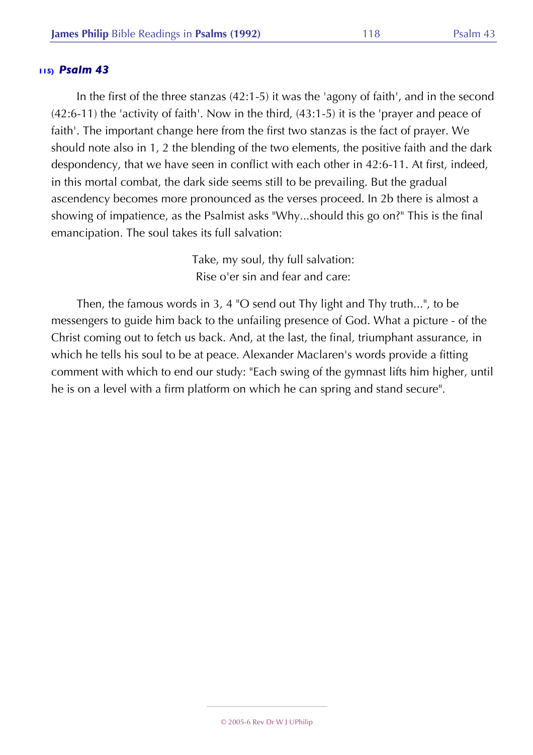In the first of the three stanzas (42:1-5) it was the 'agony of faith', and in the second (42:6-11) the 'activity of faith'. Now in the third, (43:1-5) it is the 'prayer and peace of faith'. The important change here from the first two stanzas is the fact of prayer. We should note also in 1, 2 the blending of the two elements, the positive faith and the dark despondency, that we have seen in conflict with each other in 42:6-11. At first, indeed, in this mortal combat, the dark side seems still to be prevailing. But the gradual ascendency becomes more pronounced as the verses proceed. In 2b there is almost a showing of impatience, as the Psalmist asks "Why...should this go on?" This is the final emancipation. The soul takes its full salvation:

> Take, my soul, thy full salvation: Rise o'er sin and fear and care:

Then, the famous words in 3, 4 "O send out Thy light and Thy truth...", to be messengers to guide him back to the unfailing presence of God. What a picture - of the Christ coming out to fetch us back. And, at the last, the final, triumphant assurance, in which he tells his soul to be at peace. Alexander Maclaren's words provide a fitting comment with which to end our study: "Each swing of the gymnast lifts him higher, until he is on a level with a firm platform on which he can spring and stand secure".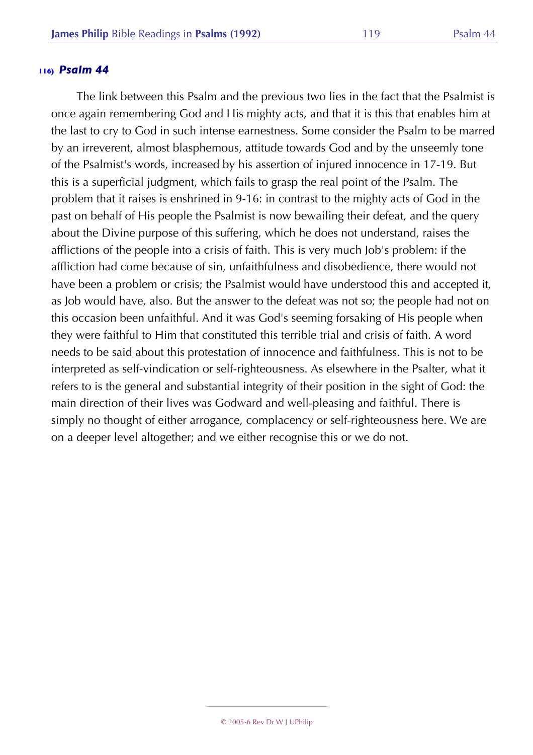The link between this Psalm and the previous two lies in the fact that the Psalmist is once again remembering God and His mighty acts, and that it is this that enables him at the last to cry to God in such intense earnestness. Some consider the Psalm to be marred by an irreverent, almost blasphemous, attitude towards God and by the unseemly tone of the Psalmist's words, increased by his assertion of injured innocence in 17-19. But this is a superficial judgment, which fails to grasp the real point of the Psalm. The problem that it raises is enshrined in 9-16: in contrast to the mighty acts of God in the past on behalf of His people the Psalmist is now bewailing their defeat, and the query about the Divine purpose of this suffering, which he does not understand, raises the afflictions of the people into a crisis of faith. This is very much Job's problem: if the affliction had come because of sin, unfaithfulness and disobedience, there would not have been a problem or crisis; the Psalmist would have understood this and accepted it, as Job would have, also. But the answer to the defeat was not so; the people had not on this occasion been unfaithful. And it was God's seeming forsaking of His people when they were faithful to Him that constituted this terrible trial and crisis of faith. A word needs to be said about this protestation of innocence and faithfulness. This is not to be interpreted as self-vindication or self-righteousness. As elsewhere in the Psalter, what it refers to is the general and substantial integrity of their position in the sight of God: the main direction of their lives was Godward and well-pleasing and faithful. There is simply no thought of either arrogance, complacency or self-righteousness here. We are on a deeper level altogether; and we either recognise this or we do not.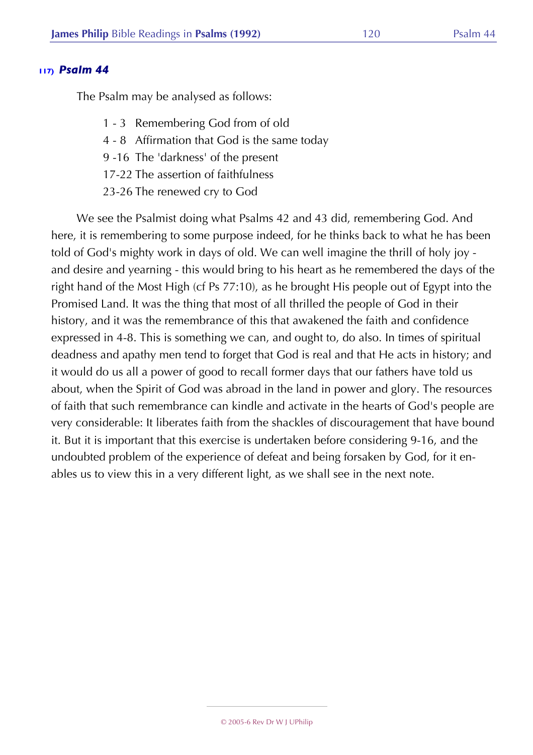The Psalm may be analysed as follows:

- 1 3 Remembering God from of old
- 4 8 Affirmation that God is the same today
- 9 -16 The 'darkness' of the present
- 17-22 The assertion of faithfulness
- 23-26 The renewed cry to God

We see the Psalmist doing what Psalms 42 and 43 did, remembering God. And here, it is remembering to some purpose indeed, for he thinks back to what he has been told of God's mighty work in days of old. We can well imagine the thrill of holy joy and desire and yearning - this would bring to his heart as he remembered the days of the right hand of the Most High (cf Ps 77:10), as he brought His people out of Egypt into the Promised Land. It was the thing that most of all thrilled the people of God in their history, and it was the remembrance of this that awakened the faith and confidence expressed in 4-8. This is something we can, and ought to, do also. In times of spiritual deadness and apathy men tend to forget that God is real and that He acts in history; and it would do us all a power of good to recall former days that our fathers have told us about, when the Spirit of God was abroad in the land in power and glory. The resources of faith that such remembrance can kindle and activate in the hearts of God's people are very considerable: It liberates faith from the shackles of discouragement that have bound it. But it is important that this exercise is undertaken before considering 9-16, and the undoubted problem of the experience of defeat and being forsaken by God, for it enables us to view this in a very different light, as we shall see in the next note.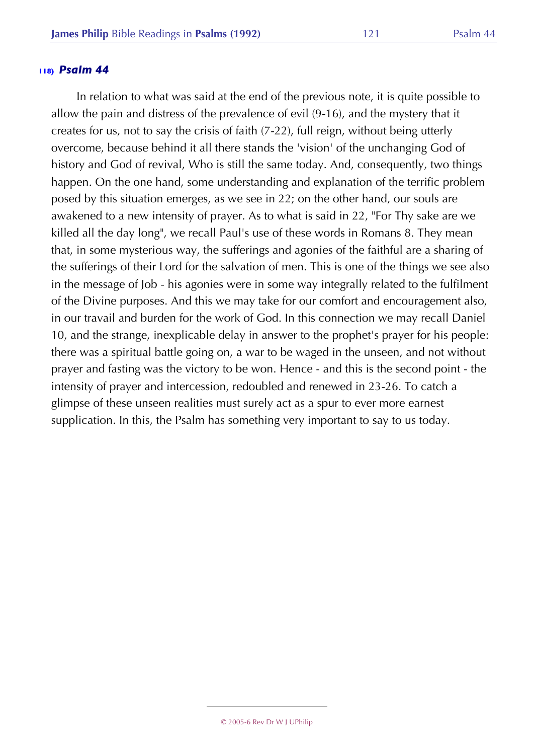In relation to what was said at the end of the previous note, it is quite possible to allow the pain and distress of the prevalence of evil (9-16), and the mystery that it creates for us, not to say the crisis of faith (7-22), full reign, without being utterly overcome, because behind it all there stands the 'vision' of the unchanging God of history and God of revival, Who is still the same today. And, consequently, two things happen. On the one hand, some understanding and explanation of the terrific problem posed by this situation emerges, as we see in 22; on the other hand, our souls are awakened to a new intensity of prayer. As to what is said in 22, "For Thy sake are we killed all the day long", we recall Paul's use of these words in Romans 8. They mean that, in some mysterious way, the sufferings and agonies of the faithful are a sharing of the sufferings of their Lord for the salvation of men. This is one of the things we see also in the message of Job - his agonies were in some way integrally related to the fulfilment of the Divine purposes. And this we may take for our comfort and encouragement also, in our travail and burden for the work of God. In this connection we may recall Daniel 10, and the strange, inexplicable delay in answer to the prophet's prayer for his people: there was a spiritual battle going on, a war to be waged in the unseen, and not without prayer and fasting was the victory to be won. Hence - and this is the second point - the intensity of prayer and intercession, redoubled and renewed in 23-26. To catch a glimpse of these unseen realities must surely act as a spur to ever more earnest supplication. In this, the Psalm has something very important to say to us today.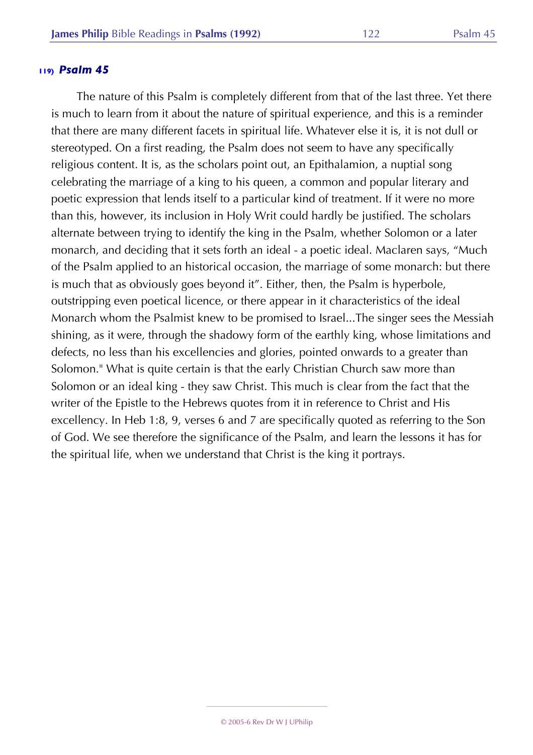The nature of this Psalm is completely different from that of the last three. Yet there is much to learn from it about the nature of spiritual experience, and this is a reminder that there are many different facets in spiritual life. Whatever else it is, it is not dull or stereotyped. On a first reading, the Psalm does not seem to have any specifically religious content. It is, as the scholars point out, an Epithalamion, a nuptial song celebrating the marriage of a king to his queen, a common and popular literary and poetic expression that lends itself to a particular kind of treatment. If it were no more than this, however, its inclusion in Holy Writ could hardly be justified. The scholars alternate between trying to identify the king in the Psalm, whether Solomon or a later monarch, and deciding that it sets forth an ideal - a poetic ideal. Maclaren says, "Much of the Psalm applied to an historical occasion, the marriage of some monarch: but there is much that as obviously goes beyond it". Either, then, the Psalm is hyperbole, outstripping even poetical licence, or there appear in it characteristics of the ideal Monarch whom the Psalmist knew to be promised to Israel...The singer sees the Messiah shining, as it were, through the shadowy form of the earthly king, whose limitations and defects, no less than his excellencies and glories, pointed onwards to a greater than Solomon." What is quite certain is that the early Christian Church saw more than Solomon or an ideal king - they saw Christ. This much is clear from the fact that the writer of the Epistle to the Hebrews quotes from it in reference to Christ and His excellency. In Heb 1:8, 9, verses 6 and 7 are specifically quoted as referring to the Son of God. We see therefore the significance of the Psalm, and learn the lessons it has for the spiritual life, when we understand that Christ is the king it portrays.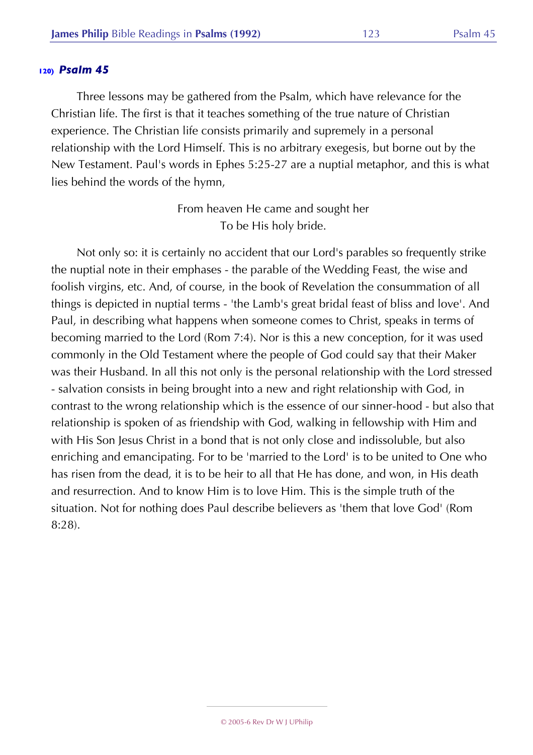Three lessons may be gathered from the Psalm, which have relevance for the Christian life. The first is that it teaches something of the true nature of Christian experience. The Christian life consists primarily and supremely in a personal relationship with the Lord Himself. This is no arbitrary exegesis, but borne out by the New Testament. Paul's words in Ephes 5:25-27 are a nuptial metaphor, and this is what lies behind the words of the hymn,

> From heaven He came and sought her To be His holy bride.

Not only so: it is certainly no accident that our Lord's parables so frequently strike the nuptial note in their emphases - the parable of the Wedding Feast, the wise and foolish virgins, etc. And, of course, in the book of Revelation the consummation of all things is depicted in nuptial terms - 'the Lamb's great bridal feast of bliss and love'. And Paul, in describing what happens when someone comes to Christ, speaks in terms of becoming married to the Lord (Rom 7:4). Nor is this a new conception, for it was used commonly in the Old Testament where the people of God could say that their Maker was their Husband. In all this not only is the personal relationship with the Lord stressed - salvation consists in being brought into a new and right relationship with God, in contrast to the wrong relationship which is the essence of our sinner-hood - but also that relationship is spoken of as friendship with God, walking in fellowship with Him and with His Son Jesus Christ in a bond that is not only close and indissoluble, but also enriching and emancipating. For to be 'married to the Lord' is to be united to One who has risen from the dead, it is to be heir to all that He has done, and won, in His death and resurrection. And to know Him is to love Him. This is the simple truth of the situation. Not for nothing does Paul describe believers as 'them that love God' (Rom 8:28).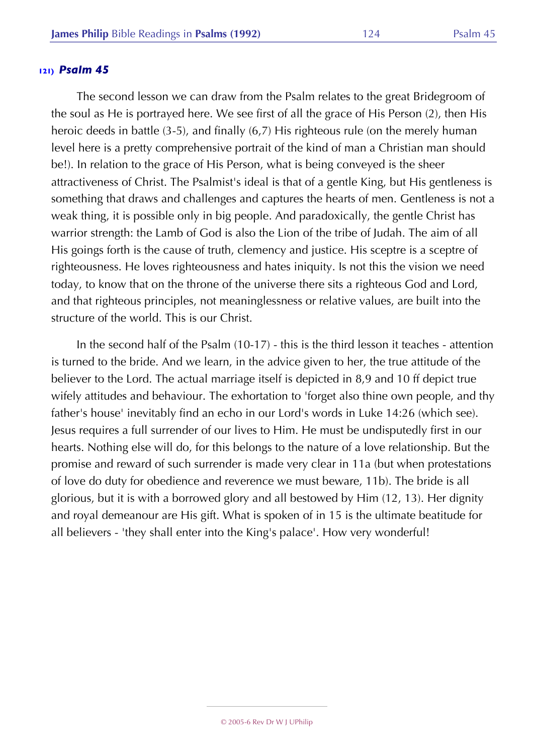The second lesson we can draw from the Psalm relates to the great Bridegroom of the soul as He is portrayed here. We see first of all the grace of His Person (2), then His heroic deeds in battle (3-5), and finally (6,7) His righteous rule (on the merely human level here is a pretty comprehensive portrait of the kind of man a Christian man should be!). In relation to the grace of His Person, what is being conveyed is the sheer attractiveness of Christ. The Psalmist's ideal is that of a gentle King, but His gentleness is something that draws and challenges and captures the hearts of men. Gentleness is not a weak thing, it is possible only in big people. And paradoxically, the gentle Christ has warrior strength: the Lamb of God is also the Lion of the tribe of Judah. The aim of all His goings forth is the cause of truth, clemency and justice. His sceptre is a sceptre of righteousness. He loves righteousness and hates iniquity. Is not this the vision we need today, to know that on the throne of the universe there sits a righteous God and Lord, and that righteous principles, not meaninglessness or relative values, are built into the structure of the world. This is our Christ.

In the second half of the Psalm (10-17) - this is the third lesson it teaches - attention is turned to the bride. And we learn, in the advice given to her, the true attitude of the believer to the Lord. The actual marriage itself is depicted in 8,9 and 10 ff depict true wifely attitudes and behaviour. The exhortation to 'forget also thine own people, and thy father's house' inevitably find an echo in our Lord's words in Luke 14:26 (which see). Jesus requires a full surrender of our lives to Him. He must be undisputedly first in our hearts. Nothing else will do, for this belongs to the nature of a love relationship. But the promise and reward of such surrender is made very clear in 11a (but when protestations of love do duty for obedience and reverence we must beware, 11b). The bride is all glorious, but it is with a borrowed glory and all bestowed by Him (12, 13). Her dignity and royal demeanour are His gift. What is spoken of in 15 is the ultimate beatitude for all believers - 'they shall enter into the King's palace'. How very wonderful!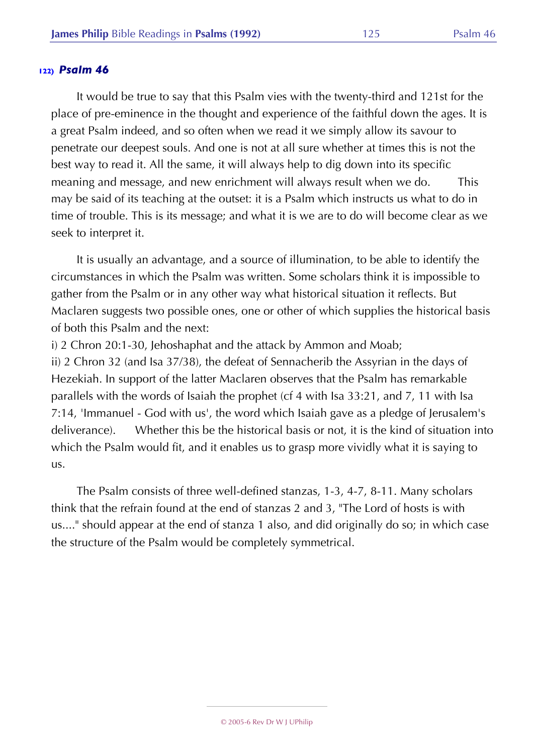It would be true to say that this Psalm vies with the twenty-third and 121st for the place of pre-eminence in the thought and experience of the faithful down the ages. It is a great Psalm indeed, and so often when we read it we simply allow its savour to penetrate our deepest souls. And one is not at all sure whether at times this is not the best way to read it. All the same, it will always help to dig down into its specific meaning and message, and new enrichment will always result when we do. This may be said of its teaching at the outset: it is a Psalm which instructs us what to do in time of trouble. This is its message; and what it is we are to do will become clear as we seek to interpret it.

It is usually an advantage, and a source of illumination, to be able to identify the circumstances in which the Psalm was written. Some scholars think it is impossible to gather from the Psalm or in any other way what historical situation it reflects. But Maclaren suggests two possible ones, one or other of which supplies the historical basis of both this Psalm and the next:

i) 2 Chron 20:1-30, Jehoshaphat and the attack by Ammon and Moab; ii) 2 Chron 32 (and Isa 37/38), the defeat of Sennacherib the Assyrian in the days of Hezekiah. In support of the latter Maclaren observes that the Psalm has remarkable parallels with the words of Isaiah the prophet (cf 4 with Isa 33:21, and 7, 11 with Isa 7:14, 'Immanuel - God with us', the word which Isaiah gave as a pledge of Jerusalem's deliverance). Whether this be the historical basis or not, it is the kind of situation into which the Psalm would fit, and it enables us to grasp more vividly what it is saying to us.

The Psalm consists of three well-defined stanzas, 1-3, 4-7, 8-11. Many scholars think that the refrain found at the end of stanzas 2 and 3, "The Lord of hosts is with us...." should appear at the end of stanza 1 also, and did originally do so; in which case the structure of the Psalm would be completely symmetrical.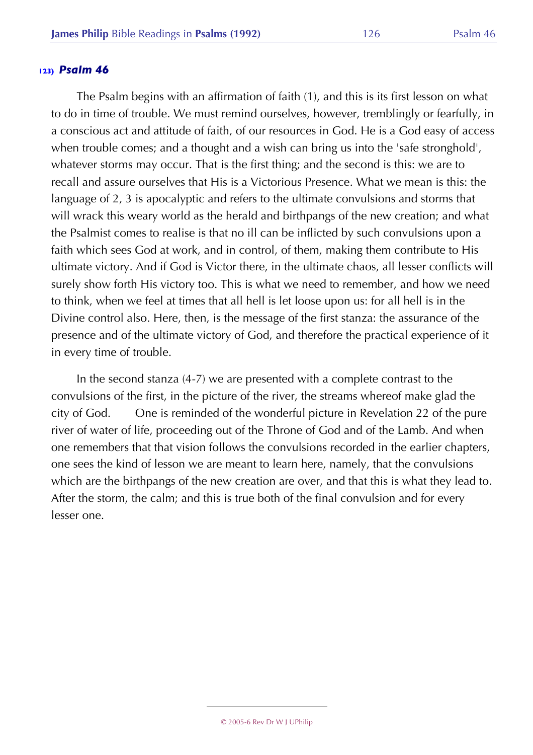The Psalm begins with an affirmation of faith (1), and this is its first lesson on what to do in time of trouble. We must remind ourselves, however, tremblingly or fearfully, in a conscious act and attitude of faith, of our resources in God. He is a God easy of access when trouble comes; and a thought and a wish can bring us into the 'safe stronghold', whatever storms may occur. That is the first thing; and the second is this: we are to recall and assure ourselves that His is a Victorious Presence. What we mean is this: the language of 2, 3 is apocalyptic and refers to the ultimate convulsions and storms that will wrack this weary world as the herald and birthpangs of the new creation; and what the Psalmist comes to realise is that no ill can be inflicted by such convulsions upon a faith which sees God at work, and in control, of them, making them contribute to His ultimate victory. And if God is Victor there, in the ultimate chaos, all lesser conflicts will surely show forth His victory too. This is what we need to remember, and how we need to think, when we feel at times that all hell is let loose upon us: for all hell is in the Divine control also. Here, then, is the message of the first stanza: the assurance of the presence and of the ultimate victory of God, and therefore the practical experience of it in every time of trouble.

In the second stanza (4-7) we are presented with a complete contrast to the convulsions of the first, in the picture of the river, the streams whereof make glad the city of God. One is reminded of the wonderful picture in Revelation 22 of the pure river of water of life, proceeding out of the Throne of God and of the Lamb. And when one remembers that that vision follows the convulsions recorded in the earlier chapters, one sees the kind of lesson we are meant to learn here, namely, that the convulsions which are the birthpangs of the new creation are over, and that this is what they lead to. After the storm, the calm; and this is true both of the final convulsion and for every lesser one.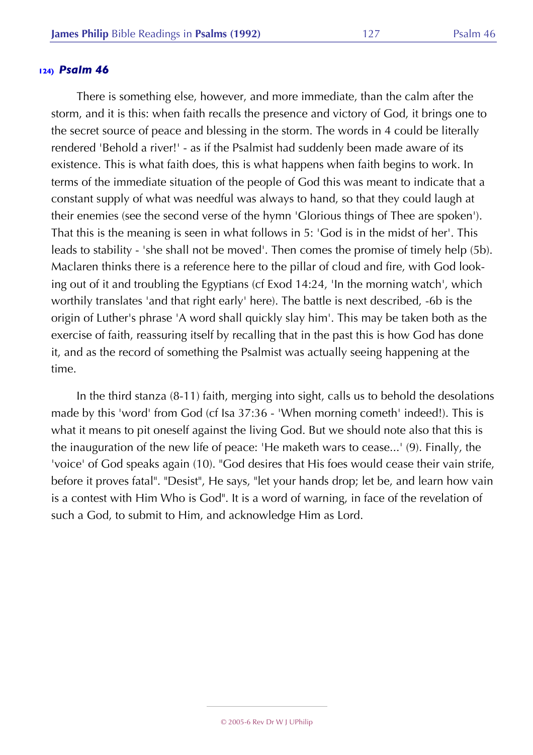There is something else, however, and more immediate, than the calm after the storm, and it is this: when faith recalls the presence and victory of God, it brings one to the secret source of peace and blessing in the storm. The words in 4 could be literally rendered 'Behold a river!' - as if the Psalmist had suddenly been made aware of its existence. This is what faith does, this is what happens when faith begins to work. In terms of the immediate situation of the people of God this was meant to indicate that a constant supply of what was needful was always to hand, so that they could laugh at their enemies (see the second verse of the hymn 'Glorious things of Thee are spoken'). That this is the meaning is seen in what follows in 5: 'God is in the midst of her'. This leads to stability - 'she shall not be moved'. Then comes the promise of timely help (5b). Maclaren thinks there is a reference here to the pillar of cloud and fire, with God looking out of it and troubling the Egyptians (cf Exod 14:24, 'In the morning watch', which worthily translates 'and that right early' here). The battle is next described, -6b is the origin of Luther's phrase 'A word shall quickly slay him'. This may be taken both as the exercise of faith, reassuring itself by recalling that in the past this is how God has done it, and as the record of something the Psalmist was actually seeing happening at the time.

In the third stanza (8-11) faith, merging into sight, calls us to behold the desolations made by this 'word' from God (cf Isa 37:36 - 'When morning cometh' indeed!). This is what it means to pit oneself against the living God. But we should note also that this is the inauguration of the new life of peace: 'He maketh wars to cease...' (9). Finally, the 'voice' of God speaks again (10). "God desires that His foes would cease their vain strife, before it proves fatal". "Desist", He says, "let your hands drop; let be, and learn how vain is a contest with Him Who is God". It is a word of warning, in face of the revelation of such a God, to submit to Him, and acknowledge Him as Lord.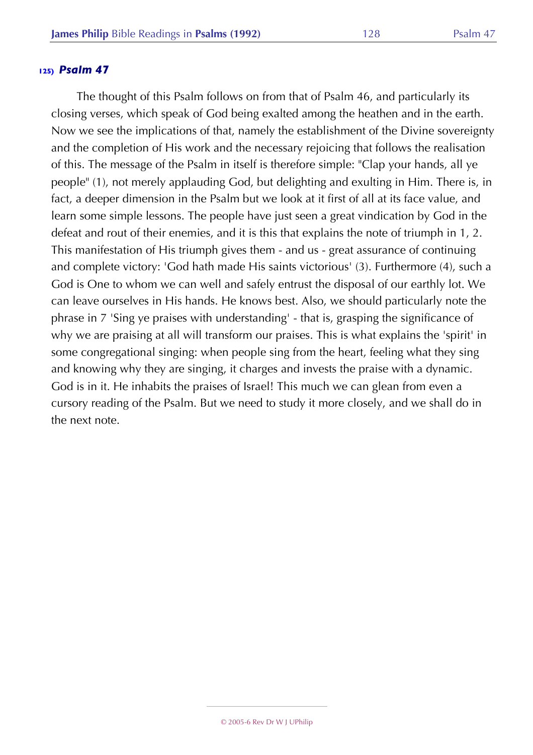The thought of this Psalm follows on from that of Psalm 46, and particularly its closing verses, which speak of God being exalted among the heathen and in the earth. Now we see the implications of that, namely the establishment of the Divine sovereignty and the completion of His work and the necessary rejoicing that follows the realisation of this. The message of the Psalm in itself is therefore simple: "Clap your hands, all ye people" (1), not merely applauding God, but delighting and exulting in Him. There is, in fact, a deeper dimension in the Psalm but we look at it first of all at its face value, and learn some simple lessons. The people have just seen a great vindication by God in the defeat and rout of their enemies, and it is this that explains the note of triumph in 1, 2. This manifestation of His triumph gives them - and us - great assurance of continuing and complete victory: 'God hath made His saints victorious' (3). Furthermore (4), such a God is One to whom we can well and safely entrust the disposal of our earthly lot. We can leave ourselves in His hands. He knows best. Also, we should particularly note the phrase in 7 'Sing ye praises with understanding' - that is, grasping the significance of why we are praising at all will transform our praises. This is what explains the 'spirit' in some congregational singing: when people sing from the heart, feeling what they sing and knowing why they are singing, it charges and invests the praise with a dynamic. God is in it. He inhabits the praises of Israel! This much we can glean from even a cursory reading of the Psalm. But we need to study it more closely, and we shall do in the next note.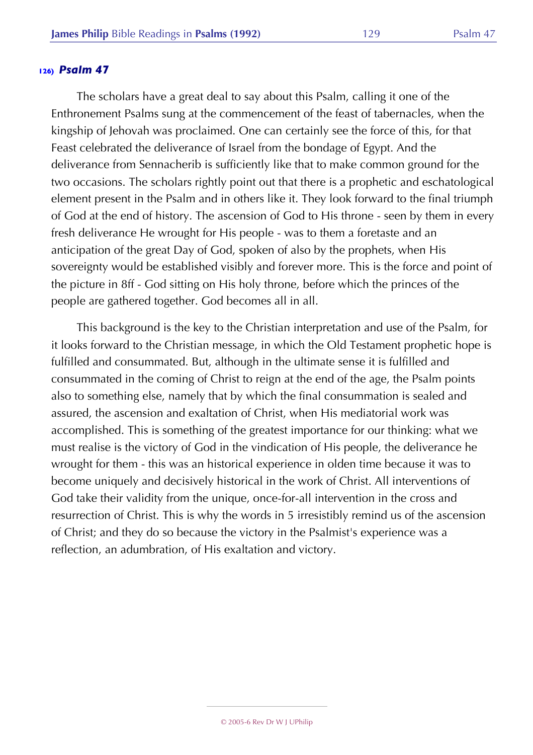The scholars have a great deal to say about this Psalm, calling it one of the Enthronement Psalms sung at the commencement of the feast of tabernacles, when the kingship of Jehovah was proclaimed. One can certainly see the force of this, for that Feast celebrated the deliverance of Israel from the bondage of Egypt. And the deliverance from Sennacherib is sufficiently like that to make common ground for the two occasions. The scholars rightly point out that there is a prophetic and eschatological element present in the Psalm and in others like it. They look forward to the final triumph of God at the end of history. The ascension of God to His throne - seen by them in every fresh deliverance He wrought for His people - was to them a foretaste and an anticipation of the great Day of God, spoken of also by the prophets, when His sovereignty would be established visibly and forever more. This is the force and point of the picture in 8ff - God sitting on His holy throne, before which the princes of the people are gathered together. God becomes all in all.

This background is the key to the Christian interpretation and use of the Psalm, for it looks forward to the Christian message, in which the Old Testament prophetic hope is fulfilled and consummated. But, although in the ultimate sense it is fulfilled and consummated in the coming of Christ to reign at the end of the age, the Psalm points also to something else, namely that by which the final consummation is sealed and assured, the ascension and exaltation of Christ, when His mediatorial work was accomplished. This is something of the greatest importance for our thinking: what we must realise is the victory of God in the vindication of His people, the deliverance he wrought for them - this was an historical experience in olden time because it was to become uniquely and decisively historical in the work of Christ. All interventions of God take their validity from the unique, once-for-all intervention in the cross and resurrection of Christ. This is why the words in 5 irresistibly remind us of the ascension of Christ; and they do so because the victory in the Psalmist's experience was a reflection, an adumbration, of His exaltation and victory.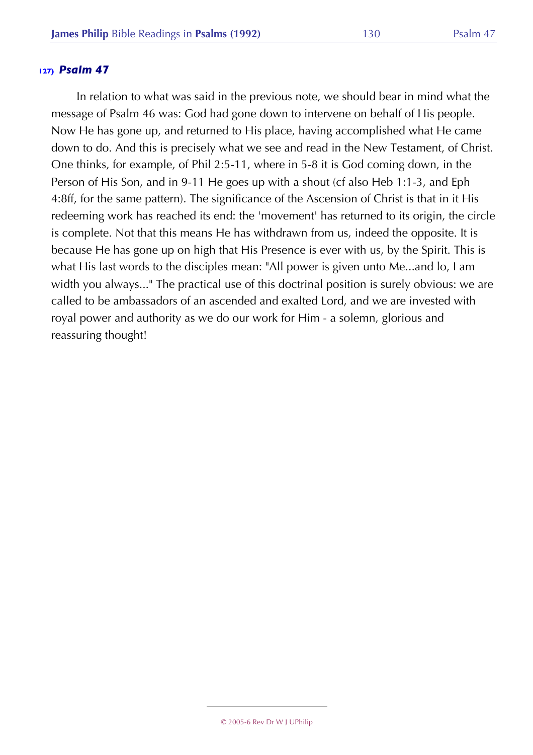In relation to what was said in the previous note, we should bear in mind what the message of Psalm 46 was: God had gone down to intervene on behalf of His people. Now He has gone up, and returned to His place, having accomplished what He came down to do. And this is precisely what we see and read in the New Testament, of Christ. One thinks, for example, of Phil 2:5-11, where in 5-8 it is God coming down, in the Person of His Son, and in 9-11 He goes up with a shout (cf also Heb 1:1-3, and Eph 4:8ff, for the same pattern). The significance of the Ascension of Christ is that in it His redeeming work has reached its end: the 'movement' has returned to its origin, the circle is complete. Not that this means He has withdrawn from us, indeed the opposite. It is because He has gone up on high that His Presence is ever with us, by the Spirit. This is what His last words to the disciples mean: "All power is given unto Me...and lo, I am width you always..." The practical use of this doctrinal position is surely obvious: we are called to be ambassadors of an ascended and exalted Lord, and we are invested with royal power and authority as we do our work for Him - a solemn, glorious and reassuring thought!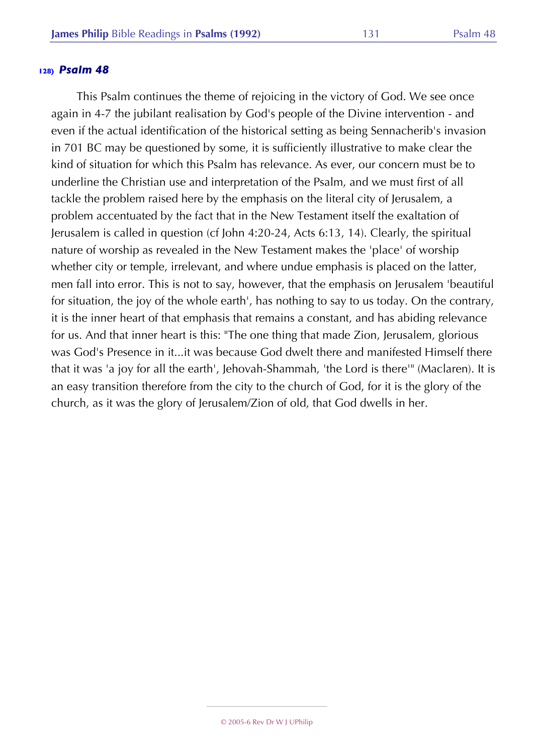This Psalm continues the theme of rejoicing in the victory of God. We see once again in 4-7 the jubilant realisation by God's people of the Divine intervention - and even if the actual identification of the historical setting as being Sennacherib's invasion in 701 BC may be questioned by some, it is sufficiently illustrative to make clear the kind of situation for which this Psalm has relevance. As ever, our concern must be to underline the Christian use and interpretation of the Psalm, and we must first of all tackle the problem raised here by the emphasis on the literal city of Jerusalem, a problem accentuated by the fact that in the New Testament itself the exaltation of Jerusalem is called in question (cf John 4:20-24, Acts 6:13, 14). Clearly, the spiritual nature of worship as revealed in the New Testament makes the 'place' of worship whether city or temple, irrelevant, and where undue emphasis is placed on the latter, men fall into error. This is not to say, however, that the emphasis on Jerusalem 'beautiful for situation, the joy of the whole earth', has nothing to say to us today. On the contrary, it is the inner heart of that emphasis that remains a constant, and has abiding relevance for us. And that inner heart is this: "The one thing that made Zion, Jerusalem, glorious was God's Presence in it...it was because God dwelt there and manifested Himself there that it was 'a joy for all the earth', Jehovah-Shammah, 'the Lord is there'" (Maclaren). It is an easy transition therefore from the city to the church of God, for it is the glory of the church, as it was the glory of Jerusalem/Zion of old, that God dwells in her.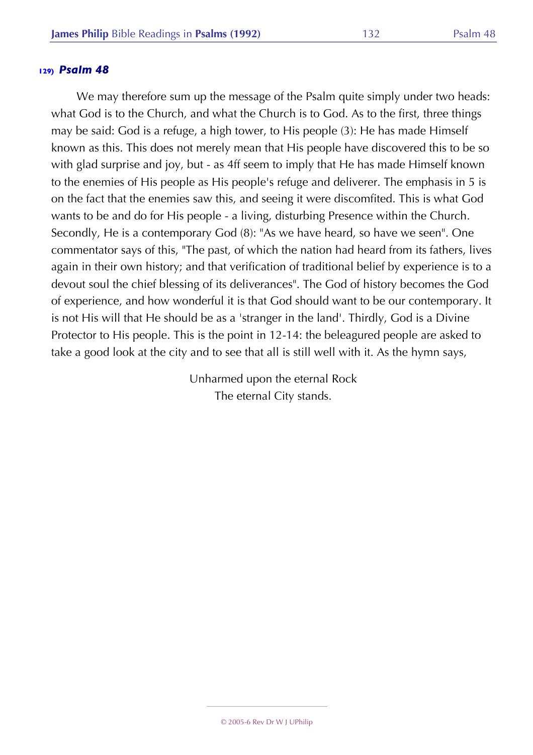We may therefore sum up the message of the Psalm quite simply under two heads: what God is to the Church, and what the Church is to God. As to the first, three things may be said: God is a refuge, a high tower, to His people (3): He has made Himself known as this. This does not merely mean that His people have discovered this to be so with glad surprise and joy, but - as 4ff seem to imply that He has made Himself known to the enemies of His people as His people's refuge and deliverer. The emphasis in 5 is on the fact that the enemies saw this, and seeing it were discomfited. This is what God wants to be and do for His people - a living, disturbing Presence within the Church. Secondly, He is a contemporary God (8): "As we have heard, so have we seen". One commentator says of this, "The past, of which the nation had heard from its fathers, lives again in their own history; and that verification of traditional belief by experience is to a devout soul the chief blessing of its deliverances". The God of history becomes the God of experience, and how wonderful it is that God should want to be our contemporary. It is not His will that He should be as a 'stranger in the land'. Thirdly, God is a Divine Protector to His people. This is the point in 12-14: the beleagured people are asked to take a good look at the city and to see that all is still well with it. As the hymn says,

> Unharmed upon the eternal Rock The eternal City stands.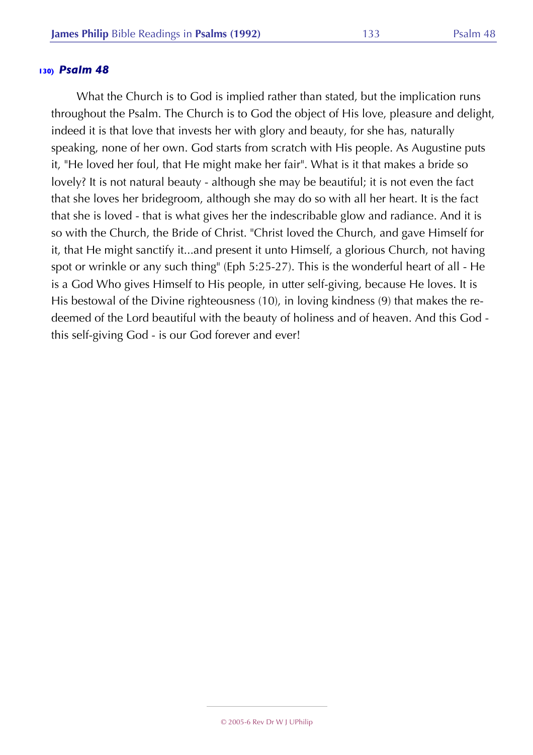What the Church is to God is implied rather than stated, but the implication runs throughout the Psalm. The Church is to God the object of His love, pleasure and delight, indeed it is that love that invests her with glory and beauty, for she has, naturally speaking, none of her own. God starts from scratch with His people. As Augustine puts it, "He loved her foul, that He might make her fair". What is it that makes a bride so lovely? It is not natural beauty - although she may be beautiful; it is not even the fact that she loves her bridegroom, although she may do so with all her heart. It is the fact that she is loved - that is what gives her the indescribable glow and radiance. And it is so with the Church, the Bride of Christ. "Christ loved the Church, and gave Himself for it, that He might sanctify it...and present it unto Himself, a glorious Church, not having spot or wrinkle or any such thing" (Eph 5:25-27). This is the wonderful heart of all - He is a God Who gives Himself to His people, in utter self-giving, because He loves. It is His bestowal of the Divine righteousness (10), in loving kindness (9) that makes the redeemed of the Lord beautiful with the beauty of holiness and of heaven. And this God this self-giving God - is our God forever and ever!

#### © 2005-6 Rev Dr W J UPhilip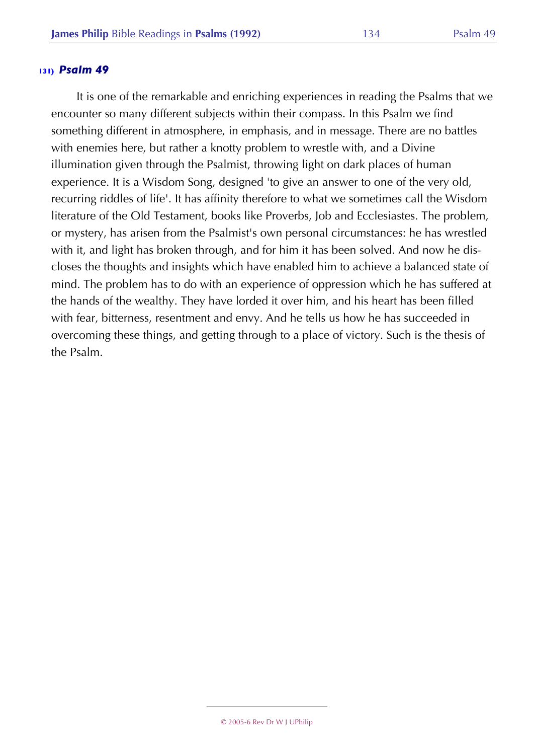It is one of the remarkable and enriching experiences in reading the Psalms that we encounter so many different subjects within their compass. In this Psalm we find something different in atmosphere, in emphasis, and in message. There are no battles with enemies here, but rather a knotty problem to wrestle with, and a Divine illumination given through the Psalmist, throwing light on dark places of human experience. It is a Wisdom Song, designed 'to give an answer to one of the very old, recurring riddles of life'. It has affinity therefore to what we sometimes call the Wisdom literature of the Old Testament, books like Proverbs, Job and Ecclesiastes. The problem, or mystery, has arisen from the Psalmist's own personal circumstances: he has wrestled with it, and light has broken through, and for him it has been solved. And now he discloses the thoughts and insights which have enabled him to achieve a balanced state of mind. The problem has to do with an experience of oppression which he has suffered at the hands of the wealthy. They have lorded it over him, and his heart has been filled with fear, bitterness, resentment and envy. And he tells us how he has succeeded in overcoming these things, and getting through to a place of victory. Such is the thesis of the Psalm.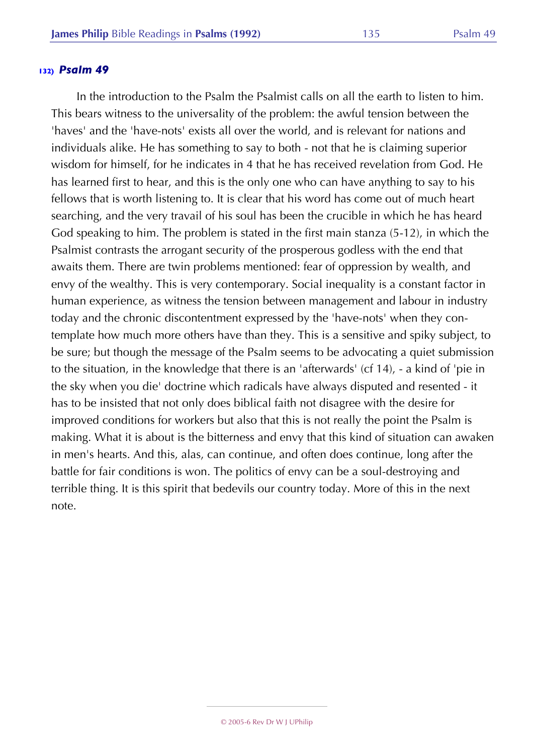In the introduction to the Psalm the Psalmist calls on all the earth to listen to him. This bears witness to the universality of the problem: the awful tension between the 'haves' and the 'have-nots' exists all over the world, and is relevant for nations and individuals alike. He has something to say to both - not that he is claiming superior wisdom for himself, for he indicates in 4 that he has received revelation from God. He has learned first to hear, and this is the only one who can have anything to say to his fellows that is worth listening to. It is clear that his word has come out of much heart searching, and the very travail of his soul has been the crucible in which he has heard God speaking to him. The problem is stated in the first main stanza (5-12), in which the Psalmist contrasts the arrogant security of the prosperous godless with the end that awaits them. There are twin problems mentioned: fear of oppression by wealth, and envy of the wealthy. This is very contemporary. Social inequality is a constant factor in human experience, as witness the tension between management and labour in industry today and the chronic discontentment expressed by the 'have-nots' when they contemplate how much more others have than they. This is a sensitive and spiky subject, to be sure; but though the message of the Psalm seems to be advocating a quiet submission to the situation, in the knowledge that there is an 'afterwards' (cf 14), - a kind of 'pie in the sky when you die' doctrine which radicals have always disputed and resented - it has to be insisted that not only does biblical faith not disagree with the desire for improved conditions for workers but also that this is not really the point the Psalm is making. What it is about is the bitterness and envy that this kind of situation can awaken in men's hearts. And this, alas, can continue, and often does continue, long after the battle for fair conditions is won. The politics of envy can be a soul-destroying and terrible thing. It is this spirit that bedevils our country today. More of this in the next note.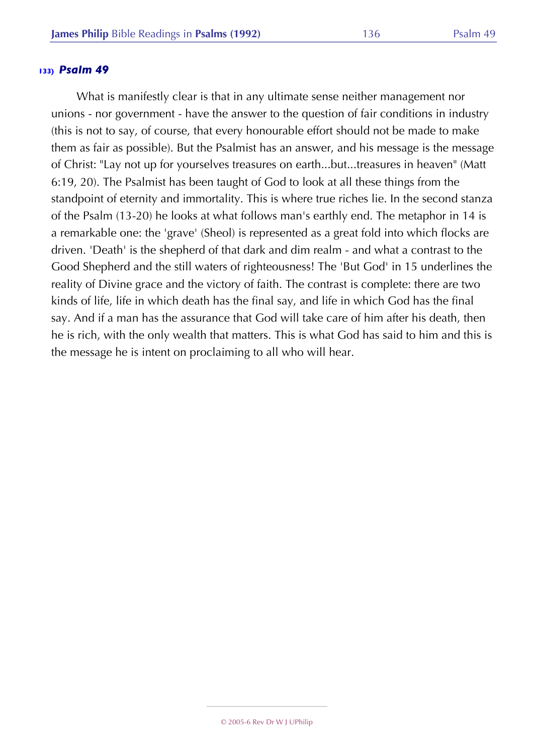What is manifestly clear is that in any ultimate sense neither management nor unions - nor government - have the answer to the question of fair conditions in industry (this is not to say, of course, that every honourable effort should not be made to make them as fair as possible). But the Psalmist has an answer, and his message is the message of Christ: "Lay not up for yourselves treasures on earth...but...treasures in heaven" (Matt 6:19, 20). The Psalmist has been taught of God to look at all these things from the standpoint of eternity and immortality. This is where true riches lie. In the second stanza of the Psalm (13-20) he looks at what follows man's earthly end. The metaphor in 14 is a remarkable one: the 'grave' (Sheol) is represented as a great fold into which flocks are driven. 'Death' is the shepherd of that dark and dim realm - and what a contrast to the Good Shepherd and the still waters of righteousness! The 'But God' in 15 underlines the reality of Divine grace and the victory of faith. The contrast is complete: there are two kinds of life, life in which death has the final say, and life in which God has the final say. And if a man has the assurance that God will take care of him after his death, then he is rich, with the only wealth that matters. This is what God has said to him and this is the message he is intent on proclaiming to all who will hear.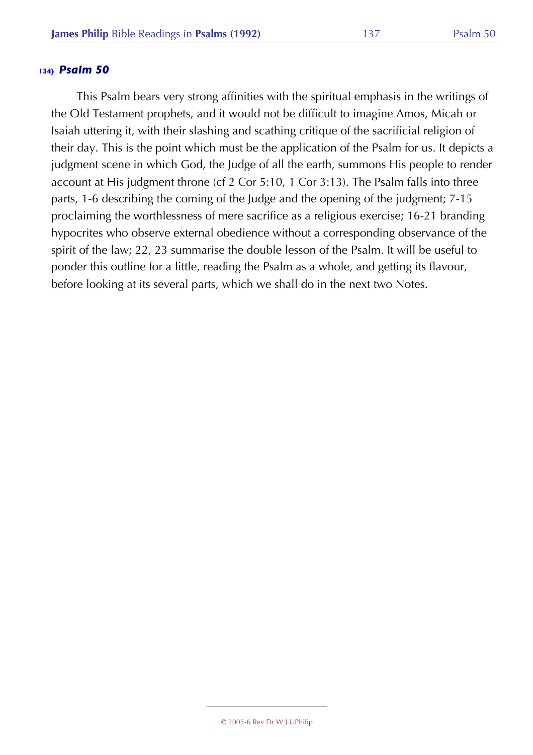This Psalm bears very strong affinities with the spiritual emphasis in the writings of the Old Testament prophets, and it would not be difficult to imagine Amos, Micah or Isaiah uttering it, with their slashing and scathing critique of the sacrificial religion of their day. This is the point which must be the application of the Psalm for us. It depicts a judgment scene in which God, the Judge of all the earth, summons His people to render account at His judgment throne (cf 2 Cor 5:10, 1 Cor 3:13). The Psalm falls into three parts, 1-6 describing the coming of the Judge and the opening of the judgment; 7-15 proclaiming the worthlessness of mere sacrifice as a religious exercise; 16-21 branding hypocrites who observe external obedience without a corresponding observance of the spirit of the law; 22, 23 summarise the double lesson of the Psalm. It will be useful to ponder this outline for a little, reading the Psalm as a whole, and getting its flavour, before looking at its several parts, which we shall do in the next two Notes.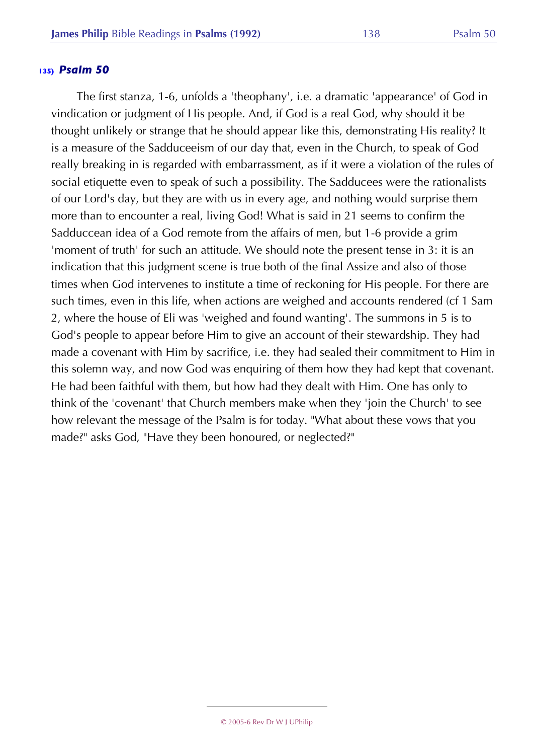The first stanza, 1-6, unfolds a 'theophany', i.e. a dramatic 'appearance' of God in vindication or judgment of His people. And, if God is a real God, why should it be thought unlikely or strange that he should appear like this, demonstrating His reality? It is a measure of the Sadduceeism of our day that, even in the Church, to speak of God really breaking in is regarded with embarrassment, as if it were a violation of the rules of social etiquette even to speak of such a possibility. The Sadducees were the rationalists of our Lord's day, but they are with us in every age, and nothing would surprise them more than to encounter a real, living God! What is said in 21 seems to confirm the Sadduccean idea of a God remote from the affairs of men, but 1-6 provide a grim 'moment of truth' for such an attitude. We should note the present tense in 3: it is an indication that this judgment scene is true both of the final Assize and also of those times when God intervenes to institute a time of reckoning for His people. For there are such times, even in this life, when actions are weighed and accounts rendered (cf 1 Sam 2, where the house of Eli was 'weighed and found wanting'. The summons in 5 is to God's people to appear before Him to give an account of their stewardship. They had made a covenant with Him by sacrifice, i.e. they had sealed their commitment to Him in this solemn way, and now God was enquiring of them how they had kept that covenant. He had been faithful with them, but how had they dealt with Him. One has only to think of the 'covenant' that Church members make when they 'join the Church' to see how relevant the message of the Psalm is for today. "What about these vows that you made?" asks God, "Have they been honoured, or neglected?"